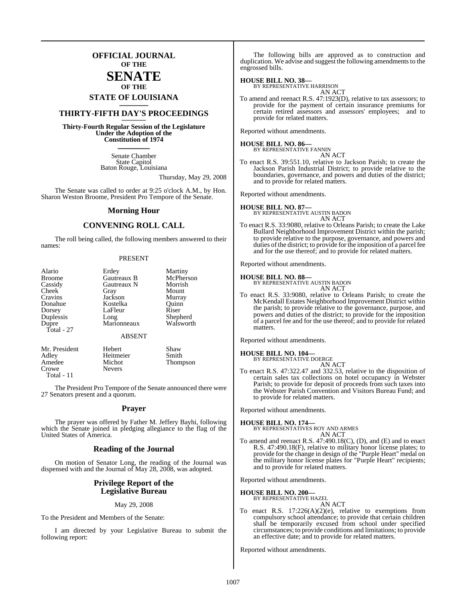## **OFFICIAL JOURNAL OF THE**

## **SENATE OF THE**

# **STATE OF LOUISIANA \_\_\_\_\_\_\_**

## **THIRTY-FIFTH DAY'S PROCEEDINGS \_\_\_\_\_\_\_**

**Thirty-Fourth Regular Session of the Legislature Under the Adoption of the Constitution of 1974 \_\_\_\_\_\_\_**

> Senate Chamber State Capitol Baton Rouge, Louisiana

> > Thursday, May 29, 2008

The Senate was called to order at 9:25 o'clock A.M., by Hon. Sharon Weston Broome, President Pro Tempore of the Senate.

#### **Morning Hour**

## **CONVENING ROLL CALL**

The roll being called, the following members answered to their names:

#### PRESENT

| Alario        | Erdey         | Martiny   |
|---------------|---------------|-----------|
| <b>Broome</b> | Gautreaux B   | McPherson |
| Cassidy       | Gautreaux N   | Morrish   |
| <b>Cheek</b>  | Gray          | Mount     |
| Cravins       | Jackson       | Murray    |
| Donahue       | Kostelka      | Ouinn     |
| Dorsey        | LaFleur       | Riser     |
| Duplessis     | Long          | Shepherd  |
| Dupre         | Marionneaux   | Walsworth |
| Total - 27    |               |           |
|               | <b>ABSENT</b> |           |
| Mr. President | Hebert        | Shaw      |
| Adley         | Heitmeier     | Smith     |

Amedee Michot Thompson<br>Crowe Nevers **Nevers** 

Total - 11

The President Pro Tempore of the Senate announced there were 27 Senators present and a quorum.

#### **Prayer**

The prayer was offered by Father M. Jeffery Bayhi, following which the Senate joined in pledging allegiance to the flag of the United States of America.

#### **Reading of the Journal**

On motion of Senator Long, the reading of the Journal was dispensed with and the Journal of May 28, 2008, was adopted.

#### **Privilege Report of the Legislative Bureau**

May 29, 2008

To the President and Members of the Senate:

I am directed by your Legislative Bureau to submit the following report:

The following bills are approved as to construction and duplication. We advise and suggest the following amendments to the engrossed bills.

#### **HOUSE BILL NO. 38—**

BY REPRESENTATIVE HARRISON AN ACT

To amend and reenact R.S. 47:1923(D), relative to tax assessors; to provide for the payment of certain insurance premiums for certain retired assessors and assessors' employees; and to provide for related matters.

Reported without amendments.

#### **HOUSE BILL NO. 86—** BY REPRESENTATIVE FANNIN

AN ACT

To enact R.S. 39:551.10, relative to Jackson Parish; to create the Jackson Parish Industrial District; to provide relative to the boundaries, governance, and powers and duties of the district; and to provide for related matters.

Reported without amendments.

#### **HOUSE BILL NO. 87—**

BY REPRESENTATIVE AUSTIN BADON AN ACT

To enact R.S. 33:9080, relative to Orleans Parish; to create the Lake Bullard Neighborhood Improvement District within the parish; to provide relative to the purpose, governance, and powers and duties of the district; to provide for the imposition of a parcel fee and for the use thereof; and to provide for related matters.

Reported without amendments.

**HOUSE BILL NO. 88—** BY REPRESENTATIVE AUSTIN BADON AN ACT

To enact R.S. 33:9080, relative to Orleans Parish; to create the McKendall Estates Neighborhood Improvement District within the parish; to provide relative to the governance, purpose, and powers and duties of the district; to provide for the imposition of a parcel fee and for the use thereof; and to provide for related matters.

Reported without amendments.

#### **HOUSE BILL NO. 104—**

BY REPRESENTATIVE DOERGE AN ACT

To enact R.S. 47:322.47 and 332.53, relative to the disposition of certain sales tax collections on hotel occupancy in Webster Parish; to provide for deposit of proceeds from such taxes into the Webster Parish Convention and Visitors Bureau Fund; and to provide for related matters.

Reported without amendments.

#### **HOUSE BILL NO. 174—**

BY REPRESENTATIVES ROY AND ARMES AN ACT

To amend and reenact R.S. 47:490.18(C), (D), and (E) and to enact R.S. 47:490.18(F), relative to military honor license plates; to provide for the change in design of the "Purple Heart" medal on the military honor license plates for "Purple Heart" recipients; and to provide for related matters.

Reported without amendments.

#### **HOUSE BILL NO. 200—** BY REPRESENTATIVE HAZEL

AN ACT

To enact R.S. 17:226(A)(2)(e), relative to exemptions from compulsory school attendance; to provide that certain children shall be temporarily excused from school under specified circumstances; to provide conditions and limitations; to provide an effective date; and to provide for related matters.

Reported without amendments.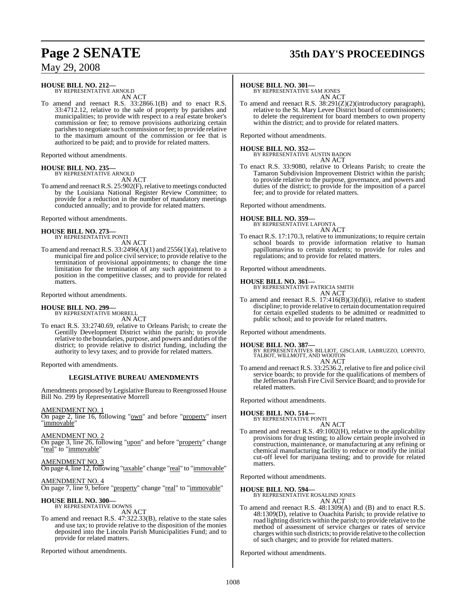# **Page 2 SENATE 35th DAY'S PROCEEDINGS**

May 29, 2008

#### **HOUSE BILL NO. 212—** BY REPRESENTATIVE ARNOLD

AN ACT

To amend and reenact R.S. 33:2866.1(B) and to enact R.S. 33:4712.12, relative to the sale of property by parishes and municipalities; to provide with respect to a real estate broker's commission or fee; to remove provisions authorizing certain parishesto negotiate such commission or fee; to provide relative to the maximum amount of the commission or fee that is authorized to be paid; and to provide for related matters.

Reported without amendments.

#### **HOUSE BILL NO. 235—**

BY REPRESENTATIVE ARNOLD AN ACT

To amend and reenact R.S. 25:902(F), relative to meetings conducted by the Louisiana National Register Review Committee; to provide for a reduction in the number of mandatory meetings conducted annually; and to provide for related matters.

Reported without amendments.

# **HOUSE BILL NO. 273—** BY REPRESENTATIVE PONTI

AN ACT

To amend and reenact R.S.  $33:2496(A)(1)$  and  $2556(1)(a)$ , relative to municipal fire and police civil service; to provide relative to the termination of provisional appointments; to change the time limitation for the termination of any such appointment to a position in the competitive classes; and to provide for related matters.

Reported without amendments.

# **HOUSE BILL NO. 299—** BY REPRESENTATIVE MORRELL

AN ACT

To enact R.S. 33:2740.69, relative to Orleans Parish; to create the Gentilly Development District within the parish; to provide relative to the boundaries, purpose, and powers and duties of the district; to provide relative to district funding, including the authority to levy taxes; and to provide for related matters.

Reported with amendments.

#### **LEGISLATIVE BUREAU AMENDMENTS**

Amendments proposed by Legislative Bureau to Reengrossed House Bill No. 299 by Representative Morrell

AMENDMENT NO. 1

On page 2, line 16, following "<u>own</u>" and before "property" insert "immovable"

AMENDMENT NO. 2 On page 3, line 26, following "upon" and before "property" change "<u>real</u>" to "<u>immovable</u>"

AMENDMENT NO. 3 On page 4, line 12, following "taxable" change "real" to "immovable"

AMENDMENT NO. 4 On page 7, line 9, before "property" change "real" to "immovable"

**HOUSE BILL NO. 300—** BY REPRESENTATIVE DOWNS

AN ACT

To amend and reenact R.S. 47:322.33(B), relative to the state sales and use tax; to provide relative to the disposition of the monies deposited into the Lincoln Parish Municipalities Fund; and to provide for related matters.

Reported without amendments.

#### **HOUSE BILL NO. 301—**

BY REPRESENTATIVE SAM JONES AN ACT

To amend and reenact R.S. 38:291(Z)(2)(introductory paragraph), relative to the St. Mary Levee District board of commissioners; to delete the requirement for board members to own property within the district; and to provide for related matters.

Reported without amendments.

**HOUSE BILL NO. 352—** BY REPRESENTATIVE AUSTIN BADON

- AN ACT
- To enact R.S. 33:9080, relative to Orleans Parish; to create the Tamaron Subdivision Improvement District within the parish; to provide relative to the purpose, governance, and powers and duties of the district; to provide for the imposition of a parcel fee; and to provide for related matters.

Reported without amendments.

#### **HOUSE BILL NO. 359—**

BY REPRESENTATIVE LAFONTA AN ACT

To enact R.S. 17:170.3, relative to immunizations; to require certain school boards to provide information relative to human papillomavirus to certain students; to provide for rules and regulations; and to provide for related matters.

Reported without amendments.

**HOUSE BILL NO. 361—** BY REPRESENTATIVE PATRICIA SMITH AN ACT

To amend and reenact R.S.  $17:416(B)(3)(d)(i)$ , relative to student discipline; to provide relative to certain documentation required for certain expelled students to be admitted or readmitted to public school; and to provide for related matters.

Reported without amendments.

**HOUSE BILL NO. 387—** BY REPRESENTATIVES BILLIOT, GISCLAIR, LABRUZZO, LOPINTO, TALBOT, WILLMOTT, AND WOOTON AN ACT

To amend and reenact R.S. 33:2536.2, relative to fire and police civil service boards; to provide for the qualifications of members of the Jefferson Parish Fire Civil Service Board; and to provide for related matters.

Reported without amendments.

**HOUSE BILL NO. 514—** BY REPRESENTATIVE PONTI

AN ACT

To amend and reenact R.S. 49:1002(H), relative to the applicability provisions for drug testing; to allow certain people involved in construction, maintenance, or manufacturing at any refining or chemical manufacturing facility to reduce or modify the initial cut-off level for marijuana testing; and to provide for related matters.

Reported without amendments.

#### **HOUSE BILL NO. 594—**

BY REPRESENTATIVE ROSALIND JONES AN ACT

To amend and reenact R.S. 48:1309(A) and (B) and to enact R.S. 48:1309(D), relative to Ouachita Parish; to provide relative to road lighting districts within the parish; to provide relative to the method of assessment of service charges or rates of service chargeswithin such districts; to provide relative to the collection of such charges; and to provide for related matters.

Reported without amendments.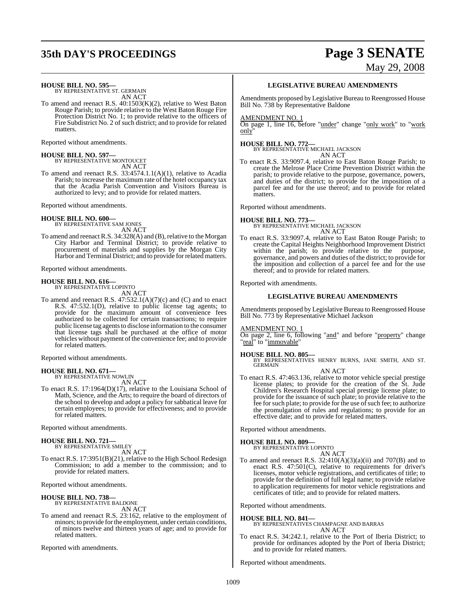# **35th DAY'S PROCEEDINGS Page 3 SENATE**

# May 29, 2008

**HOUSE BILL NO. 595—**

BY REPRESENTATIVE ST. GERMAIN AN ACT

To amend and reenact R.S. 40:1503(K)(2), relative to West Baton Rouge Parish; to provide relative to the West Baton Rouge Fire Protection District No. 1; to provide relative to the officers of Fire Subdistrict No. 2 of such district; and to provide for related matters.

Reported without amendments.

# **HOUSE BILL NO. 597—** BY REPRESENTATIVE MONTOUCET

AN ACT

To amend and reenact R.S. 33:4574.1.1(A)(1), relative to Acadia Parish; to increase the maximum rate of the hotel occupancy tax that the Acadia Parish Convention and Visitors Bureau is authorized to levy; and to provide for related matters.

Reported without amendments.

#### **HOUSE BILL NO. 600—**

BY REPRESENTATIVE SAM JONES AN ACT

To amend and reenact R.S. 34:328(A) and (B), relative to the Morgan City Harbor and Terminal District; to provide relative to procurement of materials and supplies by the Morgan City Harbor and Terminal District; and to provide for related matters.

Reported without amendments.

# **HOUSE BILL NO. 616—** BY REPRESENTATIVE LOPINTO

AN ACT

To amend and reenact R.S. 47:532.1(A)(7)(c) and (C) and to enact R.S. 47:532.1(D), relative to public license tag agents; to provide for the maximum amount of convenience fees authorized to be collected for certain transactions; to require public license tag agents to disclose information to the consumer that license tags shall be purchased at the office of motor vehicles without payment of the convenience fee; and to provide for related matters.

Reported without amendments.

## **HOUSE BILL NO. 671—**

BY REPRESENTATIVE NOWLIN AN ACT

To enact R.S. 17:1964(D)(17), relative to the Louisiana School of Math, Science, and the Arts; to require the board of directors of the school to develop and adopt a policy for sabbatical leave for certain employees; to provide for effectiveness; and to provide for related matters.

Reported without amendments.

#### **HOUSE BILL NO. 721—**

BY REPRESENTATIVE SMILEY AN ACT

To enact R.S. 17:3951(B)(21), relative to the High School Redesign Commission; to add a member to the commission; and to provide for related matters.

Reported without amendments.

#### **HOUSE BILL NO. 738—**

BY REPRESENTATIVE BALDONE AN ACT

To amend and reenact R.S. 23:162, relative to the employment of minors; to provide for the employment, under certain conditions, of minors twelve and thirteen years of age; and to provide for related matters.

Reported with amendments.

#### **LEGISLATIVE BUREAU AMENDMENTS**

Amendments proposed by Legislative Bureau to Reengrossed House Bill No. 738 by Representative Baldone

#### AMENDMENT NO. 1

On page 1, line 16, before "under" change "only work" to "work only"

#### **HOUSE BILL NO. 772—**

BY REPRESENTATIVE MICHAEL JACKSON AN ACT

To enact R.S. 33:9097.4, relative to East Baton Rouge Parish; to create the Melrose Place Crime Prevention District within the parish; to provide relative to the purpose, governance, powers, and duties of the district; to provide for the imposition of a parcel fee and for the use thereof; and to provide for related matters.

Reported without amendments.

# **HOUSE BILL NO. 773—** BY REPRESENTATIVE MICHAEL JACKSON

AN ACT

To enact R.S. 33:9097.4, relative to East Baton Rouge Parish; to create the Capital Heights Neighborhood Improvement District within the parish; to provide relative to the purpose, governance, and powers and duties of the district; to provide for the imposition and collection of a parcel fee and for the use thereof; and to provide for related matters.

Reported with amendments.

#### **LEGISLATIVE BUREAU AMENDMENTS**

Amendments proposed by Legislative Bureau to Reengrossed House Bill No. 773 by Representative Michael Jackson

#### AMENDMENT NO. 1

On page 2, line 6, following "and" and before "property" change "real" to "immovable"

#### **HOUSE BILL NO. 805—**

BY REPRESENTATIVES HENRY BURNS, JANE SMITH, AND ST. GERMAIN AN ACT

To enact R.S. 47:463.136, relative to motor vehicle special prestige license plates; to provide for the creation of the St. Jude Children's Research Hospital special prestige license plate; to provide for the issuance of such plate; to provide relative to the fee for such plate; to provide for the use of such fee; to authorize the promulgation of rules and regulations; to provide for an effective date; and to provide for related matters.

Reported without amendments.

# **HOUSE BILL NO. 809—** BY REPRESENTATIVE LOPINTO

AN ACT

To amend and reenact R.S. 32:410(A)(3)(a)(ii) and 707(B) and to enact R.S. 47:501(C), relative to requirements for driver's licenses, motor vehicle registrations, and certificates of title; to provide for the definition of full legal name; to provide relative to application requirements for motor vehicle registrations and certificates of title; and to provide for related matters.

Reported without amendments.

**HOUSE BILL NO. 841—** BY REPRESENTATIVES CHAMPAGNE AND BARRAS AN ACT

To enact R.S. 34:242.1, relative to the Port of Iberia District; to provide for ordinances adopted by the Port of Iberia District; and to provide for related matters.

Reported without amendments.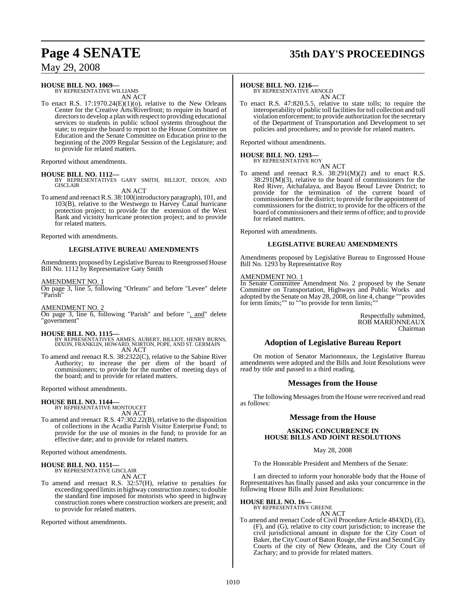# **Page 4 SENATE 35th DAY'S PROCEEDINGS**

## May 29, 2008

#### **HOUSE BILL NO. 1069—**

BY REPRESENTATIVE WILLIAMS AN ACT

To enact R.S. 17:1970.24(E)(1)(o), relative to the New Orleans Center for the Creative Arts/Riverfront; to require its board of directors to develop a plan with respect to providing educational services to students in public school systems throughout the state; to require the board to report to the House Committee on Education and the Senate Committee on Education prior to the beginning of the 2009 Regular Session of the Legislature; and to provide for related matters.

Reported without amendments.

#### **HOUSE BILL NO. 1112—**

BY REPRESENTATIVES GARY SMITH, BILLIOT, DIXON, AND GISCLAIR

AN ACT

To amend and reenactR.S. 38:100(introductory paragraph), 101, and 103(B), relative to the Westwego to Harvey Canal hurricane protection project; to provide for the extension of the West Bank and vicinity hurricane protection project; and to provide for related matters.

Reported with amendments.

#### **LEGISLATIVE BUREAU AMENDMENTS**

Amendments proposed by Legislative Bureau to Reengrossed House Bill No. 1112 by Representative Gary Smith

#### AMENDMENT NO. 1

On page 3, line 5, following "Orleans" and before "Levee" delete "Parish"

## AMENDMENT NO. 2

On page 3, line 6, following "Parish" and before ", and" delete "government"

**HOUSE BILL NO. 1115—** BY REPRESENTATIVES ARMES, AUBERT, BILLIOT, HENRY BURNS, DIXON, FRANKLIN, HOWARD, NORTON, POPE, AND ST. GERMAIN AN ACT

To amend and reenact R.S. 38:2322(C), relative to the Sabine River Authority; to increase the per diem of the board of commissioners; to provide for the number of meeting days of the board; and to provide for related matters.

Reported without amendments.

## **HOUSE BILL NO. 1144—**

BY REPRESENTATIVE MONTOUCET AN ACT

To amend and reenact R.S. 47:302.22(B), relative to the disposition of collections in the Acadia Parish Visitor Enterprise Fund; to provide for the use of monies in the fund; to provide for an effective date; and to provide for related matters.

Reported without amendments.

## **HOUSE BILL NO. 1151—**

BY REPRESENTATIVE GISCLAIR AN ACT

To amend and reenact R.S. 32:57(H), relative to penalties for exceeding speed limits in highway construction zones; to double the standard fine imposed for motorists who speed in highway construction zones where construction workers are present; and to provide for related matters.

Reported without amendments.

#### **HOUSE BILL NO. 1216—**

BY REPRESENTATIVE ARNOLD AN ACT

To enact R.S. 47:820.5.5, relative to state tolls; to require the interoperability of public toll facilities for toll collection and toll violation enforcement; to provide authorization forthe secretary of the Department of Transportation and Development to set policies and procedures; and to provide for related matters.

Reported without amendments.

# **HOUSE BILL NO. 1293—** BY REPRESENTATIVE ROY

AN ACT To amend and reenact R.S. 38:291(M)(2) and to enact R.S.  $38:291(M)(3)$ , relative to the board of commissioners for the Red River, Atchafalaya, and Bayou Beouf Levee District; to provide for the termination of the current board of commissioners for the district; to provide for the appointment of commissioners for the district; to provide for the officers of the board of commissioners and their terms of office; and to provide for related matters.

Reported with amendments.

#### **LEGISLATIVE BUREAU AMENDMENTS**

Amendments proposed by Legislative Bureau to Engrossed House Bill No. 1293 by Representative Roy

#### AMENDMENT NO. 1

In Senate Committee Amendment No. 2 proposed by the Senate Committee on Transportation, Highways and Public Works and adopted by the Senate on May 28, 2008, on line 4, change ""provides for term limits;"" to ""to provide for term limits;""

> Respectfully submitted, ROB MARIONNEAUX Chairman

## **Adoption of Legislative Bureau Report**

On motion of Senator Marionneaux, the Legislative Bureau amendments were adopted and the Bills and Joint Resolutions were read by title and passed to a third reading.

#### **Messages from the House**

The following Messages from the House were received and read as follows:

#### **Message from the House**

#### **ASKING CONCURRENCE IN HOUSE BILLS AND JOINT RESOLUTIONS**

May 28, 2008

To the Honorable President and Members of the Senate:

I am directed to inform your honorable body that the House of Representatives has finally passed and asks your concurrence in the following House Bills and Joint Resolutions:

**HOUSE BILL NO. 16—** BY REPRESENTATIVE GREENE AN ACT

To amend and reenact Code of Civil Procedure Article 4843(D), (E), (F), and (G), relative to city court jurisdiction; to increase the civil jurisdictional amount in dispute for the City Court of Baker, the City Court of Baton Rouge, the First and Second City Courts of the city of New Orleans, and the City Court of Zachary; and to provide for related matters.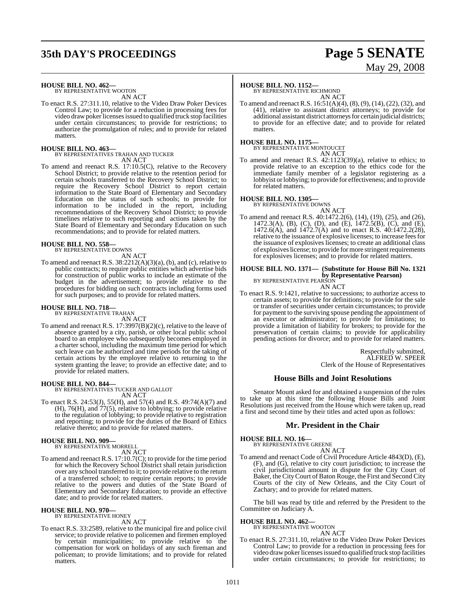# **35th DAY'S PROCEEDINGS Page 5 SENATE**

# May 29, 2008

# **HOUSE BILL NO. 462—** BY REPRESENTATIVE WOOTON

AN ACT

To enact R.S. 27:311.10, relative to the Video Draw Poker Devices Control Law; to provide for a reduction in processing fees for video draw poker licenses issued to qualified truck stop facilities under certain circumstances; to provide for restrictions; to authorize the promulgation of rules; and to provide for related matters.

**HOUSE BILL NO. 463—** BY REPRESENTATIVES TRAHAN AND TUCKER AN ACT

To amend and reenact R.S. 17:10.5(C), relative to the Recovery School District; to provide relative to the retention period for certain schools transferred to the Recovery School District; to require the Recovery School District to report certain information to the State Board of Elementary and Secondary Education on the status of such schools; to provide for information to be included in the report, including recommendations of the Recovery School District; to provide timelines relative to such reporting and actions taken by the State Board of Elementary and Secondary Education on such recommendations; and to provide for related matters.

#### **HOUSE BILL NO. 558—**

BY REPRESENTATIVE DOWNS AN ACT

To amend and reenact R.S.  $38:2212(A)(3)(a)$ , (b), and (c), relative to public contracts; to require public entities which advertise bids for construction of public works to include an estimate of the budget in the advertisement; to provide relative to the procedures for bidding on such contracts including forms used for such purposes; and to provide for related matters.

# **HOUSE BILL NO. 718—** BY REPRESENTATIVE TRAHAN

AN ACT

To amend and reenact R.S. 17:3997(B)(2)(c), relative to the leave of absence granted by a city, parish, or other local public school board to an employee who subsequently becomes employed in a charter school, including the maximum time period for which such leave can be authorized and time periods for the taking of certain actions by the employee relative to returning to the system granting the leave; to provide an effective date; and to provide for related matters.

#### **HOUSE BILL NO. 844—**

BY REPRESENTATIVES TUCKER AND GALLOT AN ACT

To enact R.S. 24:53(J), 55(H), and 57(4) and R.S. 49:74(A)(7) and (H), 76(H), and 77(5), relative to lobbying; to provide relative to the regulation of lobbying; to provide relative to registration and reporting; to provide for the duties of the Board of Ethics relative thereto; and to provide for related matters.

#### **HOUSE BILL NO. 909—**

BY REPRESENTATIVE MORRELL

AN ACT

To amend and reenact R.S. 17:10.7(C); to provide for the time period for which the Recovery School District shall retain jurisdiction over any school transferred to it; to provide relative to the return of a transferred school; to require certain reports; to provide relative to the powers and duties of the State Board of Elementary and Secondary Education; to provide an effective date; and to provide for related matters.

# **HOUSE BILL NO. 970—** BY REPRESENTATIVE HONEY

AN ACT

To enact R.S. 33:2589, relative to the municipal fire and police civil service; to provide relative to policemen and firemen employed by certain municipalities; to provide relative to the compensation for work on holidays of any such fireman and policeman; to provide limitations; and to provide for related matters.

#### **HOUSE BILL NO. 1152—**

BY REPRESENTATIVE RICHMOND AN ACT

To amend and reenact R.S. 16:51(A)(4), (8), (9), (14), (22), (32), and (41), relative to assistant district attorneys; to provide for additional assistant district attorneys for certain judicial districts; to provide for an effective date; and to provide for related matters.

#### **HOUSE BILL NO. 1175—**

BY REPRESENTATIVE MONTOUCET AN ACT

To amend and reenact R.S. 42:1123(39)(a), relative to ethics; to provide relative to an exception to the ethics code for the immediate family member of a legislator registering as a lobbyist orlobbying; to provide for effectiveness; and to provide for related matters.

# **HOUSE BILL NO. 1305—** BY REPRESENTATIVE DOWNS

AN ACT To amend and reenact R.S. 40:1472.2(6), (14), (19), (25), and (26), 1472.3(A), (B), (C), (D), and (E), 1472.5(B), (C), and (E), 1472.6(A), and 1472.7(A) and to enact R.S. 40:1472.2(28), relative to the issuance of explosive licenses; to increase feesfor the issuance of explosives licenses; to create an additional class of explosives license; to provide for more stringent requirements for explosives licenses; and to provide for related matters.

## **HOUSE BILL NO. 1371— (Substitute for House Bill No. 1321**

**by Representative Pearson)** BY REPRESENTATIVE PEARSON

AN ACT

To enact R.S. 9:1421, relative to successions; to authorize access to certain assets; to provide for definitions; to provide for the sale or transfer of securities under certain circumstances; to provide for payment to the surviving spouse pending the appointment of an executor or administrator; to provide for limitations; to provide a limitation of liability for brokers; to provide for the preservation of certain claims; to provide for applicability pending actions for divorce; and to provide for related matters.

> Respectfully submitted, ALFRED W. SPEER Clerk of the House of Representatives

#### **House Bills and Joint Resolutions**

Senator Mount asked for and obtained a suspension of the rules to take up at this time the following House Bills and Joint Resolutions just received from the House which were taken up, read a first and second time by their titles and acted upon as follows:

#### **Mr. President in the Chair**

**HOUSE BILL NO. 16—** BY REPRESENTATIVE GREENE

AN ACT

To amend and reenact Code of Civil Procedure Article 4843(D), (E), (F), and (G), relative to city court jurisdiction; to increase the civil jurisdictional amount in dispute for the City Court of Baker, the City Court of Baton Rouge, the First and Second City Courts of the city of New Orleans, and the City Court of Zachary; and to provide for related matters.

The bill was read by title and referred by the President to the Committee on Judiciary A.

#### **HOUSE BILL NO. 462—**

BY REPRESENTATIVE WOOTON AN ACT

To enact R.S. 27:311.10, relative to the Video Draw Poker Devices Control Law; to provide for a reduction in processing fees for video draw poker licenses issued to qualified truck stop facilities under certain circumstances; to provide for restrictions; to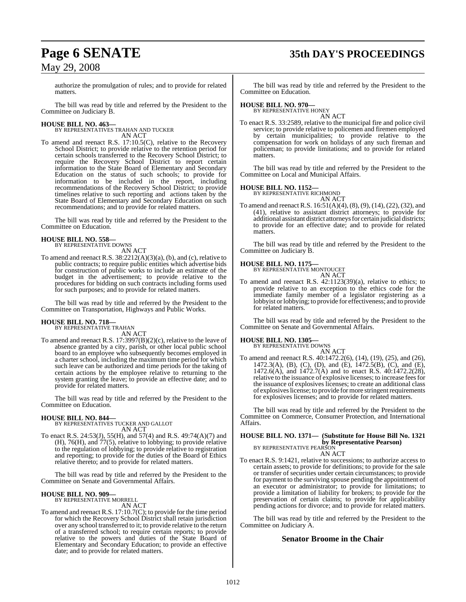# **Page 6 SENATE 35th DAY'S PROCEEDINGS**

May 29, 2008

authorize the promulgation of rules; and to provide for related matters.

The bill was read by title and referred by the President to the Committee on Judiciary B.

#### **HOUSE BILL NO. 463—** BY REPRESENTATIVES TRAHAN AND TUCKER

AN ACT

To amend and reenact R.S. 17:10.5(C), relative to the Recovery School District; to provide relative to the retention period for certain schools transferred to the Recovery School District; to require the Recovery School District to report certain information to the State Board of Elementary and Secondary Education on the status of such schools; to provide for information to be included in the report, including recommendations of the Recovery School District; to provide timelines relative to such reporting and actions taken by the State Board of Elementary and Secondary Education on such recommendations; and to provide for related matters.

The bill was read by title and referred by the President to the Committee on Education.

# **HOUSE BILL NO. 558—** BY REPRESENTATIVE DOWNS

AN ACT

To amend and reenact R.S. 38:2212(A)(3)(a), (b), and (c), relative to public contracts; to require public entities which advertise bids for construction of public works to include an estimate of the budget in the advertisement; to provide relative to the procedures for bidding on such contracts including forms used for such purposes; and to provide for related matters.

The bill was read by title and referred by the President to the Committee on Transportation, Highways and Public Works.

#### **HOUSE BILL NO. 718—** BY REPRESENTATIVE TRAHAN

AN ACT

To amend and reenact R.S. 17:3997(B)(2)(c), relative to the leave of absence granted by a city, parish, or other local public school board to an employee who subsequently becomes employed in a charter school, including the maximum time period for which such leave can be authorized and time periods for the taking of certain actions by the employee relative to returning to the system granting the leave; to provide an effective date; and to provide for related matters.

The bill was read by title and referred by the President to the Committee on Education.

## **HOUSE BILL NO. 844—**

BY REPRESENTATIVES TUCKER AND GALLOT AN ACT

To enact R.S. 24:53(J), 55(H), and 57(4) and R.S. 49:74(A)(7) and  $(H)$ , 76(H), and 77(5), relative to lobbying; to provide relative to the regulation of lobbying; to provide relative to registration and reporting; to provide for the duties of the Board of Ethics relative thereto; and to provide for related matters.

The bill was read by title and referred by the President to the Committee on Senate and Governmental Affairs.

# **HOUSE BILL NO. 909—** BY REPRESENTATIVE MORRELL

AN ACT

To amend and reenact R.S. 17:10.7(C); to provide for the time period for which the Recovery School District shall retain jurisdiction over any school transferred to it; to provide relative to the return of a transferred school; to require certain reports; to provide relative to the powers and duties of the State Board of Elementary and Secondary Education; to provide an effective date; and to provide for related matters.

The bill was read by title and referred by the President to the Committee on Education.

# **HOUSE BILL NO. 970—** BY REPRESENTATIVE HONEY

AN ACT

To enact R.S. 33:2589, relative to the municipal fire and police civil service; to provide relative to policemen and firemen employed by certain municipalities; to provide relative to the compensation for work on holidays of any such fireman and policeman; to provide limitations; and to provide for related matters.

The bill was read by title and referred by the President to the Committee on Local and Municipal Affairs.

# **HOUSE BILL NO. 1152—** BY REPRESENTATIVE RICHMOND

AN ACT

To amend and reenact R.S. 16:51(A)(4), (8), (9), (14), (22), (32), and (41), relative to assistant district attorneys; to provide for additional assistant district attorneys for certain judicial districts; to provide for an effective date; and to provide for related matters.

The bill was read by title and referred by the President to the Committee on Judiciary B.

#### **HOUSE BILL NO. 1175—**

BY REPRESENTATIVE MONTOUCET AN ACT

To amend and reenact R.S. 42:1123(39)(a), relative to ethics; to provide relative to an exception to the ethics code for the immediate family member of a legislator registering as a lobbyist or lobbying; to provide for effectiveness; and to provide for related matters.

The bill was read by title and referred by the President to the Committee on Senate and Governmental Affairs.

# **HOUSE BILL NO. 1305—** BY REPRESENTATIVE DOWNS

AN ACT To amend and reenact R.S. 40:1472.2(6), (14), (19), (25), and (26), 1472.3(A), (B), (C), (D), and (E), 1472.5(B), (C), and (E), 1472.6(A), and 1472.7(A) and to enact R.S. 40:1472.2(28), relative to the issuance of explosive licenses; to increase feesfor the issuance of explosives licenses; to create an additional class of explosives license; to provide for more stringent requirements for explosives licenses; and to provide for related matters.

The bill was read by title and referred by the President to the Committee on Commerce, Consumer Protection, and International Affairs.

**HOUSE BILL NO. 1371— (Substitute for House Bill No. 1321 by Representative Pearson)**<br>BY REPRESENTATIVE PEARSON

AN ACT

To enact R.S. 9:1421, relative to successions; to authorize access to certain assets; to provide for definitions; to provide for the sale or transfer of securities under certain circumstances; to provide for payment to the surviving spouse pending the appointment of an executor or administrator; to provide for limitations; to provide a limitation of liability for brokers; to provide for the preservation of certain claims; to provide for applicability pending actions for divorce; and to provide for related matters.

The bill was read by title and referred by the President to the Committee on Judiciary A.

## **Senator Broome in the Chair**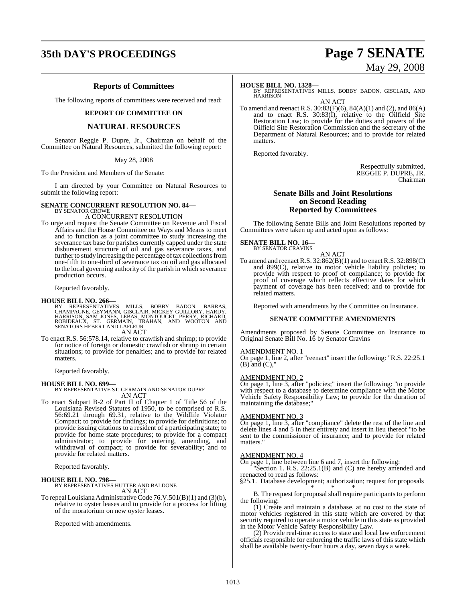# **35th DAY'S PROCEEDINGS Page 7 SENATE**

#### **Reports of Committees**

The following reports of committees were received and read:

#### **REPORT OF COMMITTEE ON**

#### **NATURAL RESOURCES**

Senator Reggie P. Dupre, Jr., Chairman on behalf of the Committee on Natural Resources, submitted the following report:

#### May 28, 2008

To the President and Members of the Senate:

I am directed by your Committee on Natural Resources to submit the following report:

# **SENATE CONCURRENT RESOLUTION NO. 84—** BY SENATOR CROWE

A CONCURRENT RESOLUTION

To urge and request the Senate Committee on Revenue and Fiscal Affairs and the House Committee on Ways and Means to meet and to function as a joint committee to study increasing the severance tax base for parishes currently capped under the state disbursement structure of oil and gas severance taxes, and further to study increasing the percentage of tax collections from one-fifth to one-third of severance tax on oil and gas allocated to the local governing authority of the parish in which severance production occurs.

Reported favorably.

#### **HOUSE BILL NO. 266—**

BY REPRESENTATIVES MILLS, BOBBY BADON, BARRAS,<br>CHAMPAGNE, GEYMANN, GISCLAIR, MICKEY-GUILLORY, HARDY,<br>HARRISON, SAM JONES, LEBAS, MONTOUCET, PERRY, RICHARD,<br>ROBIDEAUX, ST. GERMAIN, TRAHAN, AND WOOTON AND<br>SENATORS-HEBERT-AND AN ACT

To enact R.S. 56:578.14, relative to crawfish and shrimp; to provide for notice of foreign or domestic crawfish or shrimp in certain situations; to provide for penalties; and to provide for related matters.

Reported favorably.

**HOUSE BILL NO. 699—** BY REPRESENTATIVE ST. GERMAIN AND SENATOR DUPRE AN ACT

To enact Subpart B-2 of Part II of Chapter 1 of Title 56 of the Louisiana Revised Statutes of 1950, to be comprised of R.S. 56:69.21 through 69.31, relative to the Wildlife Violator Compact; to provide for findings; to provide for definitions; to provide issuing citations to a resident of a participating state; to provide for home state procedures; to provide for a compact administrator; to provide for entering, amending, and withdrawal of compact; to provide for severability; and to provide for related matters.

Reported favorably.

#### **HOUSE BILL NO. 798—**

BY REPRESENTATIVES HUTTER AND BALDONE AN ACT

To repeal Louisiana Administrative Code 76.V.501(B)(1) and (3)(b), relative to oyster leases and to provide for a process for lifting of the moratorium on new oyster leases.

Reported with amendments.

# May 29, 2008

#### **HOUSE BILL NO. 1328—**

BY REPRESENTATIVES MILLS, BOBBY BADON, GISCLAIR, AND **HARRISON** AN ACT

To amend and reenact R.S. 30:83(F)(6), 84(A)(1) and (2), and 86(A) and to enact R.S. 30:83(I), relative to the Oilfield Site Restoration Law; to provide for the duties and powers of the Oilfield Site Restoration Commission and the secretary of the Department of Natural Resources; and to provide for related matters.

Reported favorably.

Respectfully submitted, REGGIE P. DUPRE, JR. Chairman

#### **Senate Bills and Joint Resolutions on Second Reading Reported by Committees**

The following Senate Bills and Joint Resolutions reported by Committees were taken up and acted upon as follows:

# **SENATE BILL NO. 16—** BY SENATOR CRAVINS

AN ACT To amend and reenact R.S. 32:862(B)(1) and to enact R.S. 32:898(C) and 899(C), relative to motor vehicle liability policies; to provide with respect to proof of compliance; to provide for proof of coverage which reflects effective dates for which payment of coverage has been received; and to provide for related matters.

Reported with amendments by the Committee on Insurance.

#### **SENATE COMMITTEE AMENDMENTS**

Amendments proposed by Senate Committee on Insurance to Original Senate Bill No. 16 by Senator Cravins

#### AMENDMENT NO. 1

On page 1, line 2, after "reenact" insert the following: "R.S. 22:25.1  $(B)$  and  $(C)$ ,

#### AMENDMENT NO. 2

On page 1, line 3, after "policies;" insert the following: "to provide with respect to a database to determine compliance with the Motor Vehicle Safety Responsibility Law; to provide for the duration of maintaining the database;"

#### AMENDMENT NO. 3

On page 1, line 3, after "compliance" delete the rest of the line and delete lines 4 and 5 in their entirety and insert in lieu thereof "to be sent to the commissioner of insurance; and to provide for related matters."

#### AMENDMENT NO. 4

On page 1, line between line 6 and 7, insert the following:

Section 1. R.S. 22:25.1(B) and (C) are hereby amended and reenacted to read as follows:

§25.1. Database development; authorization; request for proposals \* \* \*

B. The request for proposal shall require participants to perform the following:

(1) Create and maintain a database, at no cost to the state of motor vehicles registered in this state which are covered by that security required to operate a motor vehicle in this state as provided in the Motor Vehicle Safety Responsibility Law.

(2) Provide real-time access to state and local law enforcement officials responsible for enforcing the traffic laws of this state which shall be available twenty-four hours a day, seven days a week.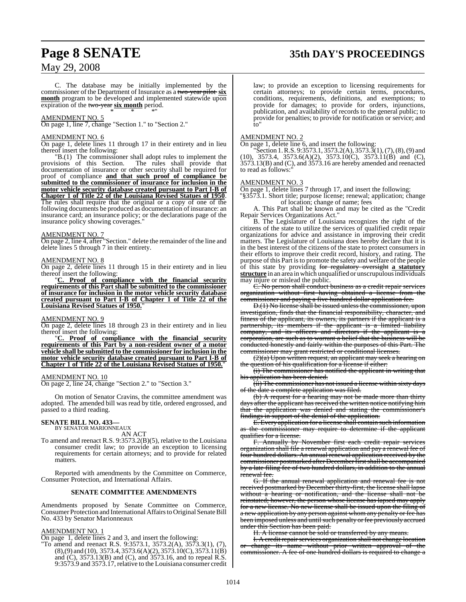# **Page 8 SENATE 35th DAY'S PROCEEDINGS**

## May 29, 2008

C. The database may be initially implemented by the commissioner of the Department of Insurance as a two-year pilot **six month** program to be developed and implemented statewide upon expiration of the two-year **six month** period. \* \* \* \*"

#### AMENDMENT NO. 5

On page 1, line 7, change "Section 1." to "Section 2."

#### AMENDMENT NO. 6

On page 1, delete lines 11 through 17 in their entirety and in lieu thereof insert the following:

"B.(1) The commissioner shall adopt rules to implement the provisions of this Section. The rules shall provide that documentation of insurance or other security shall be required for proof of compliance **and that such proof of compliance be submitted to the commissioner of insurance for inclusion in the motor vehicle security database created pursuant to Part I-B of Chapter 1 of Title 22 of the Louisiana Revised Statues of 1950**. The rules shall require that the original or a copy of one of the following documents be produced as documentation of insurance: an insurance card; an insurance policy; or the declarations page of the insurance policy showing coverages."

#### AMENDMENT NO. 7

On page 2, line 4, after "Section." delete the remainder of the line and delete lines 5 through 7 in their entirety.

#### AMENDMENT NO. 8

On page 2, delete lines 11 through 15 in their entirety and in lieu thereof insert the following:

"**C. Proof of compliance with the financial security requirements of this Part shall be submitted to the commissioner of insurance for inclusion in the motor vehicle security database created pursuant to Part I-B of Chapter 1 of Title 22 of the Louisiana Revised Statues of 1950.**"

#### AMENDMENT NO. 9

On page 2, delete lines 18 through 23 in their entirety and in lieu thereof insert the following:

"**C. Proof of compliance with the financial security requirements of this Part by a non-resident owner of a motor vehicle shall be submitted to the commissioner for inclusion in the motor vehicle security database created pursuant to Part I-B of Chapter 1 of Title 22 of the Louisiana Revised Statues of 1950.**"

#### AMENDMENT NO. 10

On page 2, line 24, change "Section 2." to "Section 3."

On motion of Senator Cravins, the committee amendment was adopted. The amended bill was read by title, ordered engrossed, and passed to a third reading.

# **SENATE BILL NO. 433—** BY SENATOR MARIONNEAUX

AN ACT

To amend and reenact R.S. 9:3573.2(B)(5), relative to the Louisiana consumer credit law; to provide an exception to licensing requirements for certain attorneys; and to provide for related matters.

Reported with amendments by the Committee on Commerce, Consumer Protection, and International Affairs.

#### **SENATE COMMITTEE AMENDMENTS**

Amendments proposed by Senate Committee on Commerce, Consumer Protection and International Affairs to Original Senate Bill No. 433 by Senator Marionneaux

#### AMENDMENT NO. 1

On page 1, delete lines 2 and 3, and insert the following:

"To amend and reenact R.S. 9:3573.1, 3573.2(A), 3573.3(1), (7),  $(8)$ , $(9)$  and  $(10)$ , 3573.4, 3573.6 $(A)(2)$ , 3573.10 $(C)$ , 3573.11 $(B)$ and (C), 3573.13(B) and (C), and 3573.16, and to repeal R.S. 9:3573.9 and 3573.17, relative to the Louisiana consumer credit

law; to provide an exception to licensing requirements for certain attorneys; to provide certain terms, procedures, conditions, requirements, definitions, and exemptions; to provide for damages; to provide for orders, injunctions, publication, and availability of records to the general public; to provide for penalties; to provide for notification or service; and to"

#### AMENDMENT NO. 2

On page 1, delete line 6, and insert the following:

"Section 1. R.S. 9:3573.1, 3573.2(A), 3573.3(1), (7), (8), (9) and (10), 3573.4, 3573.6(A)(2), 3573.10(C), 3573.11(B) and (C), 3573.13(B) and (C), and 3573.16 are hereby amended and reenacted to read as follows:

#### AMENDMENT NO. 3

On page 1, delete lines 7 through 17, and insert the following:

"§3573.1. Short title; purpose license; renewal; application; change of location; change of name; fees

A. This Part shall be known and may be cited as the "Credit Repair Services Organizations Act."

B. The Legislature of Louisiana recognizes the right of the citizens of the state to utilize the services of qualified credit repair organizations for advice and assistance in improving their credit matters. The Legislature of Louisiana does hereby declare that it is in the best interest of the citizens of the state to protect consumers in their efforts to improve their credit record, history, and rating. The purpose of this Part is to promote the safety and welfare of the people of this state by providing for regulatory oversight **a statutory structure** in an area in which unqualified or unscrupulous individuals may injure or mislead the public.

C. No person shall conduct business as a credit repair services organization without first having obtained a license from the commissioner and paying a five hundred dollar application fee.

D.(1) No license shall be issued unless the commissioner, upon investigation, finds that the financial responsibility, character, and fitness of the applicant, its owners, its partners if the applicant is a partnership, its members if the applicant is a limited liability company, and its officers and directors if the applicant is a corporation, are such as to warrant a belief that the business will be conducted honestly and fairly within the purposes of this Part. The commissioner may grant restricted or conditional licenses

(2)(a) Upon written request, an applicant may seek a hearing on the question of his qualification for a license if either:

(i) The commissioner has notified the applicant in writing that his application has been denied.

 $\overline{\text{in}}$ ) The commissioner has not issued a license within sixty days of the date a complete application was filed.

(b) A request for a hearing may not be made more than thirty days after the applicant has received the written notice notifying him that the application was denied and stating the commissioner's findings in support of the denial of the application.

E. Every application for a license shall contain such information the commissioner may require to determine if the applicant qualifies for a license.

F. Annually by November first each credit repair services organization shall file a renewal application and pay a renewal fee of four hundred dollars. An annual renewal application received by the commissioner postmarked after Decemberfirstshall be accompanied by a late filing fee of two hundred dollars, in addition to the annual renewal fee.

G. If the annual renewal application and renewal fee received postmarked by December thirty-first, the license shall lapse without a hearing or notification, and the license shall not be reinstated; however, the person whose license has lapsed may apply for a new license. No new license shall be issued upon the filing of a new application by any person against whom any penalty or fee has been imposed unless and until such penalty or fee previously accrued under this Section has been paid.

H. A license cannot be sold or transferred by any means.

I. A credit repair services organization shall not change location or change its name without prior written approval of the commissioner. A fee of one hundred dollars is required to change a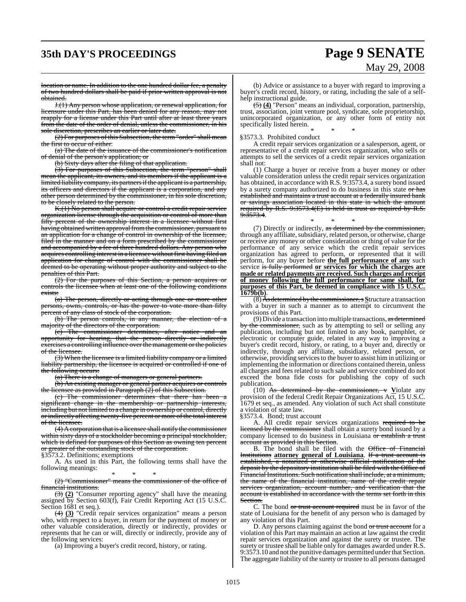# **35th DAY'S PROCEEDINGS Page 9 SENATE**

# May 29, 2008

location or name. In addition to the one hundred dollar fee, a penalty of two hundred dollars shall be paid if prior written approval is not obtained.

J.(1) Any person whose application, or renewal application, for licensure under this Part, has been denied for any reason, may not reapply for a license under this Part until after at least three years from the date of the order of denial, unless the commissioner, in his sole discretion, prescribes an earlier or later date.

(2) For purposes of this Subsection, the term "order" shall mean first to occur of either:

(a) The date of the issuance of the commissioner's notification of denial of the person's application; or

(b) Sixty days after the filing of that application.

(3) For purposes of this Subsection, the term "person" shall mean the applicant, its owners, and its members if the applicant is a limited liability company, its partners if the applicant is a partnership, its officers and directors if the applicant is a corporation, and any other person determined by the commissioner, in his sole discretion, to be closely related to the person.

K.(1) No person shall acquire or control a credit repair service anization license through the acquisition or control of more than fifty percent of the ownership interest in a licensee without first having obtained written approval from the commissioner, pursuant to an application for a change of control in ownership of the licensee, filed in the manner and on a form prescribed by the commissioner and accompanied by a fee of three hundred dollars. Any person who acquires controlling interest in a licensee without first having filed an application for change of control with the commissioner shall be deemed to be operating without proper authority and subject to the penalties of this Part.

(2) For the purposes of this Section, a person acquires or controls the licensee when at least one of the following conditions exists:

(a) The person, directly or acting through one or more other ersons, owns, controls, or has the power to vote more than fifty percent of any class of stock of the corporation.

(b) The person controls, in any manner, the election of a majority of the directors of the corporation.

(c) The commissioner determines, after notice and an opportunity for hearing, that the person directly or indirectly exercises a controlling influence over the management or the policies of the licensee.

(3) When the licensee is a limited liability company or a limited liability partnership, the licensee is acquired or controlled if one of the following occurs:

(a) There is a change of managers or general partners.

(b) An existing manager or general partner acquires or controls the licensee as provided in Paragraph  $(2)$  of this Subsection.

 $(e)$  The commissioner determines that there has been as significant change in the membership or partnership interests, including but not limited to a change in ownership or control, directly or indirectly affecting twenty-five percent or more of the total interest of the licensee.

(4) A corporation that is a licensee shall notify the commissioner within sixty days of a stockholder becoming a principal stockholder, which is defined for purposes of this Section as owning ten percent greater of the outstanding stock of the corporation.

§3573.2. Definitions; exemptions A. As used in this Part, the following terms shall have the following meanings:

\* \* \*

"Commissioner" means the commissioner of the office of  $(2)$  "Commission<br>financial institutions.

(3) **(2)** "Consumer reporting agency" shall have the meaning assigned by Section 603(f), Fair Credit Reporting Act (15 U.S.C. Section 1681 et seq.).

(4) **(3)** "Credit repair services organization" means a person who, with respect to a buyer, in return for the payment of money or other valuable consideration, directly or indirectly, provides or represents that he can or will, directly or indirectly, provide any of the following services:

(a) Improving a buyer's credit record, history, or rating.

(b) Advice or assistance to a buyer with regard to improving a buyer's credit record, history, or rating, including the sale of a selfhelp instructional guide.

(5) **(4)** "Person" means an individual, corporation, partnership, trust, association, joint venture pool, syndicate, sole proprietorship, unincorporated organization, or any other form of entity not specifically listed herein.

\* \* \* §3573.3. Prohibited conduct

A credit repair services organization or a salesperson, agent, or representative of a credit repair services organization, who sells or attempts to sell the services of a credit repair services organization shall not:

(1) Charge a buyer or receive from a buyer money or other valuable consideration unless the credit repair services organization has obtained, in accordance with R.S. 9:3573.4, a surety bond issued by a surety company authorized to do business in this state or has established and maintains a trust account at a federally insured bank or savings association located in this state in which the amount required by R.S. 9:3573.4(E) is held in trust as required by R.S.  $9:3573.4.$ 

\* \* \* (7) Directly or indirectly, as determined by the commissioner, through any affiliate, subsidiary, related person, or otherwise, charge or receive any money or other consideration or thing of value for the performance of any service which the credit repair services organization has agreed to perform, or represented that it will perform, for any buyer before **the full performance of any** such service is fully performed **or services for which the charges are made or related payments are received. Such charges and receipt of money following the full performance for same shall, for purposes of this Part, be deemed in compliance with 15 U.S.C. 1679b(b)**.

(8) As determined by the commissioner,s **S**tructure a transaction with a buyer in such a manner as to attempt to circumvent the provisions of this Part.

(9) Divide a transaction into multiple transactions, as determined the commissioner, such as by attempting to sell or selling any publication, including but not limited to any book, pamphlet, or electronic or computer guide, related in any way to improving a buyer's credit record, history, or rating, to a buyer and, directly or indirectly, through any affiliate, subsidiary, related person, or otherwise, providing servicesto the buyer to assist him in utilizing or implementing the information or directions contained therein, unless all charges and fees related to such sale and service combined do not exceed the bona fide costs for publishing the copy of such publication.

(10) As determined by the commissioner, v **V**iolate any provision of the federal Credit Repair Organizations Act, 15 U.S.C. 1679 et seq., as amended. Any violation of such Act shall constitute a violation of state law.

§3573.4. Bond; trust account

A. All credit repair services organizations required to be licensed by the commissioner shall obtain a surety bond issued by a company licensed to do business in Louisiana or establish a trust account as provided in this Section.

B. The bond shall be filed with the Office of Financial Institutions **attorney general of Louisiana**. If a trust account is established, a notarized or otherwise official notification of the deposit by the depository institution shall be filed with the Office of Financial Institutions. Such notification shall include, at a minimum, the name of the financial institution, name of the credit repair services organization, account number, and verification that the account is established in accordance with the terms set forth in this **Section** 

C. The bond or trust account required must be in favor of the state of Louisiana for the benefit of any person who is damaged by any violation of this Part.

D. Any persons claiming against the bond or trust account for a violation of this Part may maintain an action at law against the credit repair services organization and against the surety or trustee. The surety or trustee shall be liable only for damages awarded under R.S. 9:3573.10 and not the punitive damages permitted under that Section. The aggregate liability of the surety or trustee to all persons damaged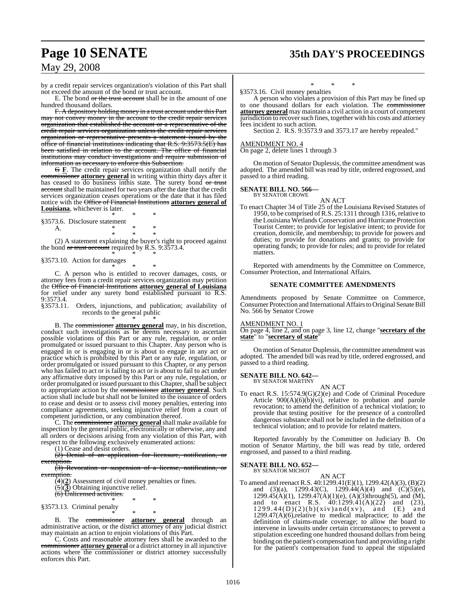# **Page 10 SENATE 35th DAY'S PROCEEDINGS**

May 29, 2008

by a credit repair services organization's violation of this Part shall not exceed the amount of the bond or trust account.

E. The bond or the trust account shall be in the amount of one hundred thousand dollars.

F. A depository holding money in a trust account under this Part may not convey money in the account to the credit repair services organization that established the account or a representative of the credit repair services organization unless the credit repair services organization or representative presents a statement issued by the office of financial institutions indicating that R.S.  $9:3573.5(E)$  has been satisfied in relation to the account. The office of financial institutions may conduct investigations and require submission of information as necessary to enforce this Subsection.

G **F**. The credit repair services organization shall notify the commissioner **attorney general** in writing within thirty days after it has ceased to do business inthis state. The surety bond or trust account shall be maintained for two years after the date that the credit services organization ceases operations or the date that it has filed notice with the Office of Financial Institutions **attorney general of Louisiana**, whichever is later.

\* \* \* §3573.6. Disclosure statement

|  | $(2)$ A statement evolution the buyer |  |  |
|--|---------------------------------------|--|--|

(2) A statement explaining the buyer's right to proceed against the bond  $\sigma r$  trust account required by R.S. 9:3573.4. \* \* \*

§3573.10. Action for damages

\* \* \* C. A person who is entitled to recover damages, costs, or attorney fees from a credit repair services organization may petition the Office of Financial Institutions **attorney general of Louisiana** for relief under any surety bond established pursuant to R.S. 9:3573.4.<br>§3573.11.

Orders, injunctions, and publication; availability of records to the general public

\* \* \* B. The commissioner **attorney general** may, in his discretion, conduct such investigations as he deems necessary to ascertain possible violations of this Part or any rule, regulation, or order promulgated or issued pursuant to this Chapter. Any person who is engaged in or is engaging in or is about to engage in any act or practice which is prohibited by this Part or any rule, regulation, or order promulgated or issued pursuant to this Chapter, or any person who has failed to act or is failing to act or is about to fail to act under any affirmative duty imposed by this Part or any rule, regulation, or order promulgated or issued pursuant to this Chapter, shall be subject to appropriate action by the commissioner **attorney general**. Such action shall include but shall not be limited to the issuance of orders to cease and desist or to assess civil money penalties, entering into compliance agreements, seeking injunctive relief from a court of competent jurisdiction, or any combination thereof.

C. The commissioner **attorney general**shall make available for inspection by the general public, electronically or otherwise, any and all orders or decisions arising from any violation of this Part, with respect to the following exclusively enumerated actions:

(1) Cease and desist orders.

(2) Denial of an application for licensure, notification, or exemption.

(3) Revocation or suspension of a license, notification, or exemption.

(4)(**2**) Assessment of civil money penalties or fines.

 $(5)(\overline{3})$  Obtaining injunctive relief.

(6) Unlicensed activities.

\* \* \* §3573.13. Criminal penalty

\* \* \* B. The commissioner **attorney general** through an administrative action, or the district attorney of any judicial district may maintain an action to enjoin violations of this Part.

C. Costs and reasonable attorney fees shall be awarded to the commissioner **attorney general** or a district attorney in all injunctive actions where the commissioner or district attorney successfully enforces this Part.

\* \* \* §3573.16. Civil money penalties

A person who violates a provision of this Part may be fined up to one thousand dollars for each violation. The commissioner **attorney general** may maintain a civil action in a court of competent jurisdiction to recover such fines, together with his costs and attorney fees incident to such action.

Section 2. R.S. 9:3573.9 and 3573.17 are hereby repealed."

#### AMENDMENT NO. 4

On page 2, delete lines 1 through 3

On motion of Senator Duplessis, the committee amendment was adopted. The amended bill was read by title, ordered engrossed, and passed to a third reading.

# **SENATE BILL NO. 566—** BY SENATOR CROWE

AN ACT

To enact Chapter 34 of Title 25 of the Louisiana Revised Statutes of 1950, to be comprised ofR.S. 25:1311 through 1316, relative to the Louisiana Wetlands Conservation and Hurricane Protection Tourist Center; to provide for legislative intent; to provide for creation, domicile, and membership; to provide for powers and duties; to provide for donations and grants; to provide for operating funds; to provide for rules; and to provide for related matters.

Reported with amendments by the Committee on Commerce, Consumer Protection, and International Affairs.

#### **SENATE COMMITTEE AMENDMENTS**

Amendments proposed by Senate Committee on Commerce, Consumer Protection and International Affairsto Original Senate Bill No. 566 by Senator Crowe

#### AMENDMENT NO. 1

On page 4, line 2, and on page 3, line 12, change "**secretary of the state**" to "**secretary of state**"

On motion of Senator Duplessis, the committee amendment was adopted. The amended bill was read by title, ordered engrossed, and passed to a third reading.

#### **SENATE BILL NO. 642—**

BY SENATOR MARTINY AN ACT

To enact R.S. 15:574.9(G)(2)(e) and Code of Criminal Procedure Article  $900(A)(6)(b)(vi)$ , relative to probation and parole revocation; to amend the definition of a technical violation; to provide that testing positive for the presence of a controlled dangerous substance shall not be included in the definition of a technical violation; and to provide for related matters.

Reported favorably by the Committee on Judiciary B. On motion of Senator Martiny, the bill was read by title, ordered engrossed, and passed to a third reading.

#### **SENATE BILL NO. 652—** BY SENATOR MICHOT

AN ACT

To amend and reenact R.S. 40:1299.41(E)(1), 1299.42(A)(3), (B)(2) and (3)(a), 1299.43(C), 1299.44(A)(4) and (C)(5)(e),  $1299.45(A)(1)$ ,  $1299.47(A)(1)(e)$ ,  $(A)(3)$ through(5), and (M), and to enact R.S.  $40:1299.41(A)(22)$  and  $(23)$ ,  $1299.44(D)(2)(b)(xiv)$  and  $(xv)$ , and  $(E)$  and  $1299.47(A)(6)$ , relative to medical malpractice; to add the definition of claims-made coverage; to allow the board to intervene in lawsuits under certain circumstances; to prevent a stipulation exceeding one hundred thousand dollars from being binding on the patient's compensation fund and providing a right for the patient's compensation fund to appeal the stipulated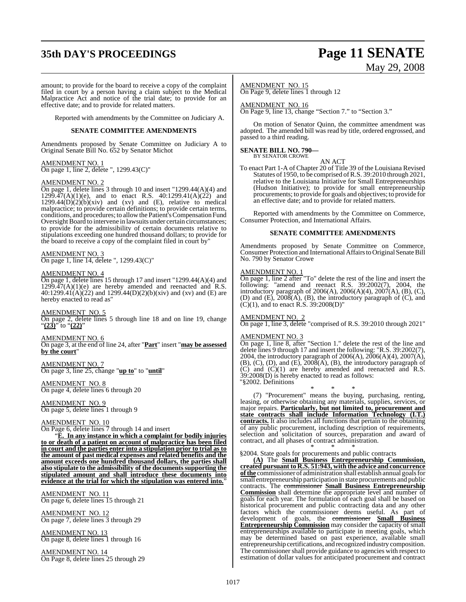# **35th DAY'S PROCEEDINGS Page 11 SENATE**

# May 29, 2008

amount; to provide for the board to receive a copy of the complaint filed in court by a person having a claim subject to the Medical Malpractice Act and notice of the trial date; to provide for an effective date; and to provide for related matters.

Reported with amendments by the Committee on Judiciary A.

#### **SENATE COMMITTEE AMENDMENTS**

Amendments proposed by Senate Committee on Judiciary A to Original Senate Bill No. 652 by Senator Michot

## AMENDMENT NO. 1

On page 1, line 2, delete ", 1299.43(C)"

#### AMENDMENT NO. 2

On page 1, delete lines 3 through 10 and insert "1299.44(A)(4) and  $1299.\overline{47}(A)(1)(e)$ , and to enact R.S.  $40:1299.41(A)(22)$  and  $1299.44(D)(2)(b)(xiv)$  and (xv) and (E), relative to medical malpractice; to provide certain definitions; to provide certain terms, conditions, and procedures; to allowthe Patient's Compensation Fund Oversight Board to intervene in lawsuits under certain circumstances; to provide for the admissibility of certain documents relative to stipulations exceeding one hundred thousand dollars; to provide for the board to receive a copy of the complaint filed in court by"

#### AMENDMENT NO. 3

On page 1, line 14, delete ", 1299.43(C)"

#### AMENDMENT NO. 4

On page 1, delete lines 15 through 17 and insert "1299.44(A)(4) and  $1299.\overline{47}(A)(1)(e)$  are hereby amended and reenacted and R.S. 40:1299.41(A)(22) and 1299.44(D)(2)(b)(xiv) and (xv) and (E) are hereby enacted to read as"

#### AMENDMENT NO. 5

On page 2, delete lines 5 through line 18 and on line 19, change "**(23)**" to "**(22)**"

#### AMENDMENT NO. 6

On page 3, at the end of line 24, after "**Part**" insert "**may be assessed by the court**"

#### AMENDMENT NO. 7 On page 3, line 25, change "**up to**" to "**until**"

AMENDMENT NO. 8 On page 4, delete lines 6 through 20

AMENDMENT NO. 9 On page 5, delete lines 1 through 9

## AMENDMENT NO. 10

On Page 6, delete lines 7 through 14 and insert

"**E. In any instance in which a complaint for bodily injuries to or death of a patient on account of malpractice has been filed in court and the parties enter into a stipulation prior to trial as to the amount of past medical expenses and related benefits and the amount exceeds one hundred thousand dollars, the parties shall also stipulate to the admissibility of the documentssupporting the stipulated amount and shall introduce these documents into evidence at the trial for which the stipulation was entered into.**"

AMENDMENT NO. 11 On page 6, delete lines 15 through 21

AMENDMENT NO. 12 On page 7, delete lines 3 through 29

AMENDMENT NO. 13 On page 8, delete lines 1 through 16

AMENDMENT NO. 14 On Page 8, delete lines 25 through 29

AMENDMENT NO. 15 On Page 9, delete lines 1 through 12

AMENDMENT NO. 16

On Page 9, line 13, change "Section 7." to "Section 3."

On motion of Senator Quinn, the committee amendment was adopted. The amended bill was read by title, ordered engrossed, and passed to a third reading.

## **SENATE BILL NO. 790—**

BY SENATOR CROWE AN ACT

To enact Part 1-A of Chapter 20 of Title 39 of the Louisiana Revised Statutes of 1950, to be comprised ofR.S. 39:2010 through 2021, relative to the Louisiana Initiative for Small Entrepreneurships (Hudson Initiative); to provide for small entrepreneurship procurements; to provide for goals and objectives; to provide for an effective date; and to provide for related matters.

Reported with amendments by the Committee on Commerce, Consumer Protection, and International Affairs.

#### **SENATE COMMITTEE AMENDMENTS**

Amendments proposed by Senate Committee on Commerce, Consumer Protection and International Affairs to Original Senate Bill No. 790 by Senator Crowe

#### AMENDMENT NO. 1

On page 1, line 2 after "To" delete the rest of the line and insert the following: "amend and reenact R.S. 39:2002(7), 2004, the introductory paragraph of  $2006(A)$ ,  $2006(A)(4)$ ,  $2007(A)$ ,  $(B)$ ,  $(C)$ , (D) and  $(E)$ ,  $200\overline{8}$ (A),  $(B)$ , the introductory paragraph of  $(C)$ , and  $(C)(1)$ , and to enact R.S. 39:2008(D)"

#### AMENDMENT NO. 2

On page 1, line 3, delete "comprised of R.S. 39:2010 through 2021"

#### AMENDMENT NO. 3

On page 1, line 8, after "Section 1." delete the rest of the line and delete lines 9 through 17 and insert the following: "R.S. 39:2002(7), 2004, the introductory paragraph of  $2006(A)$ ,  $2006(A)(4)$ ,  $2007(A)$ ,  $(B)$ ,  $(C)$ ,  $(D)$ , and  $(E)$ ,  $200\delta(A)$ ,  $(B)$ , the introductory paragraph of  $(C)$  and  $(C)(1)$  are hereby amended and reenacted and R.S. 39:2008(D) is hereby enacted to read as follows: "§2002. Definitions

#### \* \* \*

(7) "Procurement" means the buying, purchasing, renting, leasing, or otherwise obtaining any materials, supplies, services, or major repairs. **Particularly, but not limited to, procurement and state contracts shall include Information Technology (I.T.) contracts.** It also includes all functions that pertain to the obtaining of any public procurement, including description of requirements, selection and solicitation of sources, preparation and award of contract, and all phases of contract administration.

\* \* \* §2004. State goals for procurements and public contracts

**(A)** The **Small Business Entrepreneurship Commission, created pursuant to R.S. 51:943, with the advice and concurrence ofthe** commissioner of administration shall establish annual goalsfor small entrepreneurship participation in state procurements and public contracts. The commissioner **Small Business Entrepreneurship Commission** shall determine the appropriate level and number of goals for each year. The formulation of each goal shall be based on historical procurement and public contracting data and any other factors which the commissioner deems useful. As part of development of goals, the commissioner **Small Business Entrepreneurship Commission** may consider the capacity of small entrepreneurships available to participate in meeting goals, which may be determined based on past experience, available small entrepreneurship certifications, and recognized industry composition. The commissioner shall provide guidance to agencies with respect to estimation of dollar values for anticipated procurement and contract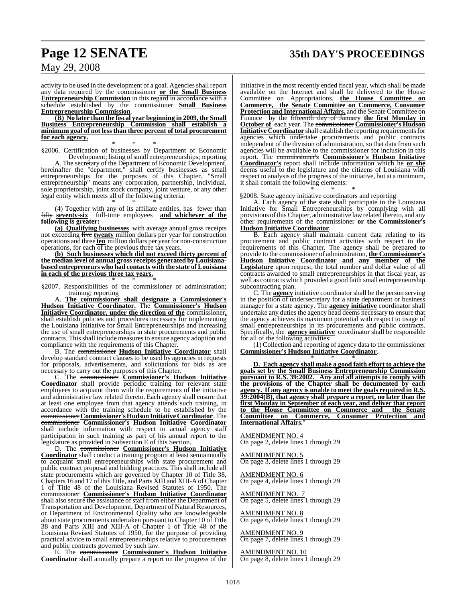# **Page 12 SENATE 35th DAY'S PROCEEDINGS**

May 29, 2008

activity to be used in the development of a goal. Agencies shall report any data required by the commissioner **or the Small Business Entrepreneurship Commission** in this regard in accordance with a schedule established by the commissioner **Small Business Entrepreneurship Commission**.

**(B) No later than the fiscal year beginning in 2009, the Small Business Entrepreneurship Commission shall establish a minimum goal of not less than three percent of total procurement for each agency.**

\* \* \* §2006. Certification of businesses by Department of Economic Development; listing of small entrepreneurships; reporting

A. The secretary of the Department of Economic Development, hereinafter the "department," shall certify businesses as small entrepreneurships for the purposes of this Chapter. "Small entrepreneurship" means any corporation, partnership, individual, sole proprietorship, joint stock company, joint venture, or any other legal entity which meets all of the following criteria:

\* \* \* (4) Together with any of its affiliate entities, has fewer than fifty **seventy-six** full-time employees **and whichever of the following is greater:**

**(a) Qualifying businesses** with average annual gross receipts not exceeding five **twenty** million dollars per year for construction operations and three **ten** million dollars per year for non-construction operations, for each of the previous three tax years.

**(b) Such businesses which did not exceed thirty percent of the median level of annual gross receipts generated by Louisianabased entrepreneurs who had contacts with the state of Louisiana in each of the previous three tax years.** \* \* \*

§2007. Responsibilities of the commissioner of administration; training; reporting

A. **The commissioner shall designate a Commissioner's Hudson Initiative Coordinator.** The **Commissioner's Hudson Initiative Coordinator, under the direction of the** commissioner**,** shall establish policies and procedures necessary for implementing the Louisiana Initiative for Small Entrepreneurships and increasing the use of small entrepreneurships in state procurements and public contracts. This shall include measures to ensure agency adoption and compliance with the requirements of this Chapter.

B. The commissioner **Hudson Initiative Coordinator** shall develop standard contract clauses to be used by agencies in requests for proposals, advertisements, and solicitations for bids as are necessary to carry out the purposes of this Chapter.

C. The commissioner **Commissioner's Hudson Initiative Coordinator** shall provide periodic training for relevant state employees to acquaint them with the requirements of the initiative and administrative law related thereto. Each agency shall ensure that at least one employee from that agency attends such training, in accordance with the training schedule to be established by the commissioner **Commissioner's Hudson Initiative Coordinator**. The commissioner **Commissioner's Hudson Initiative Coordinator** shall include information with respect to actual agency staff participation in such training as part of his annual report to the legislature as provided in Subsection E of this Section.

D. The commissioner **Commissioner's Hudson Initiative Coordinator** shall conduct a training program at least semiannually to acquaint small entrepreneurships with state procurement and public contract proposal and bidding practices. This shall include all state procurements which are governed by Chapter 10 of Title 38, Chapters 16 and 17 of this Title, and Parts XIII and XIII-A of Chapter 1 of Title 48 of the Louisiana Revised Statutes of 1950. The commissioner **Commissioner's Hudson Initiative Coordinator** shall also secure the assistance of staff from either the Department of Transportation and Development, Department of Natural Resources, or Department of Environmental Quality who are knowledgeable about state procurements undertaken pursuant to Chapter 10 of Title 38 and Parts XIII and XIII-A of Chapter 1 of Title 48 of the Louisiana Revised Statutes of 1950, for the purpose of providing practical advice to small entrepreneurships relative to procurements and public contracts governed by such law.

E. The commissioner **Commissioner's Hudson Initiative Coordinator** shall annually prepare a report on the progress of the

initiative in the most recently ended fiscal year, which shall be made available on the Internet and shall be delivered to the House Committee on Appropriations, **the House Committee on Commerce, the Senate Committee on Commerce, Consumer Protection and International Affairs,** and the Senate Committee on Finance by the fifteenth day of January **the first Monday in October of** each year. The commissioner **Commissioner's Hudson Initiative Coordinator** shall establish the reporting requirements for agencies which undertake procurements and public contracts independent of the division of administration, so that data from such agencies will be available to the commissioner for inclusion in this report. The commissioner's **Commissioner's Hudson Initiative Coordinator's** report shall include information which he **or she** deems useful to the legislature and the citizens of Louisiana with respect to analysis of the progress of the initiative, but at a minimum, it shall contain the following elements:

\* \* \* §2008. State agency initiative coordinators and reporting

A. Each agency of the state shall participate in the Louisiana Initiative for Small Entrepreneurships by complying with all provisions ofthisChapter, administrative lawrelated thereto, and any other requirements of the commissioner **or the Commissioner's Hudson Initiative Coordinator**.

B. Each agency shall maintain current data relating to its procurement and public contract activities with respect to the requirements of this Chapter. The agency shall be prepared to provide to the commissioner of administration, **the Commissioner's Hudson Initiative Coordinator and any member of the Legislature** upon request, the total number and dollar value of all contracts awarded to small entrepreneurships in that fiscal year, as well as contracts which provided a good faith small entrepreneurship subcontracting plan.

C. The **agency** initiative coordinator shall be the person serving in the position of undersecretary for a state department or business manager for a state agency. The **agency initiative** coordinator shall undertake any duties the agency head deems necessary to ensure that the agency achieves its maximum potential with respect to usage of small entrepreneurships in its procurements and public contracts. Specifically, the **agency initiative** coordinator shall be responsible for all of the following activities:

(1) Collection and reporting of agency data to the commissioner **Commissioner's Hudson Initiative Coordinator**.

\* \* \* **D. Each agency shall make a good faith effort to achieve the goals set by the Small Business Entrepreneurship Commission pursuant to R.S. 39:2002. Any and all attempts to comply with the provisions of the Chapter shall be documented by each agency. If any agency is unable to meet the goals required in R.S. 39:2004(B), that agency shall prepare a report, no later than the first Monday in September of each year, and deliver that report to the House Committee on Commerce and the Senate Committee on Commerce, Consumer Protection and International Affairs.** 

AMENDMENT NO. 4 On page 2, delete lines 1 through 29

AMENDMENT NO. 5 On page 3, delete lines 1 through 29

AMENDMENT NO. 6 On page 4, delete lines 1 through 29

AMENDMENT NO. 7 On page 5, delete lines 1 through 29

AMENDMENT NO. 8 On page 6, delete lines 1 through 29

AMENDMENT NO. 9 On page 7, delete lines 1 through 29

AMENDMENT NO. 10 On page 8, delete lines 1 through 29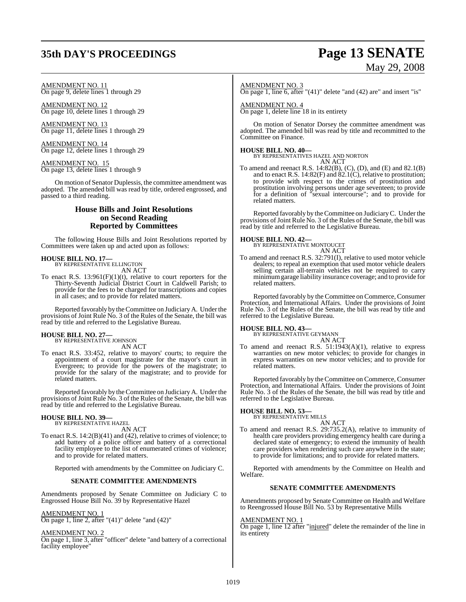# **35th DAY'S PROCEEDINGS Page 13 SENATE**

# May 29, 2008

#### AMENDMENT NO. 11 On page 9, delete lines 1 through 29

AMENDMENT NO. 12 On page 10, delete lines 1 through 29

AMENDMENT NO. 13 On page 11, delete lines 1 through 29

AMENDMENT NO. 14 On page 12, delete lines 1 through 29

#### AMENDMENT NO. 15 On page 13, delete lines 1 through 9

On motion of Senator Duplessis, the committee amendment was adopted. The amended bill was read by title, ordered engrossed, and passed to a third reading.

#### **House Bills and Joint Resolutions on Second Reading Reported by Committees**

The following House Bills and Joint Resolutions reported by Committees were taken up and acted upon as follows:

#### **HOUSE BILL NO. 17—**

BY REPRESENTATIVE ELLINGTON AN ACT

To enact R.S.  $13:961(F)(1)(t)$ , relative to court reporters for the Thirty-Seventh Judicial District Court in Caldwell Parish; to provide for the fees to be charged for transcriptions and copies in all cases; and to provide for related matters.

Reported favorably by theCommittee on JudiciaryA. Under the provisions of Joint Rule No. 3 of the Rules of the Senate, the bill was read by title and referred to the Legislative Bureau.

#### **HOUSE BILL NO. 27—** BY REPRESENTATIVE JOHNSON

AN ACT

To enact R.S. 33:452, relative to mayors' courts; to require the appointment of a court magistrate for the mayor's court in Evergreen; to provide for the powers of the magistrate; to provide for the salary of the magistrate; and to provide for related matters.

Reported favorably by theCommittee on JudiciaryA. Under the provisions of Joint Rule No. 3 of the Rules of the Senate, the bill was read by title and referred to the Legislative Bureau.

#### **HOUSE BILL NO. 39—** BY REPRESENTATIVE HAZEL

AN ACT

To enact R.S. 14:2(B)(41) and (42), relative to crimes of violence; to add battery of a police officer and battery of a correctional facility employee to the list of enumerated crimes of violence; and to provide for related matters.

Reported with amendments by the Committee on Judiciary C.

#### **SENATE COMMITTEE AMENDMENTS**

Amendments proposed by Senate Committee on Judiciary C to Engrossed House Bill No. 39 by Representative Hazel

#### AMENDMENT NO. 1

On page 1, line 2, after " $(41)$ " delete "and  $(42)$ "

#### AMENDMENT NO. 2

On page 1, line 3, after "officer" delete "and battery of a correctional facility employee"

#### AMENDMENT NO. 3

On page 1, line 6, after "(41)" delete "and (42) are" and insert "is"

AMENDMENT NO. 4 On page 1, delete line 18 in its entirety

On motion of Senator Dorsey the committee amendment was adopted. The amended bill was read by title and recommitted to the Committee on Finance.

#### **HOUSE BILL NO. 40—**

BY REPRESENTATIVES HAZEL AND NORTON AN ACT

To amend and reenact R.S. 14:82(B), (C), (D), and (E) and 82.1(B) and to enact R.S. 14:82(F) and 82.1(C), relative to prostitution; to provide with respect to the crimes of prostitution and prostitution involving persons under age seventeen; to provide for a definition of "sexual intercourse"; and to provide for related matters.

Reported favorably by theCommittee on JudiciaryC. Under the provisions of Joint Rule No. 3 of the Rules of the Senate, the bill was read by title and referred to the Legislative Bureau.

**HOUSE BILL NO. 42—** BY REPRESENTATIVE MONTOUCET AN ACT

To amend and reenact R.S. 32:791(I), relative to used motor vehicle dealers; to repeal an exemption that used motor vehicle dealers selling certain all-terrain vehicles not be required to carry minimumgarage liability insurance coverage; and to provide for related matters.

Reported favorably by the Committee on Commerce, Consumer Protection, and International Affairs. Under the provisions of Joint Rule No. 3 of the Rules of the Senate, the bill was read by title and referred to the Legislative Bureau.

**HOUSE BILL NO. 43—** BY REPRESENTATIVE GEYMANN

AN ACT To amend and reenact R.S. 51:1943(A)(1), relative to express warranties on new motor vehicles; to provide for changes in express warranties on new motor vehicles; and to provide for related matters.

Reported favorably by the Committee on Commerce, Consumer Protection, and International Affairs. Under the provisions of Joint Rule No. 3 of the Rules of the Senate, the bill was read by title and referred to the Legislative Bureau.

#### **HOUSE BILL NO. 53—**

BY REPRESENTATIVE MILLS AN ACT

To amend and reenact R.S. 29:735.2(A), relative to immunity of health care providers providing emergency health care during a declared state of emergency; to extend the immunity of health care providers when rendering such care anywhere in the state; to provide for limitations; and to provide for related matters.

Reported with amendments by the Committee on Health and Welfare.

#### **SENATE COMMITTEE AMENDMENTS**

Amendments proposed by Senate Committee on Health and Welfare to Reengrossed House Bill No. 53 by Representative Mills

#### AMENDMENT NO. 1

On page 1, line 12 after "injured" delete the remainder of the line in its entirety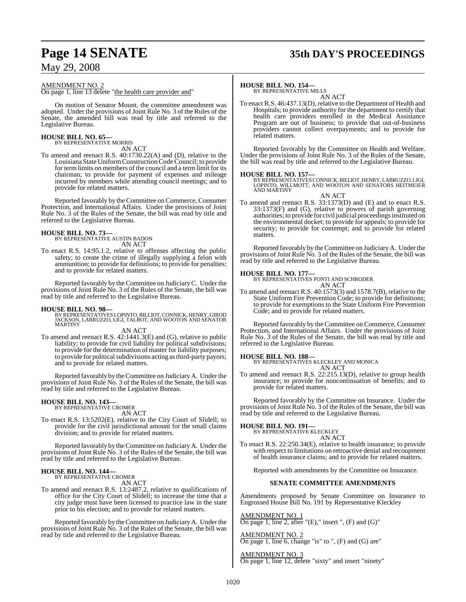# **Page 14 SENATE 35th DAY'S PROCEEDINGS**

## May 29, 2008

#### AMENDMENT NO. 2

On page 1, line 13 delete "the health care provider and"

On motion of Senator Mount, the committee amendment was adopted. Under the provisions of Joint Rule No. 3 of the Rules of the Senate, the amended bill was read by title and referred to the Legislative Bureau.

# **HOUSE BILL NO. 65—** BY REPRESENTATIVE MORRIS

AN ACT

To amend and reenact R.S. 40:1730.22(A) and (D), relative to the Louisiana State Uniform Construction Code Council; to provide for term limits on members of the council and a term limit for its chairman; to provide for payment of expenses and mileage incurred by members while attending council meetings; and to provide for related matters.

Reported favorably by the Committee on Commerce, Consumer Protection, and International Affairs. Under the provisions of Joint Rule No. 3 of the Rules of the Senate, the bill was read by title and referred to the Legislative Bureau.

#### **HOUSE BILL NO. 73—**

BY REPRESENTATIVE AUSTIN BADON AN ACT

To enact R.S. 14:95.1.2, relative to offenses affecting the public safety; to create the crime of illegally supplying a felon with ammunition; to provide for definitions; to provide for penalties; and to provide for related matters.

Reported favorably by theCommittee on JudiciaryC. Under the provisions of Joint Rule No. 3 of the Rules of the Senate, the bill was read by title and referred to the Legislative Bureau.

**HOUSE BILL NO. 98—** BY REPRESENTATIVESLOPINTO,BILLIOT, CONNICK, HENRY, GIROD JACKSON, LABRUZZO, LIGI, TALBOT, AND WOOTON AND SENATOR MARTINY

#### AN ACT

To amend and reenact R.S. 42:1441.3(E) and (G), relative to public liability; to provide for civil liability for political subdivisions; to provide for the determination of master for liability purposes; to provide for political subdivisions acting as third-party payors; and to provide for related matters.

Reported favorably by theCommittee on JudiciaryA. Under the provisions of Joint Rule No. 3 of the Rules of the Senate, the bill was read by title and referred to the Legislative Bureau.

## **HOUSE BILL NO. 143—**

BY REPRESENTATIVE CROMER AN ACT

To enact R.S. 13:5202(E), relative to the City Court of Slidell; to provide for the civil jurisdictional amount for the small claims division; and to provide for related matters.

Reported favorably by theCommittee on JudiciaryA. Under the provisions of Joint Rule No. 3 of the Rules of the Senate, the bill was read by title and referred to the Legislative Bureau.

# **HOUSE BILL NO. 144—** BY REPRESENTATIVE CROMER

AN ACT

To amend and reenact R.S. 13:2487.2, relative to qualifications of office for the City Court of Slidell; to increase the time that a city judge must have been licensed to practice law in the state prior to his election; and to provide for related matters.

Reported favorably by theCommittee on JudiciaryA. Under the provisions of Joint Rule No. 3 of the Rules of the Senate, the bill was read by title and referred to the Legislative Bureau.

#### **HOUSE BILL NO. 154—**

BY REPRESENTATIVE MILLS AN ACT

To enact R.S. 46:437.13(D), relative to the Department of Health and Hospitals; to provide authority for the department to certify that health care providers enrolled in the Medical Assistance Program are out of business; to provide that out-of-business providers cannot collect overpayments; and to provide for related matters.

Reported favorably by the Committee on Health and Welfare. Under the provisions of Joint Rule No. 3 of the Rules of the Senate, the bill was read by title and referred to the Legislative Bureau.

#### **HOUSE BILL NO. 157—**

BY REPRESENTATIVES CONNICK, BILLIOT, HENRY, LABRUZZO, LIGI,<br>LOPINTO, WILLMOTT, AND WOOTON AND SENATORS HEITMEIER AND MARTINY AN ACT

To amend and reenact R.S. 33:1373(D) and (E) and to enact R.S. 33:1373(F) and (G), relative to powers of parish governing authorities; to provide for civil judicial proceedings instituted on the environmental docket; to provide for appeals; to provide for security; to provide for contempt; and to provide for related matters.

Reported favorably by the Committee on JudiciaryA. Under the provisions of Joint Rule No. 3 of the Rules of the Senate, the bill was read by title and referred to the Legislative Bureau.

**HOUSE BILL NO. 177—** BY REPRESENTATIVES PONTI AND SCHRODER AN ACT

To amend and reenact R.S. 40:1573(3) and 1578.7(B), relative to the State Uniform Fire Prevention Code; to provide for definitions; to provide for exemptions to the State Uniform Fire Prevention Code; and to provide for related matters.

Reported favorably by the Committee on Commerce, Consumer Protection, and International Affairs. Under the provisions of Joint Rule No. 3 of the Rules of the Senate, the bill was read by title and referred to the Legislative Bureau.

**HOUSE BILL NO. 188—** BY REPRESENTATIVES KLECKLEY AND MONICA AN ACT

To amend and reenact R.S. 22:215.13(D), relative to group health insurance; to provide for noncontinuation of benefits; and to provide for related matters.

Reported favorably by the Committee on Insurance. Under the provisions of Joint Rule No. 3 of the Rules of the Senate, the bill was read by title and referred to the Legislative Bureau.

# **HOUSE BILL NO. 191—** BY REPRESENTATIVE KLECKLEY

AN ACT

To enact R.S. 22:250.34(E), relative to health insurance; to provide with respect to limitations on retroactive denial and recoupment of health insurance claims; and to provide for related matters.

Reported with amendments by the Committee on Insurance.

#### **SENATE COMMITTEE AMENDMENTS**

Amendments proposed by Senate Committee on Insurance to Engrossed House Bill No. 191 by Representative Kleckley

#### AMENDMENT NO. 1

On page 1, line 2, after " $(E)$ ," insert ",  $(F)$  and  $(G)$ "

#### AMENDMENT NO. 2

On page 1, line 6, change "is" to ",  $(F)$  and  $(G)$  are"

AMENDMENT NO. 3 On page 1, line 12, delete "sixty" and insert "ninety"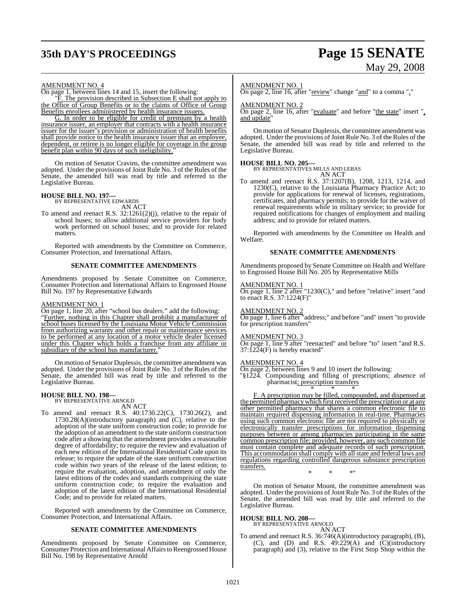# **35th DAY'S PROCEEDINGS Page 15 SENATE**

# May 29, 2008

#### AMENDMENT NO. 4

On page 1, between lines 14 and 15, insert the following:

"F. The provision described in Subsection E shall not apply to the Office of Group Benefits or to the claims of Office of Group Benefits enrollees administered by health insurance issuers.

G. In order to be eligible for credit of premium by a health insurance issuer, an employer that contracts with a health insurance issuer for the issuer's provision or administration of health benefits shall provide notice to the health insurance issuer that an employee, dependent, or retiree is no longer eligible for coverage in the group benefit plan within 90 days of such ineligibility.'

On motion of Senator Cravins, the committee amendment was adopted. Under the provisions of Joint Rule No. 3 of the Rules of the Senate, the amended bill was read by title and referred to the Legislative Bureau.

# **HOUSE BILL NO. 197—** BY REPRESENTATIVE EDWARDS

AN ACT

To amend and reenact R.S. 32:1261(2)(j), relative to the repair of school buses; to allow additional service providers for body work performed on school buses; and to provide for related matters.

Reported with amendments by the Committee on Commerce, Consumer Protection, and International Affairs.

## **SENATE COMMITTEE AMENDMENTS**

Amendments proposed by Senate Committee on Commerce, Consumer Protection and International Affairs to Engrossed House Bill No. 197 by Representative Edwards

#### AMENDMENT NO. 1

On page 1, line 20, after "school bus dealers." add the following: "Further, nothing in this Chapter shall prohibit a manufacturer of school buses licensed by the Louisiana Motor Vehicle Commission from authorizing warranty and other repair or maintenance services to be performed at any location of a motor vehicle dealer licensed under this Chapter which holds a franchise from any affiliate or subsidiary of the school bus manufacturer."

On motion of Senator Duplessis, the committee amendment was adopted. Under the provisions of Joint Rule No. 3 of the Rules of the Senate, the amended bill was read by title and referred to the Legislative Bureau.

#### **HOUSE BILL NO. 198—**

BY REPRESENTATIVE ARNOLD

AN ACT

To amend and reenact R.S. 40:1730.22(C), 1730.26(2), and 1730.28(A)(introductory paragraph) and (C), relative to the adoption of the state uniform construction code; to provide for the adoption of an amendment to the state uniform construction code after a showing that the amendment provides a reasonable degree of affordability; to require the review and evaluation of each new edition of the International Residential Code upon its release; to require the update of the state uniform construction code within two years of the release of the latest edition; to require the evaluation, adoption, and amendment of only the latest editions of the codes and standards comprising the state uniform construction code; to require the evaluation and adoption of the latest edition of the International Residential Code; and to provide for related matters.

Reported with amendments by the Committee on Commerce, Consumer Protection, and International Affairs.

## **SENATE COMMITTEE AMENDMENTS**

Amendments proposed by Senate Committee on Commerce, Consumer Protection and International Affairs to Reengrossed House Bill No. 198 by Representative Arnold

#### AMENDMENT NO. 1

On page 2, line 16, after "review" change "and" to a comma ","

#### AMENDMENT NO. 2

On page 2, line 16, after "evaluate" and before "the state" insert ", and update"

On motion of Senator Duplessis, the committee amendment was adopted. Under the provisions of Joint Rule No. 3 of the Rules of the Senate, the amended bill was read by title and referred to the Legislative Bureau.

**HOUSE BILL NO. 205—** BY REPRESENTATIVES MILLS AND LEBAS AN ACT

To amend and reenact R.S. 37:1207(B), 1208, 1213, 1214, and 1230(C), relative to the Louisiana Pharmacy Practice Act; to provide for applications for renewal of licenses, registrations, certificates, and pharmacy permits; to provide for the waiver of renewal requirements while in military service; to provide for required notifications for changes of employment and mailing address; and to provide for related matters.

Reported with amendments by the Committee on Health and Welfare.

#### **SENATE COMMITTEE AMENDMENTS**

Amendments proposed by Senate Committee on Health and Welfare to Engrossed House Bill No. 205 by Representative Mills

#### AMENDMENT NO. 1

On page 1, line 2 after "1230(C)," and before "relative" insert "and to enact R.S. 37:1224(F)"

#### AMENDMENT NO. 2

On page 1, line 6 after "address;" and before "and" insert "to provide for prescription transfers"

#### AMENDMENT NO. 3

On page 1, line 9 after "reenacted" and before "to" insert "and R.S.  $37:1224(F)$  is hereby enacted"

#### AMENDMENT NO. 4

On page 2, between lines 9 and 10 insert the following:

"§1224. Compounding and filling of prescriptions; absence of pharmacist; prescription transfers \* \* \*

F. A prescription may be filled, compounded, and dispensed at the permitted pharmacy which first received the prescription or at any other permitted pharmacy that shares a common electronic file to maintain required dispensing information in real-time. Pharmacies using such common electronic file are not required to physically or electronically transfer prescriptions for information dispensing purposes between or among pharmacies participating in the same common prescription file; provided, however, any such common file must contain complete and adequate records of such prescription. This accommodation shall comply with all state and federal laws and regulations regarding controlled dangerous substance prescription transfers.

On motion of Senator Mount, the committee amendment was adopted. Under the provisions of Joint Rule No. 3 of the Rules of the Senate, the amended bill was read by title and referred to the Legislative Bureau.

\* \* \*"

**HOUSE BILL NO. 208—** BY REPRESENTATIVE ARNOLD

AN ACT

To amend and reenact R.S. 36:746(A)(introductory paragraph), (B), (C), and (D) and R.S.  $49:229(A)$  and  $(C)(introducing$ paragraph) and (3), relative to the First Stop Shop within the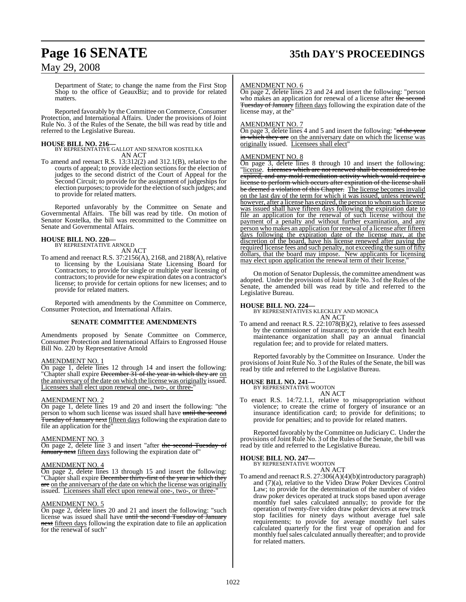# **Page 16 SENATE 35th DAY'S PROCEEDINGS**

## May 29, 2008

Department of State; to change the name from the First Stop Shop to the office of GeauxBiz; and to provide for related matters

Reported favorably by the Committee on Commerce, Consumer Protection, and International Affairs. Under the provisions of Joint Rule No. 3 of the Rules of the Senate, the bill was read by title and referred to the Legislative Bureau.

**HOUSE BILL NO. 216—** BY REPRESENTATIVE GALLOT AND SENATOR KOSTELKA AN ACT

To amend and reenact R.S. 13:312(2) and 312.1(B), relative to the courts of appeal; to provide election sections for the election of judges to the second district of the Court of Appeal for the Second Circuit; to provide for the assignment of judgeships for election purposes; to provide for the election of such judges; and to provide for related matters.

Reported unfavorably by the Committee on Senate and Governmental Affairs. The bill was read by title. On motion of Senator Kostelka, the bill was recommitted to the Committee on Senate and Governmental Affairs.

# **HOUSE BILL NO. 220—** BY REPRESENTATIVE ARNOLD

- AN ACT
- To amend and reenact R.S. 37:2156(A), 2168, and 2188(A), relative to licensing by the Louisiana State Licensing Board for Contractors; to provide for single or multiple year licensing of contractors; to provide for new expiration dates on a contractor's license; to provide for certain options for new licenses; and to provide for related matters.

Reported with amendments by the Committee on Commerce, Consumer Protection, and International Affairs.

#### **SENATE COMMITTEE AMENDMENTS**

Amendments proposed by Senate Committee on Commerce, Consumer Protection and International Affairs to Engrossed House Bill No. 220 by Representative Arnold

#### AMENDMENT NO. 1

On page 1, delete lines 12 through 14 and insert the following: "Chapter shall expire December 31 of the year in which they are on the anniversary of the date on which the license was originally issued. Licensees shall elect upon renewal one-, two-, or three-"

#### AMENDMENT NO. 2

On page 1, delete lines 19 and 20 and insert the following: "the person to whom such license was issued shall have until the second Tuesday of January next fifteen days following the expiration date to file an application for the"

#### AMENDMENT NO. 3

On page 2, delete line 3 and insert "after the second Tuesday of January next fifteen days following the expiration date of"

#### AMENDMENT NO. 4

On page 2, delete lines 13 through 15 and insert the following: "Chapter shall expire December thirty-first of the year in which they are on the anniversary of the date on which the license was originally issued. Licensees shall elect upon renewal one-, two-, or three-

#### AMENDMENT NO. 5

On page 2, delete lines 20 and 21 and insert the following: "such license was issued shall have until the second Tuesday of January next fifteen days following the expiration date to file an application for the renewal of such"

#### AMENDMENT NO. 6

On page 2, delete lines 23 and 24 and insert the following: "person who makes an application for renewal of a license after the second Tuesday of January fifteen days following the expiration date of the license may, at the"

#### AMENDMENT NO. 7

On page 3, delete lines 4 and 5 and insert the following: "of the year in which they are on the anniversary date on which the license was originally issued. Licensees shall elect

#### AMENDMENT NO. 8

On page 3, delete lines 8 through 10 and insert the following: "license. <del>Licenses which are not renewed shall be considered to be</del> expired, and any mold remediation activity which would require a license to perform which occurs after expiration of the license shall be deemed a violation of this Chapter. The license becomes invalid on the last day of the term for which it was issued, unless renewed; however, after a license has expired, the person to whom such license was issued shall have fifteen days following the expiration date to file an application for the renewal of such license without the payment of a penalty and without further examination, and any person who makes an application for renewal of a license after fifteen days following the expiration date of the license may, at the discretion of the board, have his license renewed after paying the required license fees and such penalty, not exceeding the sum of fifty dollars, that the board may impose. New applicants for licensing may elect upon application the renewal term of their license.

On motion of Senator Duplessis, the committee amendment was adopted. Under the provisions of Joint Rule No. 3 of the Rules of the Senate, the amended bill was read by title and referred to the Legislative Bureau.

**HOUSE BILL NO. 224—** BY REPRESENTATIVES KLECKLEY AND MONICA AN ACT

To amend and reenact R.S. 22:1078(B)(2), relative to fees assessed by the commissioner of insurance; to provide that each health maintenance organization shall pay an annual financial regulation fee; and to provide for related matters.

Reported favorably by the Committee on Insurance. Under the provisions of Joint Rule No. 3 of the Rules of the Senate, the bill was read by title and referred to the Legislative Bureau.

# **HOUSE BILL NO. 241—** BY REPRESENTATIVE WOOTON

To enact R.S. 14:72.1.1, relative to misappropriation without violence; to create the crime of forgery of insurance or an insurance identification card; to provide for definitions; to provide for penalties; and to provide for related matters.

AN ACT

Reported favorably by the Committee on JudiciaryC. Under the provisions of Joint Rule No. 3 of the Rules of the Senate, the bill was read by title and referred to the Legislative Bureau.

**HOUSE BILL NO. 247—** BY REPRESENTATIVE WOOTON AN ACT

To amend and reenact R.S. 27:306(A)(4)(b)(introductory paragraph) and (7)(a), relative to the Video Draw Poker Devices Control Law; to provide for the determination of the number of video draw poker devices operated at truck stops based upon average monthly fuel sales calculated annually; to provide for the operation of twenty-five video draw poker devices at new truck stop facilities for ninety days without average fuel sale requirements; to provide for average monthly fuel sales calculated quarterly for the first year of operation and for monthly fuel sales calculated annually thereafter; and to provide for related matters.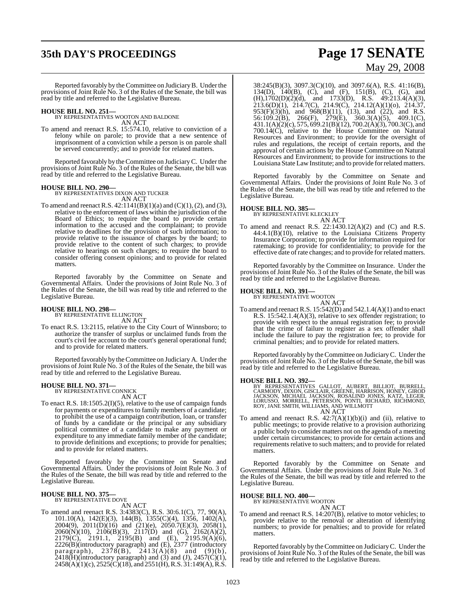# **35th DAY'S PROCEEDINGS Page 17 SENATE**

Reported favorably by the Committee on JudiciaryB. Under the provisions of Joint Rule No. 3 of the Rules of the Senate, the bill was read by title and referred to the Legislative Bureau.

**HOUSE BILL NO. 251—** BY REPRESENTATIVES WOOTON AND BALDONE AN ACT

To amend and reenact R.S. 15:574.10, relative to conviction of a felony while on parole; to provide that a new sentence of imprisonment of a conviction while a person is on parole shall be served concurrently; and to provide for related matters.

Reported favorably by theCommittee on JudiciaryC. Under the provisions of Joint Rule No. 3 of the Rules of the Senate, the bill was read by title and referred to the Legislative Bureau.

**HOUSE BILL NO. 290—** BY REPRESENTATIVES DIXON AND TUCKER AN ACT

To amend and reenact R.S.  $42:1141(B)(1)(a)$  and  $(C)(1), (2)$ , and  $(3)$ , relative to the enforcement of laws within the jurisdiction of the Board of Ethics; to require the board to provide certain information to the accused and the complainant; to provide relative to deadlines for the provision of such information; to provide relative to the issuance of charges by the board; to provide relative to the content of such charges; to provide relative to hearings on such charges; to require the board to consider offering consent opinions; and to provide for related matters.

Reported favorably by the Committee on Senate and Governmental Affairs. Under the provisions of Joint Rule No. 3 of the Rules of the Senate, the bill was read by title and referred to the Legislative Bureau.

# **HOUSE BILL NO. 298—** BY REPRESENTATIVE ELLINGTON

AN ACT

To enact R.S. 13:2115, relative to the City Court of Winnsboro; to authorize the transfer of surplus or unclaimed funds from the court's civil fee account to the court's general operational fund; and to provide for related matters.

Reported favorably by theCommittee on Judiciary A. Under the provisions of Joint Rule No. 3 of the Rules of the Senate, the bill was read by title and referred to the Legislative Bureau.

#### **HOUSE BILL NO. 371—** BY REPRESENTATIVE CONNICK

AN ACT

To enact R.S. 18:1505.2(I)(5), relative to the use of campaign funds for payments or expenditures to family members of a candidate; to prohibit the use of a campaign contribution, loan, or transfer of funds by a candidate or the principal or any subsidiary political committee of a candidate to make any payment or expenditure to any immediate family member of the candidate; to provide definitions and exceptions; to provide for penalties; and to provide for related matters.

Reported favorably by the Committee on Senate and Governmental Affairs. Under the provisions of Joint Rule No. 3 of the Rules of the Senate, the bill was read by title and referred to the Legislative Bureau.

# **HOUSE BILL NO. 375—** BY REPRESENTATIVE DOVE

AN ACT

To amend and reenact R.S. 3:4383(C), R.S. 30:6.1(C), 77, 90(A), 101.10(A), 142(E)(3), 144(B), 1355(C)(4), 1356, 1402(A), 2004(9), 2011(D)(16) and (21)(e), 2050.7(E)(3), 2058(1), 2060(N)(10), 2106(B)(3), 2117(D) and (G), 2162(A)(2), 2179(C), 2191.1, 2195(B) and (E), 2195.9(A)(6), 2226(B)(introductory paragraph) and (E), 2377 (introductory paragraph),  $2378(B)$ ,  $2413(A)(8)$  and  $(9)(b)$ ,  $2418(H)$ (introductory paragraph) and (3) and (J),  $2457(C)(1)$ ,  $2458(A)(1)(c), 2525(C)(18),$  and  $2551(H),$  R.S.  $31:149(A),$  R.S.

# May 29, 2008

38:245(B)(3), 3097.3(C)(10), and 3097.6(A), R.S. 41:16(B), 134(D), 140(B), (C), and (F), 151(B), (C), (G), and (H),1702(D)(2)(d), and 1733(D), R.S. 49:213.4(A)(3), 213.6(D)(1), 214.7(C), 214.9(C), 214.12(A)(1)(o), 214.37,  $953(F)(3)(h)$ , and  $968(B)(11)$ ,  $(13)$ , and  $(22)$ , and R.S. 56:109.2(B), 266(F), 279(E), 360.3(A)(5), 409.1(C), 431.1(A)(2)(c), 575, 699.21(B)(12), 700.2(A)(3), 700.3(C), and 700.14(C), relative to the House Committee on Natural Resources and Environment; to provide for the oversight of rules and regulations, the receipt of certain reports, and the approval of certain actions by the House Committee on Natural Resources and Environment; to provide for instructions to the Louisiana State LawInstitute; and to provide forrelated matters.

Reported favorably by the Committee on Senate and Governmental Affairs. Under the provisions of Joint Rule No. 3 of the Rules of the Senate, the bill was read by title and referred to the Legislative Bureau.

#### **HOUSE BILL NO. 385—**

BY REPRESENTATIVE KLECKLEY AN ACT

To amend and reenact R.S. 22:1430.12(A)(2) and (C) and R.S. 44:4.1(B)(10), relative to the Louisiana Citizens Property Insurance Corporation; to provide for information required for ratemaking; to provide for confidentiality; to provide for the effective date of rate changes; and to provide for related matters.

Reported favorably by the Committee on Insurance. Under the provisions of Joint Rule No. 3 of the Rules of the Senate, the bill was read by title and referred to the Legislative Bureau.

#### **HOUSE BILL NO. 391—**

BY REPRESENTATIVE WOOTON

AN ACT To amend and reenact R.S. 15:542(D) and 542.1.4(A)(1) and to enact R.S. 15:542.1.4(A)(3), relative to sex offender registration; to provide with respect to the annual registration fee; to provide that the crime of failure to register as a sex offender shall include the failure to pay the registration fee; to provide for criminal penalties; and to provide for related matters.

Reported favorably by the Committee on JudiciaryC. Under the provisions of Joint Rule No. 3 of the Rules of the Senate, the bill was read by title and referred to the Legislative Bureau.

**HOUSE BILL NO. 392—**<br>
BY REPRESENTATIVES GALLOT, AUBERT, BILLIOT, BURRELL, CARMODY, DIXON, GISCLAIR, GREENE, HARRISON, HONEY, GIROD<br>
JACKSON, MICHAEL JACKSON, ROSALIND JONES, KATZ, LEGER,<br>
LORUSSO, MORRELL, PETERSON, PONT

To amend and reenact R.S.  $42:7(A)(1)(b)(i)$  and (ii), relative to public meetings; to provide relative to a provision authorizing a public body to consider matters not on the agenda of a meeting under certain circumstances; to provide for certain actions and requirements relative to such matters; and to provide for related matters.

Reported favorably by the Committee on Senate and Governmental Affairs. Under the provisions of Joint Rule No. 3 of the Rules of the Senate, the bill was read by title and referred to the Legislative Bureau.

#### **HOUSE BILL NO. 400—**

BY REPRESENTATIVE WOOTON AN ACT

To amend and reenact R.S. 14:207(B), relative to motor vehicles; to provide relative to the removal or alteration of identifying numbers; to provide for penalties; and to provide for related matters.

Reported favorably by theCommittee on JudiciaryC. Under the provisions of Joint Rule No. 3 of the Rules of the Senate, the bill was read by title and referred to the Legislative Bureau.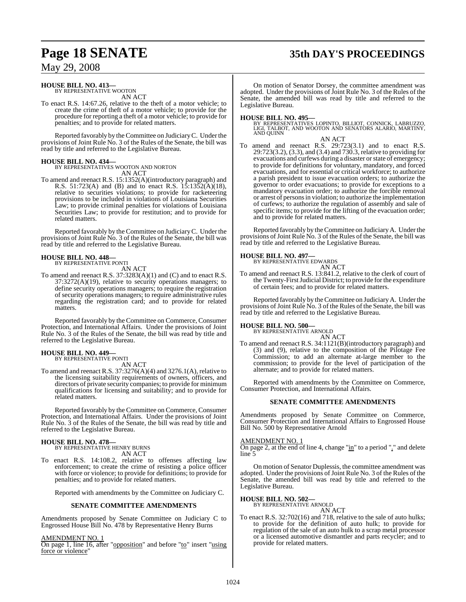# **Page 18 SENATE 35th DAY'S PROCEEDINGS**

## May 29, 2008

#### **HOUSE BILL NO. 413—** BY REPRESENTATIVE WOOTON

AN ACT

To enact R.S. 14:67.26, relative to the theft of a motor vehicle; to create the crime of theft of a motor vehicle; to provide for the procedure for reporting a theft of a motor vehicle; to provide for penalties; and to provide for related matters.

Reported favorably by the Committee on JudiciaryC. Under the provisions ofJoint Rule No. 3 of the Rules of the Senate, the bill was read by title and referred to the Legislative Bureau.

## **HOUSE BILL NO. 434—**

BY REPRESENTATIVES WOOTON AND NORTON AN ACT

To amend and reenact R.S. 15:1352(A)(introductory paragraph) and R.S. 51:723(A) and (B) and to enact R.S. 15:1352(A)(18), relative to securities violations; to provide for racketeering provisions to be included in violations of Louisiana Securities Law; to provide criminal penalties for violations of Louisiana Securities Law; to provide for restitution; and to provide for related matters.

Reported favorably by the Committee on JudiciaryC. Under the provisions of Joint Rule No. 3 of the Rules of the Senate, the bill was read by title and referred to the Legislative Bureau.

# **HOUSE BILL NO. 448—** BY REPRESENTATIVE PONTI

AN ACT

To amend and reenact R.S. 37:3283(A)(1) and (C) and to enact R.S. 37:3272(A)(19), relative to security operations managers; to define security operations managers; to require the registration of security operations managers; to require administrative rules regarding the registration card; and to provide for related matters.

Reported favorably by the Committee on Commerce, Consumer Protection, and International Affairs. Under the provisions of Joint Rule No. 3 of the Rules of the Senate, the bill was read by title and referred to the Legislative Bureau.

#### **HOUSE BILL NO. 449—**

BY REPRESENTATIVE PONTI AN ACT

To amend and reenact R.S. 37:3276(A)(4) and 3276.1(A), relative to the licensing suitability requirements of owners, officers, and directors of private security companies; to provide for minimum qualifications for licensing and suitability; and to provide for related matters.

Reported favorably by the Committee on Commerce, Consumer Protection, and International Affairs. Under the provisions of Joint Rule No. 3 of the Rules of the Senate, the bill was read by title and referred to the Legislative Bureau.

**HOUSE BILL NO. 478—** BY REPRESENTATIVE HENRY BURNS AN ACT

To enact R.S. 14:108.2, relative to offenses affecting law enforcement; to create the crime of resisting a police officer with force or violence; to provide for definitions; to provide for penalties; and to provide for related matters.

Reported with amendments by the Committee on Judiciary C.

#### **SENATE COMMITTEE AMENDMENTS**

Amendments proposed by Senate Committee on Judiciary C to Engrossed House Bill No. 478 by Representative Henry Burns

AMENDMENT NO. 1

On page 1, line 16, after "opposition" and before "to" insert "using force or violence"

On motion of Senator Dorsey, the committee amendment was adopted. Under the provisions of Joint Rule No. 3 of the Rules of the Senate, the amended bill was read by title and referred to the Legislative Bureau.

**HOUSE BILL NO. 495—**<br>BY REPRESENTATIVES LOPINTO, BILLIOT, CONNICK, LABRUZZO,<br>LIGI, TALBOT, AND WOOTON AND SENATORS ALARIO, MARTINY,<br>AND QUINN

AN ACT

To amend and reenact R.S. 29:723(3.1) and to enact R.S. 29:723(3.2), (3.3), and (3.4) and 730.3, relative to providing for evacuations and curfews during a disaster or state of emergency; to provide for definitions for voluntary, mandatory, and forced evacuations, and for essential or critical workforce; to authorize a parish president to issue evacuation orders; to authorize the governor to order evacuations; to provide for exceptions to a mandatory evacuation order; to authorize the forcible removal or arrest of personsin violation; to authorize the implementation of curfews; to authorize the regulation of assembly and sale of specific items; to provide for the lifting of the evacuation order; and to provide for related matters.

Reported favorably by theCommittee on JudiciaryA. Under the provisions of Joint Rule No. 3 of the Rules of the Senate, the bill was read by title and referred to the Legislative Bureau.

## **HOUSE BILL NO. 497—**

BY REPRESENTATIVE EDWARDS AN ACT

To amend and reenact R.S. 13:841.2, relative to the clerk of court of the Twenty-First Judicial District; to provide for the expenditure of certain fees; and to provide for related matters.

Reported favorably by theCommittee on JudiciaryA. Under the provisions of Joint Rule No. 3 of the Rules of the Senate, the bill was read by title and referred to the Legislative Bureau.

**HOUSE BILL NO. 500—** BY REPRESENTATIVE ARNOLD

## AN ACT

To amend and reenact R.S. 34:1121(B)(introductory paragraph) and (3) and (9), relative to the composition of the Pilotage Fee Commission; to add an alternate at-large member to the commission; to provide for the level of participation of the alternate; and to provide for related matters.

Reported with amendments by the Committee on Commerce, Consumer Protection, and International Affairs.

#### **SENATE COMMITTEE AMENDMENTS**

Amendments proposed by Senate Committee on Commerce, Consumer Protection and International Affairs to Engrossed House Bill No. 500 by Representative Arnold

#### AMENDMENT NO. 1

On page 2, at the end of line 4, change " $\text{in}$ " to a period "." and delete line<sup>5</sup>

On motion of Senator Duplessis, the committee amendment was adopted. Under the provisions of Joint Rule No. 3 of the Rules of the Senate, the amended bill was read by title and referred to the Legislative Bureau.

#### **HOUSE BILL NO. 502—**

BY REPRESENTATIVE ARNOLD

AN ACT To enact R.S. 32:702(16) and 718, relative to the sale of auto hulks; to provide for the definition of auto hulk; to provide for regulation of the sale of an auto hulk to a scrap metal processor or a licensed automotive dismantler and parts recycler; and to provide for related matters.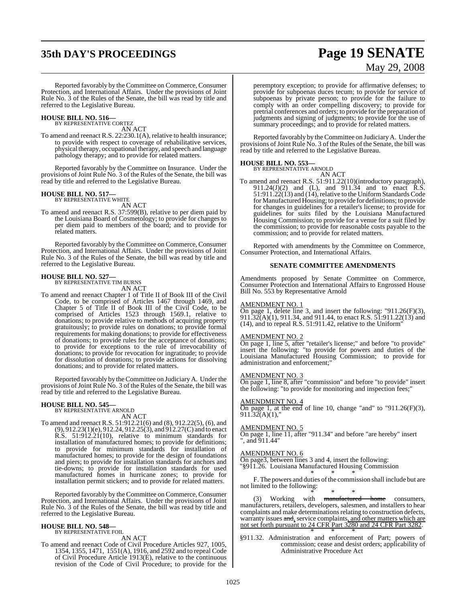# **35th DAY'S PROCEEDINGS Page 19 SENATE**

# May 29, 2008

Reported favorably by the Committee on Commerce, Consumer Protection, and International Affairs. Under the provisions of Joint Rule No. 3 of the Rules of the Senate, the bill was read by title and referred to the Legislative Bureau.

# **HOUSE BILL NO. 516—** BY REPRESENTATIVE CORTEZ

AN ACT

To amend and reenact R.S. 22:230.1(A), relative to health insurance; to provide with respect to coverage of rehabilitative services, physical therapy, occupational therapy, and speech and language pathology therapy; and to provide for related matters.

Reported favorably by the Committee on Insurance. Under the provisions of Joint Rule No. 3 of the Rules of the Senate, the bill was read by title and referred to the Legislative Bureau.

# **HOUSE BILL NO. 517—** BY REPRESENTATIVE WHITE

AN ACT

To amend and reenact R.S. 37:599(B), relative to per diem paid by the Louisiana Board of Cosmetology; to provide for changes to per diem paid to members of the board; and to provide for related matters.

Reported favorably by the Committee on Commerce, Consumer Protection, and International Affairs. Under the provisions of Joint Rule No. 3 of the Rules of the Senate, the bill was read by title and referred to the Legislative Bureau.

**HOUSE BILL NO. 527—** BY REPRESENTATIVE TIM BURNS AN ACT

To amend and reenact Chapter 1 of Title II of Book III of the Civil Code, to be comprised of Articles 1467 through 1469, and Chapter 5 of Title II of Book III of the Civil Code, to be comprised of Articles 1523 through 1569.1, relative to donations; to provide relative to methods of acquiring property gratuitously; to provide rules on donations; to provide formal requirements for making donations; to provide for effectiveness of donations; to provide rules for the acceptance of donations; to provide for exceptions to the rule of irrevocability of donations; to provide for revocation for ingratitude; to provide for dissolution of donations; to provide actions for dissolving donations; and to provide for related matters.

Reported favorably by theCommittee on JudiciaryA. Under the provisions of Joint Rule No. 3 of the Rules of the Senate, the bill was read by title and referred to the Legislative Bureau.

# **HOUSE BILL NO. 545—** BY REPRESENTATIVE ARNOLD

AN ACT

To amend and reenact R.S. 51:912.21(6) and (8), 912.22(5), (6), and (9), 912.23(1)(e), 912.24, 912.25(3), and 912.27(C) and to enact R.S. 51:912.21(10), relative to minimum standards for installation of manufactured homes; to provide for definitions; to provide for minimum standards for installation of manufactured homes; to provide for the design of foundations and piers; to provide for installation standards for anchors and tie-downs; to provide for installation standards for used manufactured homes in hurricane zones; to provide for installation permit stickers; and to provide for related matters.

Reported favorably by the Committee on Commerce, Consumer Protection, and International Affairs. Under the provisions of Joint Rule No. 3 of the Rules of the Senate, the bill was read by title and referred to the Legislative Bureau.

# **HOUSE BILL NO. 548—** BY REPRESENTATIVE FOIL

AN ACT

To amend and reenact Code of Civil Procedure Articles 927, 1005, 1354, 1355, 1471, 1551(A), 1916, and 2592 and to repeal Code of Civil Procedure Article 1913(E), relative to the continuous revision of the Code of Civil Procedure; to provide for the peremptory exception; to provide for affirmative defenses; to provide for subpoenas duces tecum; to provide for service of subpoenas by private person; to provide for the failure to comply with an order compelling discovery; to provide for pretrial conferences and orders; to provide for the preparation of judgments and signing of judgments; to provide for the use of summary proceedings; and to provide for related matters.

Reported favorably by the Committee on JudiciaryA. Under the provisions of Joint Rule No. 3 of the Rules of the Senate, the bill was read by title and referred to the Legislative Bureau.

**HOUSE BILL NO. 553—** BY REPRESENTATIVE ARNOLD

AN ACT To amend and reenact R.S. 51:911.22(10)(introductory paragraph), 911.24(J)(2) and (L), and 911.34 and to enact  $\hat{R}$ .S. 51:911.22(13) and (14), relative to the Uniform Standards Code for Manufactured Housing; to provide for definitions; to provide for changes in guidelines for a retailer's license; to provide for guidelines for suits filed by the Louisiana Manufactured Housing Commission; to provide for a venue for a suit filed by the commission; to provide for reasonable costs payable to the commission; and to provide for related matters.

Reported with amendments by the Committee on Commerce, Consumer Protection, and International Affairs.

## **SENATE COMMITTEE AMENDMENTS**

Amendments proposed by Senate Committee on Commerce, Consumer Protection and International Affairs to Engrossed House Bill No. 553 by Representative Arnold

#### AMENDMENT NO. 1

On page 1, delete line 3, and insert the following: "911.26 $(F)(3)$ , 911.32(A)(1), 911.34, and 911.44, to enact R.S. 51:911.22(13) and (14), and to repeal R.S. 51:911.42, relative to the Uniform"

#### AMENDMENT NO. 2

On page 1, line 5, after "retailer's license;" and before "to provide" insert the following: "to provide for powers and duties of the Louisiana Manufactured Housing Commission; to provide for administration and enforcement;"

#### AMENDMENT NO. 3

On page 1, line 8, after "commission" and before "to provide" insert the following: "to provide for monitoring and inspection fees;"

#### AMENDMENT NO. 4

On page 1, at the end of line 10, change "and" to "911.26 $(F)(3)$ ,  $911.32(A)(1)$ ,"

#### AMENDMENT NO. 5

On page 1, line 11, after "911.34" and before "are hereby" insert ", and 911.44"

#### AMENDMENT NO. 6

On page3, between lines 3 and 4, insert the following: "§911.26. Louisiana Manufactured Housing Commission

\* \* \* F. The powers and duties of the commission shall include but are not limited to the following:

\* \* \* (3) Working with manufactured home consumers, manufacturers, retailers, developers, salesmen, and installers to hear complaints and make determinations relating to construction defects, warranty issues and, service complaints, and other matters which are not set forth pursuant to 24 CFR Part 3280 and 24 CFR Part 3282. \* \* \*

§911.32. Administration and enforcement of Part; powers of commission; cease and desist orders; applicability of Administrative Procedure Act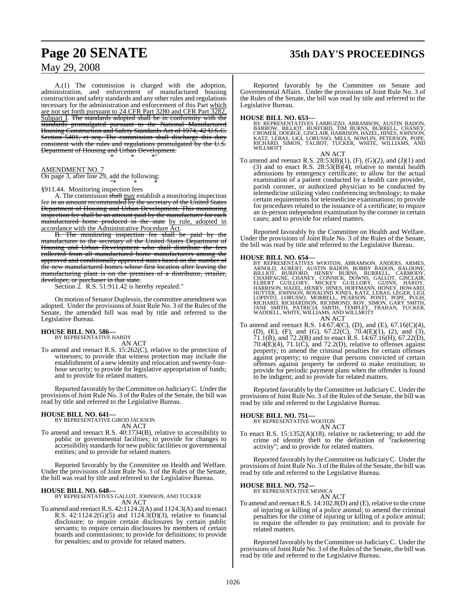# **Page 20 SENATE 35th DAY'S PROCEEDINGS**

## May 29, 2008

A.(1) The commission is charged with the adoption, administration, and enforcement of manufactured housing construction and safety standards and any other rules and regulations necessary for the administration and enforcement of this Part which are not set forth pursuant to 24 CFR Part 3280 and CFR Part 328 Subpart I. The standards adopted shall be in conformity with the standards promulgated pursuant to the National Manufactured Housing Construction and Safety Standards Act of 1974, 42 U.S.C. Section 5401, et seq. The commission shall discharge this duty consistent with the rules and regulations promulgated by the U.S. Department of Housing and Urban Development. \* \* \*"

#### AMENDMENT NO. 7

On page 3, after line 29, add the following:

"\* \* \* §911.44. Monitoring inspection fees

A. The commission shall may establish a monitoring inspection fee in an amount recommended by the secretary of the United States Department of Housing and Urban Development. This monitoring inspection fee shall be an amount paid by the manufacturer for each manufactured home produced in the state by rule, adopted in accordance with the Administrative Procedure Act.

B. The monitoring inspection fee shall be paid by the manufacturer to the secretary of the United States Department of Housing and Urban Development who shall distribute the fees collected from all manufactured home manufacturers among the approved and conditionally approved states based on the number of the new manufactured homes whose first location after leaving the manufacturing plant is on the premises of a distributor, retailer, developer, or purchaser in that state.

Section 2. R.S. 51:911.42 is hereby repealed."

On motion of Senator Duplessis, the committee amendment was adopted. Under the provisions of Joint Rule No. 3 of the Rules of the Senate, the amended bill was read by title and referred to the Legislative Bureau.

# **HOUSE BILL NO. 586—** BY REPRESENTATIVE HARDY

AN ACT

To amend and reenact R.S. 15:262(C), relative to the protection of witnesses; to provide that witness protection may include the establishment of a new identity and relocation and twenty-fourhour security; to provide for legislative appropriation of funds; and to provide for related matters.

Reported favorably by the Committee on JudiciaryC. Under the provisions of Joint Rule No. 3 of the Rules of the Senate, the bill was read by title and referred to the Legislative Bureau.

#### **HOUSE BILL NO. 641—**

BY REPRESENTATIVE GIROD JACKSON AN ACT

To amend and reenact R.S. 40:1734(B), relative to accessibility to public or governmental facilities; to provide for changes to accessibility standards for new public facilities or governmental entities; and to provide for related matters.

Reported favorably by the Committee on Health and Welfare. Under the provisions of Joint Rule No. 3 of the Rules of the Senate, the bill was read by title and referred to the Legislative Bureau.

**HOUSE BILL NO. 648—** BY REPRESENTATIVES GALLOT, JOHNSON, AND TUCKER AN ACT

To amend and reenact R.S. 42:1124.2(A) and 1124.3(A) and to enact R.S. 42:1124.2(G)(5) and 1124.3(D)(3), relative to financial disclosure; to require certain disclosures by certain public servants; to require certain disclosures by members of certain boards and commissions; to provide for definitions; to provide for penalties; and to provide for related matters.

Reported favorably by the Committee on Senate and Governmental Affairs. Under the provisions of Joint Rule No. 3 of the Rules of the Senate, the bill was read by title and referred to the Legislative Bureau.

#### **HOUSE BILL NO. 653—**

BY REPRESENTATIVES LABRUZZO, ABRAMSON, AUSTIN BADON,<br>BARROW, BILLIOT, BURFORD, TIM BURNS, BURRELL, CHANEY,<br>CROMER,DOERGE,GISCLAIR,HARRISON,HAZEL,HINES,JOHNSON,<br>KATZ, LEBAS, LIGI, LORUSSO, MILLS, NOWLIN, PETERSON, POPE,<br>RIC WILLMOTT

AN ACT

To amend and reenact R.S.  $28:53(B)(1)$ ,  $(F)$ ,  $(G)(2)$ , and  $(J)(1)$  and (3) and to enact R.S.  $28:53(B)(4)$ , relative to mental health admissions by emergency certificate; to allow for the actual examination of a patient conducted by a health care provider, parish coroner, or authorized physician to be conducted by telemedicine utilizing video conferencing technology; to make certain requirements for telemedicine examinations; to provide for procedures related to the issuance of a certificate; to require an in-person independent examination by the coroner in certain cases; and to provide for related matters.

Reported favorably by the Committee on Health and Welfare. Under the provisions of Joint Rule No. 3 of the Rules of the Senate, the bill was read by title and referred to the Legislative Bureau.

HOUSE BILL NO. 654—<br>
BY REPRESENTATIVES WOOTON, ABRAMSON, ANDERS, ARMES, ARNOLD, AUBERT, AUSTIN BADON, BOBBY BADON, BALDONE, BILLIOT, BURFORD, HENRY BURNS, BURRELL, CARMODY, CHANPAGNE, CHANEY, CONNICK, DOWNS, GALLOT, GISCL

To amend and reenact R.S. 14:67.4(C), (D), and (E), 67.16(C)(4), (D), (E), (F), and (G), 67.22(C), 70.4(E)(1), (2), and (3), 71.1(B), and 72.2(B) and to enact R.S. 14:67.16(H), 67.22(D),  $70.4(E)(4)$ ,  $71.1(\dot{C})$ , and  $72.2(D)$ , relative to offenses against property; to amend the criminal penalties for certain offenses against property; to require that persons convicted of certain offenses against property be ordered to make restitution; to provide for periodic payment plans when the offender is found to be indigent; and to provide for related matters.

Reported favorably by theCommittee on JudiciaryC. Under the provisions of Joint Rule No. 3 of the Rules of the Senate, the bill was read by title and referred to the Legislative Bureau.

#### **HOUSE BILL NO. 751—**

BY REPRESENTATIVE WOOTON

AN ACT To enact R.S. 15:1352(A)(18), relative to racketeering; to add the crime of identity theft to the definition of "racketeering activity"; and to provide for related matters.

Reported favorably by theCommittee on JudiciaryC. Under the provisions of Joint Rule No. 3 of the Rules of the Senate, the bill was read by title and referred to the Legislative Bureau.

# **HOUSE BILL NO. 752—** BY REPRESENTATIVE MONICA

AN ACT

To amend and reenact R.S. 14:102.8(D) and (E), relative to the crime of injuring or killing of a police animal; to amend the criminal penalties for the crime of injuring or killing of a police animal; to require the offender to pay restitution; and to provide for related matters.

Reported favorably by theCommittee on JudiciaryC. Under the provisions of Joint Rule No. 3 of the Rules of the Senate, the bill was read by title and referred to the Legislative Bureau.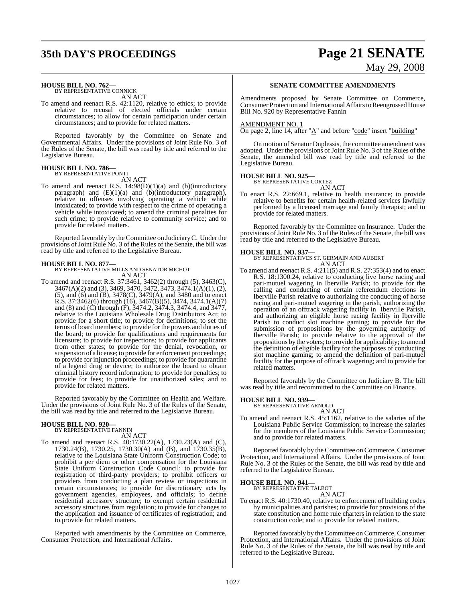# **35th DAY'S PROCEEDINGS Page 21 SENATE** May 29, 2008

# **HOUSE BILL NO. 762—** BY REPRESENTATIVE CONNICK

AN ACT

To amend and reenact R.S. 42:1120, relative to ethics; to provide relative to recusal of elected officials under certain circumstances; to allow for certain participation under certain circumstances; and to provide for related matters.

Reported favorably by the Committee on Senate and Governmental Affairs. Under the provisions of Joint Rule No. 3 of the Rules of the Senate, the bill was read by title and referred to the Legislative Bureau.

# **HOUSE BILL NO. 786—** BY REPRESENTATIVE PONTI

AN ACT

To amend and reenact R.S.  $14:98(D)(1)(a)$  and (b)(introductory paragraph) and  $(E)(1)(a)$  and  $(b)(introductory)$  paragraph), relative to offenses involving operating a vehicle while intoxicated; to provide with respect to the crime of operating a vehicle while intoxicated; to amend the criminal penalties for such crime; to provide relative to community service; and to provide for related matters.

Reported favorably by the Committee on JudiciaryC. Under the provisions of Joint Rule No. 3 of the Rules of the Senate, the bill was read by title and referred to the Legislative Bureau.

#### **HOUSE BILL NO. 877—**

BY REPRESENTATIVE MILLS AND SENATOR MICHOT AN ACT

To amend and reenact R.S. 37:3461, 3462(2) through (5), 3463(C), 3467(A)(2) and (3), 3469, 3470, 3472, 3473, 3474.1(A)(1), (2), (5), and (6) and (B), 3478(C), 3479(A), and 3480 and to enact R.S. 37:3462(6) through (16), 3467(B)(5), 3474, 3474.1(A)(7) and (8) and (C) through (F), 3474.2, 3474.3, 3474.4, and 3477, relative to the Louisiana Wholesale Drug Distributors Act; to provide for a short title; to provide for definitions; to set the terms of board members; to provide for the powers and duties of the board; to provide for qualifications and requirements for licensure; to provide for inspections; to provide for applicants from other states; to provide for the denial, revocation, or suspension of a license; to provide for enforcement proceedings; to provide for injunction proceedings; to provide for quarantine of a legend drug or device; to authorize the board to obtain criminal history record information; to provide for penalties; to provide for fees; to provide for unauthorized sales; and to provide for related matters.

Reported favorably by the Committee on Health and Welfare. Under the provisions of Joint Rule No. 3 of the Rules of the Senate, the bill was read by title and referred to the Legislative Bureau.

# **HOUSE BILL NO. 920—** BY REPRESENTATIVE FANNIN

AN ACT

To amend and reenact R.S. 40:1730.22(A), 1730.23(A) and (C), 1730.24(B), 1730.25, 1730.30(A) and (B), and 1730.35(B), relative to the Louisiana State Uniform Construction Code; to prohibit a per diem or other compensation for the Louisiana State Uniform Construction Code Council; to provide for registration of third-party providers; to prohibit officers or providers from conducting a plan review or inspections in certain circumstances; to provide for discretionary acts by government agencies, employees, and officials; to define residential accessory structure; to exempt certain residential accessory structures from regulation; to provide for changes to the application and issuance of certificates of registration; and to provide for related matters.

Reported with amendments by the Committee on Commerce, Consumer Protection, and International Affairs.

#### **SENATE COMMITTEE AMENDMENTS**

Amendments proposed by Senate Committee on Commerce, Consumer Protection and International Affairs to Reengrossed House Bill No. 920 by Representative Fannin

#### AMENDMENT NO. 1

On page 2, line 14, after "A" and before "code" insert "building"

On motion of Senator Duplessis, the committee amendment was adopted. Under the provisions of Joint Rule No. 3 of the Rules of the Senate, the amended bill was read by title and referred to the Legislative Bureau.

#### **HOUSE BILL NO. 925—**

BY REPRESENTATIVE CORTEZ

provide for related matters.

AN ACT To enact R.S. 22:669.1, relative to health insurance; to provide relative to benefits for certain health-related services lawfully performed by a licensed marriage and family therapist; and to

Reported favorably by the Committee on Insurance. Under the provisions of Joint Rule No. 3 of the Rules of the Senate, the bill was read by title and referred to the Legislative Bureau.

#### **HOUSE BILL NO. 937—**

BY REPRESENTATIVES ST. GERMAIN AND AUBERT AN ACT

To amend and reenact R.S. 4:211(5) and R.S. 27:353(4) and to enact R.S. 18:1300.24, relative to conducting live horse racing and pari-mutuel wagering in Iberville Parish; to provide for the calling and conducting of certain referendum elections in Iberville Parish relative to authorizing the conducting of horse racing and pari-mutuel wagering in the parish, authorizing the operation of an offtrack wagering facility in Iberville Parish, and authorizing an eligible horse racing facility in Iberville Parish to conduct slot machine gaming; to provide for the submission of propositions by the governing authority of Iberville Parish; to provide relative to the approval of the propositions by the voters; to provide for applicability; to amend the definition of eligible facility for the purposes of conducting slot machine gaming; to amend the definition of pari-mutuel facility for the purpose of offtrack wagering; and to provide for related matters.

Reported favorably by the Committee on Judiciary B. The bill was read by title and recommitted to the Committee on Finance.

# **HOUSE BILL NO. 939—** BY REPRESENTATIVE ARNOLD

AN ACT

To amend and reenact R.S. 45:1162, relative to the salaries of the Louisiana Public Service Commission; to increase the salaries for the members of the Louisiana Public Service Commission; and to provide for related matters.

Reported favorably by the Committee on Commerce, Consumer Protection, and International Affairs. Under the provisions of Joint Rule No. 3 of the Rules of the Senate, the bill was read by title and referred to the Legislative Bureau.

# **HOUSE BILL NO. 941—** BY REPRESENTATIVE TALBOT

AN ACT

To enact R.S. 40:1730.40, relative to enforcement of building codes by municipalities and parishes; to provide for provisions of the state constitution and home rule charters in relation to the state construction code; and to provide for related matters.

Reported favorably by the Committee on Commerce, Consumer Protection, and International Affairs. Under the provisions of Joint Rule No. 3 of the Rules of the Senate, the bill was read by title and referred to the Legislative Bureau.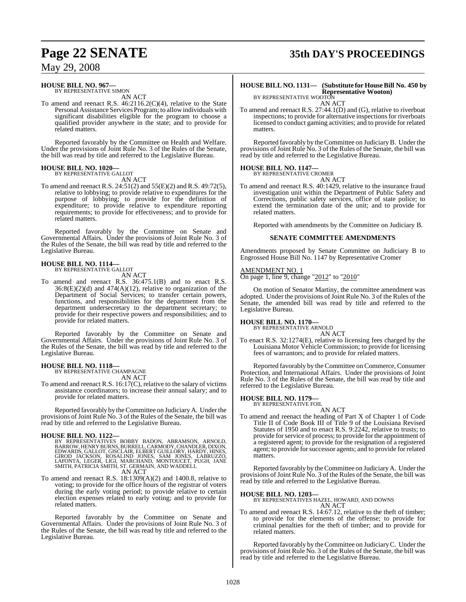# **HOUSE BILL NO. 967—** BY REPRESENTATIVE SIMON

AN ACT

To amend and reenact R.S. 46:2116.2(C)(4), relative to the State Personal Assistance Services Program; to allow individuals with significant disabilities eligible for the program to choose a qualified provider anywhere in the state; and to provide for related matters.

Reported favorably by the Committee on Health and Welfare. Under the provisions of Joint Rule No. 3 of the Rules of the Senate, the bill was read by title and referred to the Legislative Bureau.

# **HOUSE BILL NO. 1020—** BY REPRESENTATIVE GALLOT

AN ACT

To amend and reenact R.S. 24:51(2) and 55(E)(2) and R.S. 49:72(5), relative to lobbying; to provide relative to expenditures for the purpose of lobbying; to provide for the definition of expenditure; to provide relative to expenditure reporting requirements; to provide for effectiveness; and to provide for related matters.

Reported favorably by the Committee on Senate and Governmental Affairs. Under the provisions of Joint Rule No. 3 of the Rules of the Senate, the bill was read by title and referred to the Legislative Bureau.

# **HOUSE BILL NO. 1114—** BY REPRESENTATIVE GALLOT

- AN ACT
- To amend and reenact R.S. 36:475.1(B) and to enact R.S.  $36:8(E)(2)$ (d) and  $474(A)(12)$ , relative to organization of the Department of Social Services; to transfer certain powers, functions, and responsibilities for the department from the department undersecretary to the department secretary; to provide for their respective powers and responsibilities; and to provide for related matters.

Reported favorably by the Committee on Senate and Governmental Affairs. Under the provisions of Joint Rule No. 3 of the Rules of the Senate, the bill was read by title and referred to the Legislative Bureau.

# **HOUSE BILL NO. 1118—** BY REPRESENTATIVE CHAMPAGNE

AN ACT

To amend and reenact R.S. 16:17(C), relative to the salary of victims assistance coordinators; to increase their annual salary; and to provide for related matters.

Reported favorably by theCommittee on JudiciaryA. Under the provisions of Joint Rule No. 3 of the Rules of the Senate, the bill was read by title and referred to the Legislative Bureau.

**HOUSE BILL NO. 1122—**<br>BY REPRESENTATIVES BOBBY BADON, ABRAMSON, ARNOLD,<br>BARROW,HENRY BURNS, BURRELL,CARMODY,CHANDLER,DIXON,<br>EDWARDS, GALLOT, GISCLAIR, ELBERT GUILLORY, HARDY, HINES,<br>GIROD JACKSON, ROSALIND JONES, SAM JONE AN ACT

To amend and reenact R.S. 18:1309(A)(2) and 1400.8, relative to voting; to provide for the office hours of the registrar of voters during the early voting period; to provide relative to certain election expenses related to early voting; and to provide for related matters.

Reported favorably by the Committee on Senate and Governmental Affairs. Under the provisions of Joint Rule No. 3 of the Rules of the Senate, the bill was read by title and referred to the Legislative Bureau.

# **Page 22 SENATE 35th DAY'S PROCEEDINGS**

#### **HOUSE BILL NO. 1131— (Substitute for HouseBill No. 450 by Representative Wooton)** BY REPRESENTATIVE WOOTON

AN ACT

To amend and reenact R.S. 27:44.1(D) and (G), relative to riverboat inspections; to provide for alternative inspections for riverboats licensed to conduct gaming activities; and to provide for related matters.

Reported favorably by theCommittee on JudiciaryB. Under the provisions of Joint Rule No. 3 of the Rules of the Senate, the bill was read by title and referred to the Legislative Bureau.

#### **HOUSE BILL NO. 1147—** BY REPRESENTATIVE CROMER



To amend and reenact R.S. 40:1429, relative to the insurance fraud investigation unit within the Department of Public Safety and Corrections, public safety services, office of state police; to extend the termination date of the unit; and to provide for related matters.

Reported with amendments by the Committee on Judiciary B.

#### **SENATE COMMITTEE AMENDMENTS**

Amendments proposed by Senate Committee on Judiciary B to Engrossed House Bill No. 1147 by Representative Cromer

#### AMENDMENT NO. 1

On page 1, line 9, change "2012" to "2010"

On motion of Senator Martiny, the committee amendment was adopted. Under the provisions of Joint Rule No. 3 of the Rules of the Senate, the amended bill was read by title and referred to the Legislative Bureau.

#### **HOUSE BILL NO. 1170—**

BY REPRESENTATIVE ARNOLD AN ACT

To enact R.S. 32:1274(E), relative to licensing fees charged by the Louisiana Motor Vehicle Commission; to provide for licensing fees of warrantors; and to provide for related matters.

Reported favorably by the Committee on Commerce, Consumer Protection, and International Affairs. Under the provisions of Joint Rule No. 3 of the Rules of the Senate, the bill was read by title and referred to the Legislative Bureau.

#### **HOUSE BILL NO. 1179—**

BY REPRESENTATIVE FOIL AN ACT

To amend and reenact the heading of Part X of Chapter 1 of Code Title II of Code Book III of Title 9 of the Louisiana Revised Statutes of 1950 and to enact R.S. 9:2242, relative to trusts; to provide for service of process; to provide for the appointment of a registered agent; to provide for the resignation of a registered agent; to provide forsuccessor agents; and to provide for related matters.

Reported favorably by theCommittee on JudiciaryA. Under the provisions of Joint Rule No. 3 of the Rules of the Senate, the bill was read by title and referred to the Legislative Bureau.

**HOUSE BILL NO. 1203—** BY REPRESENTATIVES HAZEL, HOWARD, AND DOWNS AN ACT

To amend and reenact R.S. 14:67.12, relative to the theft of timber; to provide for the elements of the offense; to provide for criminal penalties for the theft of timber; and to provide for related matters.

Reported favorably by theCommittee on JudiciaryC. Under the provisions of Joint Rule No. 3 of the Rules of the Senate, the bill was read by title and referred to the Legislative Bureau.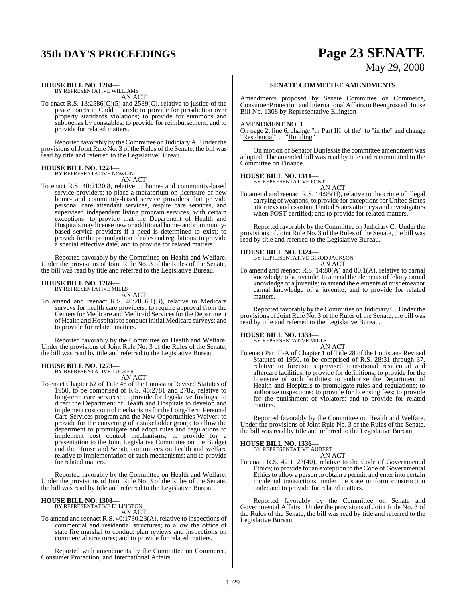# **35th DAY'S PROCEEDINGS Page 23 SENATE**

# May 29, 2008

# **HOUSE BILL NO. 1204—** BY REPRESENTATIVE WILLIAMS

AN ACT

To enact R.S.  $13:2586(C)(5)$  and  $2589(C)$ , relative to justice of the peace courts in Caddo Parish; to provide for jurisdiction over property standards violations; to provide for summons and subpoenas by constables; to provide for reimbursement; and to provide for related matters.

Reported favorably by theCommittee on Judiciary A. Under the provisions of Joint Rule No. 3 of the Rules of the Senate, the bill was read by title and referred to the Legislative Bureau.

#### **HOUSE BILL NO. 1224—** BY REPRESENTATIVE NOWLIN

AN ACT

To enact R.S. 40:2120.8, relative to home- and community-based service providers; to place a moratorium on licensure of new home- and community-based service providers that provide personal care attendant services, respite care services, and supervised independent living program services, with certain exceptions; to provide that the Department of Health and Hospitals may license new or additional home- and communitybased service providers if a need is determined to exist; to provide forthe promulgation ofrules and regulations; to provide a special effective date; and to provide for related matters.

Reported favorably by the Committee on Health and Welfare. Under the provisions of Joint Rule No. 3 of the Rules of the Senate, the bill was read by title and referred to the Legislative Bureau.

# **HOUSE BILL NO. 1269—** BY REPRESENTATIVE MILLS

AN ACT

To amend and reenact R.S. 40:2006.1(B), relative to Medicare surveys for health care providers; to require approval from the Centers for Medicare and Medicaid Services for the Department of Health and Hospitals to conduct initial Medicare surveys; and to provide for related matters.

Reported favorably by the Committee on Health and Welfare. Under the provisions of Joint Rule No. 3 of the Rules of the Senate, the bill was read by title and referred to the Legislative Bureau.

# **HOUSE BILL NO. 1273—** BY REPRESENTATIVE TUCKER

AN ACT

To enact Chapter 62 of Title 46 of the Louisiana Revised Statutes of 1950, to be comprised of R.S. 46:2781 and 2782, relative to long-term care services; to provide for legislative findings; to direct the Department of Health and Hospitals to develop and implement cost control mechanisms for the Long-Term Personal Care Services program and the New Opportunities Waiver; to provide for the convening of a stakeholder group; to allow the department to promulgate and adopt rules and regulations to implement cost control mechanisms; to provide for a presentation to the Joint Legislative Committee on the Budget and the House and Senate committees on health and welfare relative to implementation of such mechanisms; and to provide for related matters.

Reported favorably by the Committee on Health and Welfare. Under the provisions of Joint Rule No. 3 of the Rules of the Senate, the bill was read by title and referred to the Legislative Bureau.

# **HOUSE BILL NO. 1308—** BY REPRESENTATIVE ELLINGTON

AN ACT

To amend and reenact R.S. 40:1730.23(A), relative to inspections of commercial and residential structures; to allow the office of state fire marshal to conduct plan reviews and inspections on commercial structures; and to provide for related matters.

Reported with amendments by the Committee on Commerce, Consumer Protection, and International Affairs.

#### **SENATE COMMITTEE AMENDMENTS**

Amendments proposed by Senate Committee on Commerce, Consumer Protection and International Affairs to Reengrossed House Bill No. 1308 by Representative Ellington

#### AMENDMENT NO. 1

On page 2, line 6, change "in Part III of the" to "in the" and change "Residential" to "Building"

On motion of Senator Duplessis the committee amendment was adopted. The amended bill was read by title and recommitted to the Committee on Finance.

#### **HOUSE BILL NO. 1311—**

BY REPRESENTATIVE PONTI

AN ACT To amend and reenact R.S. 14:95(H), relative to the crime of illegal carrying of weapons; to provide for exceptions for United States attorneys and assistant United States attorneys and investigators when POST certified; and to provide for related matters.

Reported favorably by theCommittee on JudiciaryC. Under the provisions of Joint Rule No. 3 of the Rules of the Senate, the bill was read by title and referred to the Legislative Bureau.

#### **HOUSE BILL NO. 1324—**

BY REPRESENTATIVE GIROD JACKSON AN ACT

To amend and reenact R.S. 14:80(A) and 80.1(A), relative to carnal knowledge of a juvenile; to amend the elements of felony carnal knowledge of a juvenile; to amend the elements of misdemeanor carnal knowledge of a juvenile; and to provide for related matters.

Reported favorably by the Committee on JudiciaryC. Under the provisions of Joint Rule No. 3 of the Rules of the Senate, the bill was read by title and referred to the Legislative Bureau.

#### **HOUSE BILL NO. 1333—**

BY REPRESENTATIVE MILLS AN ACT

To enact Part II-A of Chapter 1 of Title 28 of the Louisiana Revised Statutes of 1950, to be comprised of R.S. 28:31 through 37, relative to forensic supervised transitional residential and aftercare facilities; to provide for definitions; to provide for the licensure of such facilities; to authorize the Department of Health and Hospitals to promulgate rules and regulations; to authorize inspections; to provide for licensing fees; to provide for the punishment of violators; and to provide for related matters.

Reported favorably by the Committee on Health and Welfare. Under the provisions of Joint Rule No. 3 of the Rules of the Senate, the bill was read by title and referred to the Legislative Bureau.

# **HOUSE BILL NO. 1336—** BY REPRESENTATIVE AUBERT

| ITATIVE AUBERT |  |
|----------------|--|
| AN ACT         |  |

To enact R.S. 42:1123(40), relative to the Code of Governmental Ethics; to provide for an exception to the Code of Governmental Ethics to allow a person to obtain a permit, and enter into certain incidental transactions, under the state uniform construction code; and to provide for related matters.

Reported favorably by the Committee on Senate and Governmental Affairs. Under the provisions of Joint Rule No. 3 of the Rules of the Senate, the bill was read by title and referred to the Legislative Bureau.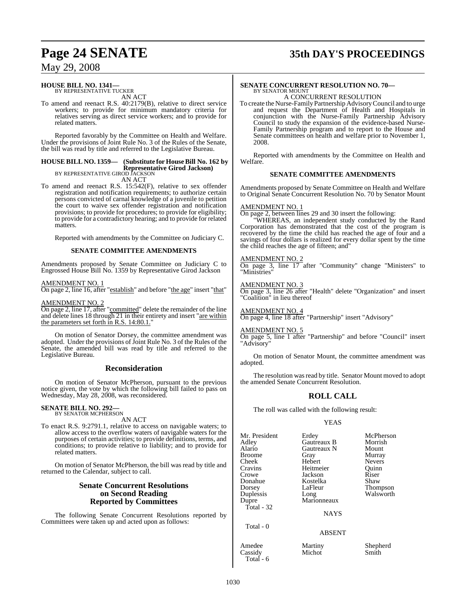# **Page 24 SENATE 35th DAY'S PROCEEDINGS**

## May 29, 2008

#### **HOUSE BILL NO. 1341—** BY REPRESENTATIVE TUCKER

AN ACT

To amend and reenact R.S. 40:2179(B), relative to direct service workers; to provide for minimum mandatory criteria for relatives serving as direct service workers; and to provide for related matters.

Reported favorably by the Committee on Health and Welfare. Under the provisions of Joint Rule No. 3 of the Rules of the Senate, the bill was read by title and referred to the Legislative Bureau.

#### **HOUSE BILL NO. 1359— (Substitute for HouseBill No. 162 by Representative Girod Jackson)** BY REPRESENTATIVE GIROD JACKSON

AN ACT

To amend and reenact R.S. 15:542(F), relative to sex offender registration and notification requirements; to authorize certain persons convicted of carnal knowledge of a juvenile to petition the court to waive sex offender registration and notification provisions; to provide for procedures; to provide for eligibility; to provide for a contradictory hearing; and to provide for related matters.

Reported with amendments by the Committee on Judiciary C.

#### **SENATE COMMITTEE AMENDMENTS**

Amendments proposed by Senate Committee on Judiciary C to Engrossed House Bill No. 1359 by Representative Girod Jackson

#### AMENDMENT NO. 1

On page 2, line 16, after "establish" and before "the age" insert "that"

AMENDMENT NO. 2

On page 2, line 17, after "committed" delete the remainder of the line and delete lines 18 through 21 in their entirety and insert "are within the parameters set forth in R.S. 14:80.1.

On motion of Senator Dorsey, the committee amendment was adopted. Under the provisions of Joint Rule No. 3 of the Rules of the Senate, the amended bill was read by title and referred to the Legislative Bureau.

#### **Reconsideration**

On motion of Senator McPherson, pursuant to the previous notice given, the vote by which the following bill failed to pass on Wednesday, May 28, 2008, was reconsidered.

# **SENATE BILL NO. 292—** BY SENATOR MCPHERSON

AN ACT

To enact R.S. 9:2791.1, relative to access on navigable waters; to allow access to the overflow waters of navigable waters for the purposes of certain activities; to provide definitions, terms, and conditions; to provide relative to liability; and to provide for related matters.

On motion of Senator McPherson, the bill was read by title and returned to the Calendar, subject to call.

#### **Senate Concurrent Resolutions on Second Reading Reported by Committees**

The following Senate Concurrent Resolutions reported by Committees were taken up and acted upon as follows:

#### **SENATE CONCURRENT RESOLUTION NO. 70—** BY SENATOR MOUNT

A CONCURRENT RESOLUTION

To create the Nurse-Family Partnership Advisory Council and to urge and request the Department of Health and Hospitals in conjunction with the Nurse-Family Partnership Advisory Council to study the expansion of the evidence-based Nurse-Family Partnership program and to report to the House and Senate committees on health and welfare prior to November 1, 2008.

Reported with amendments by the Committee on Health and Welfare.

#### **SENATE COMMITTEE AMENDMENTS**

Amendments proposed by Senate Committee on Health and Welfare to Original Senate Concurrent Resolution No. 70 by Senator Mount

#### **AMENDMENT NO. 1**

On page 2, between lines 29 and 30 insert the following:

WHEREAS, an independent study conducted by the Rand Corporation has demonstrated that the cost of the program is recovered by the time the child has reached the age of four and a savings of four dollars is realized for every dollar spent by the time the child reaches the age of fifteen; and"

#### AMENDMENT NO. 2

On page 3, line 17 after "Community" change "Ministers" to "Ministries"

#### AMENDMENT NO. 3

On page 3, line 26 after "Health" delete "Organization" and insert 'Coalition" in lieu thereof

AMENDMENT NO. 4 On page 4, line 18 after "Partnership" insert "Advisory"

#### AMENDMENT NO. 5

On page 5, line 1 after "Partnership" and before "Council" insert "Advisory"

On motion of Senator Mount, the committee amendment was adopted.

The resolution was read by title. Senator Mount moved to adopt the amended Senate Concurrent Resolution.

## **ROLL CALL**

The roll was called with the following result:

#### YEAS

| Erdey<br><b>Gautreaux B</b><br>Gautreaux N<br>Gray<br>Hebert<br>Heitmeier<br>Jackson<br>Kostelka<br>LaFleur<br>Long<br>Marionneaux<br><b>NAYS</b> | McPherson<br>Morrish<br>Mount<br>Murray<br><b>Nevers</b><br>Ouinn<br>Riser<br>Shaw<br>Thompson<br>Walsworth |
|---------------------------------------------------------------------------------------------------------------------------------------------------|-------------------------------------------------------------------------------------------------------------|
| <b>ABSENT</b>                                                                                                                                     |                                                                                                             |
|                                                                                                                                                   |                                                                                                             |

Cassidy Total - 6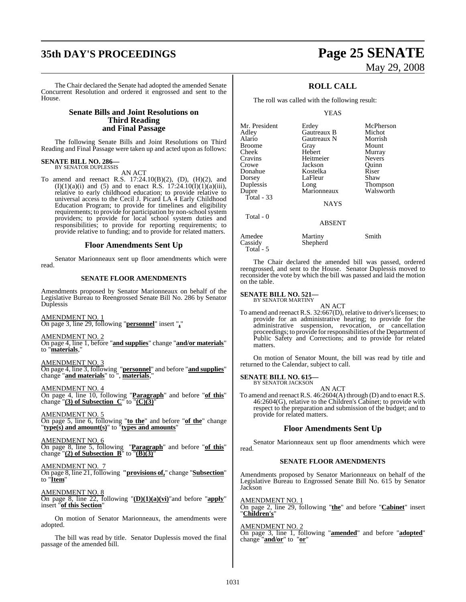# **35th DAY'S PROCEEDINGS Page 25 SENATE**

The Chair declared the Senate had adopted the amended Senate Concurrent Resolution and ordered it engrossed and sent to the House.

## **Senate Bills and Joint Resolutions on Third Reading and Final Passage**

The following Senate Bills and Joint Resolutions on Third Reading and Final Passage were taken up and acted upon as follows:

# **SENATE BILL NO. 286—** BY SENATOR DUPLESSIS

AN ACT

To amend and reenact R.S. 17:24.10(B)(2), (D), (H)(2), and  $(I)(1)(a)(i)$  and  $(5)$  and to enact R.S. 17:24.10 $(I)(1)(a)(iii)$ , relative to early childhood education; to provide relative to universal access to the Cecil J. Picard LA 4 Early Childhood Education Program; to provide for timelines and eligibility requirements; to provide for participation by non-school system providers; to provide for local school system duties and responsibilities; to provide for reporting requirements; to provide relative to funding; and to provide for related matters.

#### **Floor Amendments Sent Up**

Senator Marionneaux sent up floor amendments which were read.

#### **SENATE FLOOR AMENDMENTS**

Amendments proposed by Senator Marionneaux on behalf of the Legislative Bureau to Reengrossed Senate Bill No. 286 by Senator Duplessis

AMENDMENT NO. 1 On page 3, line 29, following "**personnel**" insert "**,**"

AMENDMENT NO. 2 On page 4, line 1, before "**and supplies**" change "**and/or materials**" to "**materials**,"

AMENDMENT NO. 3 On page 4, line 3, following "**personnel**" and before "**and supplies**" change "**and materials**" to ", **materials**,"

AMENDMENT NO. 4 On page 4, line 10, following "**Paragraph**" and before "**of this**" change "**(3) of Subsection C**" to "**(C)(3)**"

AMENDMENT NO. 5 On page 5, line 6, following "**to the**" and before "**of the**" change "**type(s) and amount(s)**" to "**types and amounts**"

AMENDMENT NO. 6 On page 8, line 5, following "**Paragraph**" and before "**of this**" change "**(2) of Subsection B**" to "**(B)(3)**"

AMENDMENT NO. 7 On page 8, line 21, following **"provisions of,**" change "**Subsection**"

to "**Item**"

AMENDMENT NO. 8 On page 8, line 22, following "**(D)(1)(a)(vi)**"and before "**apply**" insert "**of this Section**"

On motion of Senator Marionneaux, the amendments were adopted.

The bill was read by title. Senator Duplessis moved the final passage of the amended bill.

# May 29, 2008

## **ROLL CALL**

The roll was called with the following result:

YEAS

| Erdey<br>Gautreaux B | McPherson<br>Michot                        |
|----------------------|--------------------------------------------|
|                      | Morrish                                    |
|                      | Mount                                      |
|                      | Murray                                     |
|                      | <b>Nevers</b>                              |
| Jackson              | Ouinn                                      |
| Kostelka             | Riser                                      |
| LaFleur              | Shaw                                       |
| Long                 | <b>Thompson</b>                            |
| Marionneaux          | Walsworth                                  |
|                      |                                            |
| <b>NAYS</b>          |                                            |
|                      |                                            |
| <b>ABSENT</b>        |                                            |
| Martiny              | Smith                                      |
|                      | Gautreaux N<br>Gray<br>Hebert<br>Heitmeier |

The Chair declared the amended bill was passed, ordered reengrossed, and sent to the House. Senator Duplessis moved to reconsider the vote by which the bill was passed and laid the motion on the table.

#### **SENATE BILL NO. 521—** BY SENATOR MARTINY

Cassidy Shepherd

Total - 5

AN ACT To amend and reenact R.S. 32:667(D), relative to driver's licenses; to provide for an administrative hearing; to provide for the administrative suspension, revocation, or cancellation proceedings; to provide for responsibilities of the Department of Public Safety and Corrections; and to provide for related matters.

On motion of Senator Mount, the bill was read by title and returned to the Calendar, subject to call.

**SENATE BILL NO. 615—**

BY SENATOR JACKSON AN ACT

To amend and reenact R.S. 46:2604(A) through (D) and to enact R.S. 46:2604(G), relative to the Children's Cabinet; to provide with respect to the preparation and submission of the budget; and to provide for related matters.

## **Floor Amendments Sent Up**

Senator Marionneaux sent up floor amendments which were read.

#### **SENATE FLOOR AMENDMENTS**

Amendments proposed by Senator Marionneaux on behalf of the Legislative Bureau to Engrossed Senate Bill No. 615 by Senator Jackson

AMENDMENT NO. 1 On page 2, line 29, following "**the**" and before "**Cabinet**" insert "**Children's**"

AMENDMENT NO. 2 On page 3, line 1, following "**amended**" and before "**adopted**" change "**and/or**" to "**or**"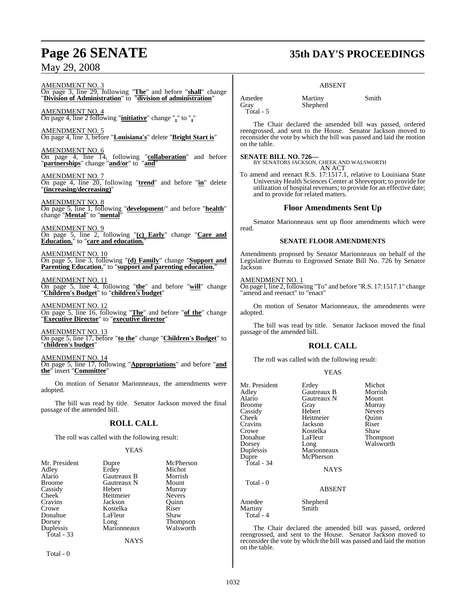# **Page 26 SENATE 35th DAY'S PROCEEDINGS**

#### ABSENT

AMENDMENT NO. 3 On page 3, line 29, following "**The**" and before "**shall**" change "**Division of Administration**" to "**division of administration**"

AMENDMENT NO. 4 On page 4, line 2 following "**initiative**" change "**.**" to "**,**"

AMENDMENT NO. 5 On page 4, line 3, before "**Louisiana's**" delete "**Bright Start is**"

AMENDMENT NO. 6 On page 4, line 14, following "**collaboration**" and before "**partnerships**" change "**and/or**" to "**and**"

AMENDMENT NO. 7 On page 4, line 20, following "**trend**" and before "**in**" delete "**(increasing/decreasing)**"

AMENDMENT NO. 8 On page 5, line 1, following "**development**/" and before "**health**" change "**Mental**" to "**mental**"

AMENDMENT NO. 9 On page 5, line 2, following "**(c) Early**" change "**Care and Education.**" to "**care and education.**"

AMENDMENT NO. 10 On page 5, line 3, following "**(d) Family**" change "**Support and Parenting Education.**" to "**support and parenting education.**"

AMENDMENT NO. 11 On page 5, line 4, following "**the**" and before "**will**" change "**Children's Budget**" to "**children's budget**"

AMENDMENT NO. 12 On page 5, line 16, following "**The**" and before "**of the**" change "**Executive Director**" to "**executive director**"

AMENDMENT NO. 13 On page 5, line 17, before "**to the**" change "**Children's Budget**" to "**children's budget**"

AMENDMENT NO. 14 On page 5, line 17, following "**Appropriations**" and before "**and the**" insert "**Committee**"

On motion of Senator Marionneaux, the amendments were adopted.

The bill was read by title. Senator Jackson moved the final passage of the amended bill.

## **ROLL CALL**

The roll was called with the following result:

#### YEAS

| Mr. President | Dupre       | McPherson     |
|---------------|-------------|---------------|
| Adley         | Erdey       | Michot        |
| Alario        | Gautreaux B | Morrish       |
| <b>Broome</b> | Gautreaux N | Mount         |
| Cassidy       | Hebert      | Murray        |
| Cheek         | Heitmeier   | <b>Nevers</b> |
| Cravins       | Jackson     | Ouinn         |
| Crowe         | Kostelka    | Riser         |
| Donahue       | LaFleur     | Shaw          |
| Dorsey        | Long        | Thompson      |
| Duplessis     | Marionneaux | Walsworth     |
| Total $-33$   |             |               |
|               | NAYS        |               |

Total - 0

#### Amedee Martiny Smith Gray Shepherd Total - 5

The Chair declared the amended bill was passed, ordered reengrossed, and sent to the House. Senator Jackson moved to reconsider the vote by which the bill was passed and laid the motion on the table.

**SENATE BILL NO. 726—** BY SENATORS JACKSON, CHEEK AND WALSWORTH AN ACT

To amend and reenact R.S. 17:1517.1, relative to Louisiana State University Health Sciences Center at Shreveport; to provide for utilization of hospital revenues; to provide for an effective date; and to provide for related matters.

#### **Floor Amendments Sent Up**

Senator Marionneaux sent up floor amendments which were read.

#### **SENATE FLOOR AMENDMENTS**

Amendments proposed by Senator Marionneaux on behalf of the Legislative Bureau to Engrossed Senate Bill No. 726 by Senator Jackson

#### AMENDMENT NO. 1

On page l, line 2, following "To" and before "R.S. 17:1517.1" change "amend and reenact" to "enact"

On motion of Senator Marionneaux, the amendments were adopted.

The bill was read by title. Senator Jackson moved the final passage of the amended bill.

## **ROLL CALL**

The roll was called with the following result:

#### YEAS

| Mr. President<br>Adley<br>Alario<br><b>Broome</b><br>Cassidy<br>Cheek<br>Cravins<br>Crowe<br>Donahue<br>Dorsey<br>Duplessis<br>Dupre<br>Total - $34$ | Erdey<br>Gautreaux B<br>Gautreaux N<br>Gray<br>Hebert<br>Heitmeier<br>Jackson<br>Kostelka<br>LaFleur<br>Long<br>Marionneaux<br>McPherson<br><b>NAYS</b> | Michot<br>Morrish<br>Mount<br>Murray<br><b>Nevers</b><br>Ouinn<br>Riser<br>Shaw<br>Thompson<br>Walsworth |
|------------------------------------------------------------------------------------------------------------------------------------------------------|---------------------------------------------------------------------------------------------------------------------------------------------------------|----------------------------------------------------------------------------------------------------------|
| Total - 0                                                                                                                                            | <b>ABSENT</b>                                                                                                                                           |                                                                                                          |
| Amedee<br>Martiny<br>Total - 4                                                                                                                       | Shepherd<br>Smith                                                                                                                                       |                                                                                                          |

The Chair declared the amended bill was passed, ordered reengrossed, and sent to the House. Senator Jackson moved to reconsider the vote by which the bill was passed and laid the motion on the table.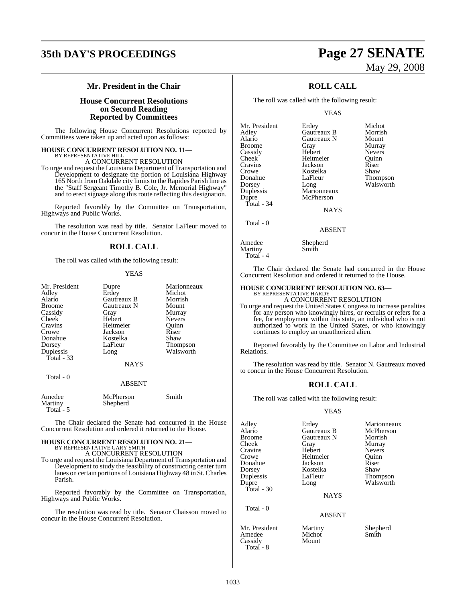# **35th DAY'S PROCEEDINGS Page 27 SENATE**

# May 29, 2008

Walsworth

## **Mr. President in the Chair**

## **House Concurrent Resolutions on Second Reading Reported by Committees**

The following House Concurrent Resolutions reported by Committees were taken up and acted upon as follows:

#### **HOUSE CONCURRENT RESOLUTION NO. 11—** BY REPRESENTATIVE HILL

A CONCURRENT RESOLUTION

To urge and request the Louisiana Department of Transportation and Development to designate the portion of Louisiana Highway 165 North from Oakdale city limits to the Rapides Parish line as the "Staff Sergeant Timothy B. Cole, Jr. Memorial Highway" and to erect signage along this route reflecting this designation.

Reported favorably by the Committee on Transportation, Highways and Public Works.

The resolution was read by title. Senator LaFleur moved to concur in the House Concurrent Resolution.

## **ROLL CALL**

The roll was called with the following result:

#### **YEAS**

| Mr. President | Dupre       | Marionneaux     |
|---------------|-------------|-----------------|
| Adley         | Erdey       | Michot          |
| Alario        | Gautreaux B | Morrish         |
| <b>Broome</b> | Gautreaux N | Mount           |
| Cassidy       | Gray        | Murray          |
| Cheek         | Hebert      | <b>Nevers</b>   |
| Cravins       | Heitmeier   | Ouinn           |
| Crowe         | Jackson     | Riser           |
| Donahue       | Kostelka    | Shaw            |
| Dorsey        | LaFleur     | <b>Thompson</b> |
| Duplessis     | Long        | Walsworth       |
| Total - 33    |             |                 |
|               | NAYS        |                 |
| Total - 0     |             |                 |

ABSENT Amedee McPherson Smith<br>
Martiny Shepherd Shepherd

Total - 5

The Chair declared the Senate had concurred in the House Concurrent Resolution and ordered it returned to the House.

## **HOUSE CONCURRENT RESOLUTION NO. 21—** BY REPRESENTATIVE GARY SMITH A CONCURRENT RESOLUTION

To urge and request the Louisiana Department of Transportation and Development to study the feasibility of constructing center turn lanes on certain portions ofLouisiana Highway 48 in St.Charles Parish.

Reported favorably by the Committee on Transportation, Highways and Public Works.

The resolution was read by title. Senator Chaisson moved to concur in the House Concurrent Resolution.

## **ROLL CALL**

The roll was called with the following result:

YEAS

| Mr. President | Erdey       | <b>Michot</b> |
|---------------|-------------|---------------|
| Adley         | Gautreaux B | Morrish       |
| Alario        | Gautreaux N | Mount         |
| <b>Broome</b> | Gray        | Murray        |
| Cassidy       | Hebert      | <b>Nevers</b> |
| Cheek         | Heitmeier   | Ouinn         |
| Cravins       | Jackson     | Riser         |
| Crowe         | Kostelka    | Shaw          |
| Donahue       | LaFleur     | <b>Thomps</b> |
| Dorsey        | Long        | Walswo        |
| Duplessis     | Marionneaux |               |
| Dupre         | McPherson   |               |
| Total - 34    |             |               |
|               | <b>NAYS</b> |               |
| Total - 0     |             |               |

Hebert Nevers<br>
Heitmeier Quinn Heitmeier Quinn<br>
Jackson Riser Jackson Riser<br>Kostelka Shaw LaFleur Thompson<br>Long Walsworth

#### ABSENT

| Amedee    | Shepherd |
|-----------|----------|
| Martiny   | Smith    |
| Total - 4 |          |

The Chair declared the Senate had concurred in the House Concurrent Resolution and ordered it returned to the House.

## **HOUSE CONCURRENT RESOLUTION NO. 63—**

BY REPRESENTATIVE HARDY A CONCURRENT RESOLUTION

To urge and request the United States Congress to increase penalties for any person who knowingly hires, or recruits or refers for a fee, for employment within this state, an individual who is not authorized to work in the United States, or who knowingly continues to employ an unauthorized alien.

Reported favorably by the Committee on Labor and Industrial Relations.

The resolution was read by title. Senator N. Gautreaux moved to concur in the House Concurrent Resolution.

## **ROLL CALL**

The roll was called with the following result:

#### YEAS

| Adley      | Erdey       | Marionneaux   |
|------------|-------------|---------------|
| Alario     | Gautreaux B | McPherson     |
| Broome     | Gautreaux N | Morrish       |
| Cheek      | Gray        | Murray        |
| Cravins    | Hebert      | <b>Nevers</b> |
| Crowe      | Heitmeier   | Quinn         |
| Donahue    | Jackson     | Riser         |
| Dorsey     | Kostelka    | Shaw          |
| Duplessis  | LaFleur     | Thompson      |
| Dupre      | Long        | Walsworth     |
| Total - 30 |             |               |
|            | <b>NAYS</b> |               |
|            |             |               |

#### ABSENT

Mr. President Martiny Shepherd<br>Amedee Michot Smith Amedee Michot<br>Cassidy Mount Cassidy Total - 8

Total - 0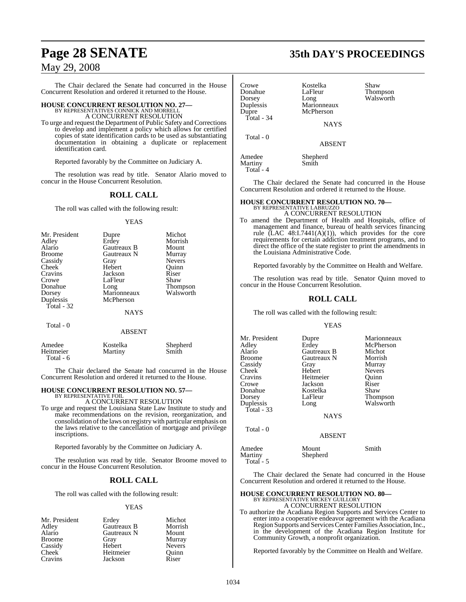The Chair declared the Senate had concurred in the House Concurrent Resolution and ordered it returned to the House.

# **HOUSE CONCURRENT RESOLUTION NO. 27—** BY REPRESENTATIVES CONNICK AND MORRELL A CONCURRENT RESOLUTION

To urge and request the Department of Public Safety and Corrections to develop and implement a policy which allows for certified copies of state identification cards to be used as substantiating documentation in obtaining a duplicate or replacement identification card.

Reported favorably by the Committee on Judiciary A.

The resolution was read by title. Senator Alario moved to concur in the House Concurrent Resolution.

## **ROLL CALL**

The roll was called with the following result:

#### YEAS

| Mr. President | Dupre       | Michot        |
|---------------|-------------|---------------|
| Adley         | Erdey       | Morrish       |
| Alario        | Gautreaux B | Mount         |
| <b>Broome</b> | Gautreaux N | Murray        |
| Cassidy       | Gray        | <b>Nevers</b> |
| Cheek         | Hebert      | Ouinn         |
| Cravins       | Jackson     | Riser         |
| Crowe         | LaFleur     | Shaw          |
| Donahue       | Long        | Thompson      |
| Dorsey        | Marionneaux | Walsworth     |
| Duplessis     | McPherson   |               |
| Total - 32    |             |               |
|               | <b>NAYS</b> |               |
|               |             |               |

#### Total - 0 ABSENT Amedee Kostelka Shepherd<br>
Heitmeier Martiny Smith Martiny

Total - 6

The Chair declared the Senate had concurred in the House Concurrent Resolution and ordered it returned to the House.

# **HOUSE CONCURRENT RESOLUTION NO. 57—** BY REPRESENTATIVE FOIL

A CONCURRENT RESOLUTION

To urge and request the Louisiana State Law Institute to study and make recommendations on the revision, reorganization, and consolidation of the laws on registry with particular emphasis on the laws relative to the cancellation of mortgage and privilege inscriptions.

Reported favorably by the Committee on Judiciary A.

The resolution was read by title. Senator Broome moved to concur in the House Concurrent Resolution.

## **ROLL CALL**

The roll was called with the following result:

#### YEAS

| Erdey       | Michot        |
|-------------|---------------|
| Gautreaux B | Morrish       |
| Gautreaux N | Mount         |
| Gray        | Murray        |
| Hebert      | <b>Nevers</b> |
| Heitmeier   | Ouinn         |
| Jackson     | Riser         |
|             |               |

# **Page 28 SENATE 35th DAY'S PROCEEDINGS**

| Crowe      | Kostelka      | Shaw            |
|------------|---------------|-----------------|
| Donahue    | LaFleur       | <b>Thompson</b> |
| Dorsey     | Long          | Walsworth       |
| Duplessis  | Marionneaux   |                 |
| Dupre      | McPherson     |                 |
| Total - 34 |               |                 |
|            | <b>NAYS</b>   |                 |
| Total - 0  |               |                 |
|            | <b>ABSENT</b> |                 |
| Amedee     | Shepherd      |                 |
| Martiny    | Smith         |                 |

Total - 4

The Chair declared the Senate had concurred in the House Concurrent Resolution and ordered it returned to the House.

# **HOUSE CONCURRENT RESOLUTION NO. 70—** BY REPRESENTATIVE LABRUZZO

## A CONCURRENT RESOLUTION

To amend the Department of Health and Hospitals, office of management and finance, bureau of health services financing rule  $(LAC 48:1.7441(A)(1))$ , which provides for the core requirements for certain addiction treatment programs, and to direct the office of the state register to print the amendments in the Louisiana Administrative Code.

Reported favorably by the Committee on Health and Welfare.

The resolution was read by title. Senator Quinn moved to concur in the House Concurrent Resolution.

## **ROLL CALL**

The roll was called with the following result:

#### YEAS

| Mr. President | Dupre              | Marionneaux     |
|---------------|--------------------|-----------------|
| Adley         | Erdey              | McPherson       |
| Alario        | <b>Gautreaux B</b> | Michot          |
| <b>Broome</b> | Gautreaux N        | Morrish         |
| Cassidy       | Gray               | Murray          |
| <b>Cheek</b>  | Hebert             | <b>Nevers</b>   |
| Cravins       | Heitmeier          | Quinn           |
| Crowe         | Jackson            | Riser           |
| Donahue       | Kostelka           | Shaw            |
| Dorsey        | LaFleur            | <b>Thompson</b> |
| Duplessis     | Long               | Walsworth       |
| Total - $33$  |                    |                 |
|               | <b>NAYS</b>        |                 |
| Total - 0     |                    |                 |
|               | ABSENT             |                 |

| Amedee    | Mount    | Smith |
|-----------|----------|-------|
| Martiny   | Shepherd |       |
| Total - 5 |          |       |

The Chair declared the Senate had concurred in the House Concurrent Resolution and ordered it returned to the House.

## **HOUSE CONCURRENT RESOLUTION NO. 80—** BY REPRESENTATIVE MICKEY GUILLORY A CONCURRENT RESOLUTION

To authorize the Acadiana Region Supports and Services Center to enter into a cooperative endeavor agreement with the Acadiana Region Supports and Services Center Families Association, Inc., in the development of the Acadiana Region Institute for Community Growth, a nonprofit organization.

Reported favorably by the Committee on Health and Welfare.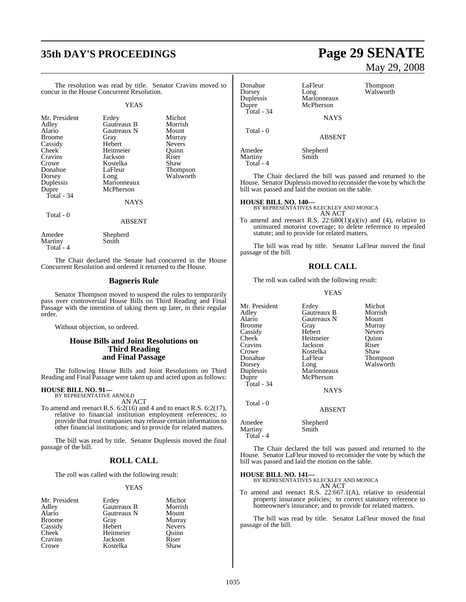# **35th DAY'S PROCEEDINGS Page 29 SENATE**

#### The resolution was read by title. Senator Cravins moved to concur in the House Concurrent Resolution.

YEAS

| Mr. President<br>Adley<br>Alario<br><b>Broome</b><br>Cassidy<br>Cheek<br>Cravins<br>Crowe<br>Donahue<br>Dorsey<br>Duplessis | Erdey<br>Gautreaux B<br>Gautreaux N<br>Gray<br>Hebert<br>Heitmeier<br>Jackson<br>Kostelka<br>LaFleur<br>Long<br>Marionneaux | Michot<br>Morrish<br>Mount<br>Murray<br><b>Nevers</b><br>Ouinn<br>Riser<br>Shaw<br>Thompson<br>Walsworth |
|-----------------------------------------------------------------------------------------------------------------------------|-----------------------------------------------------------------------------------------------------------------------------|----------------------------------------------------------------------------------------------------------|
| Dupre<br>Total - 34                                                                                                         | McPherson<br><b>NAYS</b>                                                                                                    |                                                                                                          |
| Total - 0                                                                                                                   | <b>ABSENT</b>                                                                                                               |                                                                                                          |
| Amedee<br>Martiny                                                                                                           | Shepherd<br>Smith                                                                                                           |                                                                                                          |

Total - 4

The Chair declared the Senate had concurred in the House Concurrent Resolution and ordered it returned to the House.

#### **Bagneris Rule**

Senator Thompson moved to suspend the rules to temporarily pass over controversial House Bills on Third Reading and Final Passage with the intention of taking them up later, in their regular order.

Without objection, so ordered.

#### **House Bills and Joint Resolutions on Third Reading and Final Passage**

The following House Bills and Joint Resolutions on Third Reading and Final Passage were taken up and acted upon as follows:

# **HOUSE BILL NO. 91—** BY REPRESENTATIVE ARNOLD

AN ACT

To amend and reenact R.S. 6:2(16) and 4 and to enact R.S. 6:2(17), relative to financial institution employment references; to provide that trust companies may release certain information to other financial institutions; and to provide for related matters.

The bill was read by title. Senator Duplessis moved the final passage of the bill.

#### **ROLL CALL**

The roll was called with the following result:

#### YEAS

| Mr. President      | Erdey       | Michot        |
|--------------------|-------------|---------------|
| Adley              | Gautreaux B | Morrish       |
| Alario             | Gautreaux N | Mount         |
| <b>Broome</b>      | Gray        | Murray        |
| Cassidy            | Hebert      | <b>Nevers</b> |
| Cheek <sup>7</sup> | Heitmeier   | Ouinn         |
| Cravins            | Jackson     | Riser         |
| Crowe              | Kostelka    | Shaw          |

# May 29, 2008

Donahue LaFleur Thompson<br>Dorsey Long Walsworth Dorsey Long Walsworth<br>
Duplessis Marionneaux Duplessis Marionneaux McPherson Total - 34 **NAYS**  Total - 0 ABSENT Amedee Shepherd<br>Martiny Smith

The Chair declared the bill was passed and returned to the House. Senator Duplessis moved to reconsider the vote by which the bill was passed and laid the motion on the table.

Martiny Total - 4

**HOUSE BILL NO. 140—** BY REPRESENTATIVES KLECKLEY AND MONICA AN ACT

To amend and reenact R.S.  $22:680(1)(a)(iv)$  and (4), relative to uninsured motorist coverage; to delete reference to repealed statute; and to provide for related matters.

The bill was read by title. Senator LaFleur moved the final passage of the bill.

#### **ROLL CALL**

The roll was called with the following result:

#### YEAS

| Mr. President | Erdey         | Michot        |
|---------------|---------------|---------------|
| Adley         | Gautreaux B   | Morrish       |
| Alario        | Gautreaux N   | Mount         |
| <b>Broome</b> | Gray          | Murray        |
| Cassidy       | Hebert        | <b>Nevers</b> |
| Cheek         | Heitmeier     | Quinn         |
| Cravins       | Jackson       | Riser         |
| Crowe         | Kostelka      | Shaw          |
| Donahue       | LaFleur       | Thompson      |
| Dorsey        | Long          | Walsworth     |
| Duplessis     | Marionneaux   |               |
| Dupre         | McPherson     |               |
| Total - 34    |               |               |
|               | <b>NAYS</b>   |               |
| Total - 0     |               |               |
|               | <b>ABSENT</b> |               |
| Amedee        | Shepherd      |               |
| Martiny       | Smith         |               |
| Total - 4     |               |               |

The Chair declared the bill was passed and returned to the House. Senator LaFleur moved to reconsider the vote by which the bill was passed and laid the motion on the table.

# **HOUSE BILL NO. 141—** BY REPRESENTATIVES KLECKLEY AND MONICA

AN ACT

To amend and reenact R.S. 22:667.1(A), relative to residential property insurance policies; to correct statutory reference to homeowner's insurance; and to provide for related matters.

The bill was read by title. Senator LaFleur moved the final passage of the bill.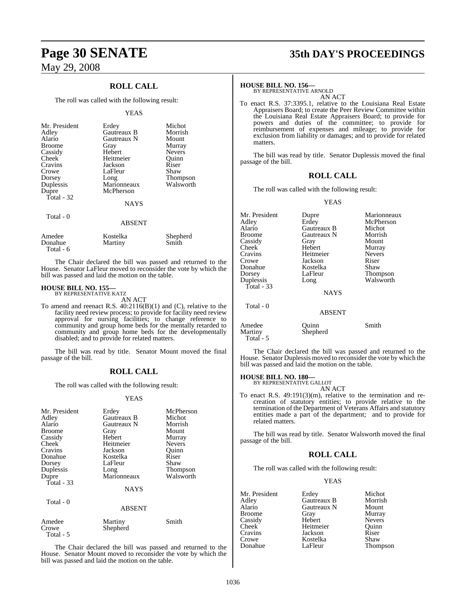## **ROLL CALL**

The roll was called with the following result:

#### YEAS

| Mr. President<br>Adley<br>Alario<br><b>Broome</b><br>Cassidy<br>Cheek<br>Cravins<br>Crowe<br>Dorsey<br>Duplessis<br>Dupre | Erdey<br>Gautreaux B<br>Gautreaux N<br>Gray<br>Hebert<br>Heitmeier<br>Jackson<br>LaFleur<br>Long<br>Marionneaux<br>McPherson | Michot<br>Morrish<br>Mount<br>Murray<br><b>Nevers</b><br>Quinn<br>Riser<br>Shaw<br>Thompson<br>Walsworth |
|---------------------------------------------------------------------------------------------------------------------------|------------------------------------------------------------------------------------------------------------------------------|----------------------------------------------------------------------------------------------------------|
| Total - 32                                                                                                                | <b>NAYS</b>                                                                                                                  |                                                                                                          |
| Total - 0                                                                                                                 | <b>ABSENT</b>                                                                                                                |                                                                                                          |
| Amedee<br>Donahue                                                                                                         | Kostelka<br>Martiny                                                                                                          | Shepherd<br>Smith                                                                                        |

Total - 6

The Chair declared the bill was passed and returned to the House. Senator LaFleur moved to reconsider the vote by which the bill was passed and laid the motion on the table.

#### **HOUSE BILL NO. 155—** BY REPRESENTATIVE KATZ

AN ACT

To amend and reenact R.S.  $40:2116(B)(1)$  and (C), relative to the facility need review process; to provide for facility need review approval for nursing facilities; to change reference to community and group home beds for the mentally retarded to community and group home beds for the developmentally disabled; and to provide for related matters.

The bill was read by title. Senator Mount moved the final passage of the bill.

## **ROLL CALL**

The roll was called with the following result:

#### YEAS

| Mr. President    | Erdey           | McPherson       |
|------------------|-----------------|-----------------|
| Adley            | Gautreaux B     | Michot          |
| Alario           | Gautreaux N     | Morrish         |
| <b>Broome</b>    | Gray            | Mount           |
| Cassidy          | Hebert          | Murray          |
| Cheek            | Heitmeier       | <b>Nevers</b>   |
| Cravins          | Jackson         | Ouinn           |
| Donahue          | Kostelka        | Riser           |
| Dorsey           | LaFleur         | Shaw            |
| Duplessis        | Long            | <b>Thompson</b> |
| Dupre            | Marionneaux     | Walsworth       |
| Total $-33$      |                 |                 |
|                  | <b>NAYS</b>     |                 |
| Total - 0        |                 |                 |
|                  | <b>ABSENT</b>   |                 |
| Amedee           | Martiny         | Smith           |
| $C_{\text{r}_0}$ | <b>Chaphard</b> |                 |

Crowe Shepherd Total - 5

The Chair declared the bill was passed and returned to the House. Senator Mount moved to reconsider the vote by which the bill was passed and laid the motion on the table.

# **Page 30 SENATE 35th DAY'S PROCEEDINGS**

# **HOUSE BILL NO. 156—** BY REPRESENTATIVE ARNOLD

AN ACT

To enact R.S. 37:3395.1, relative to the Louisiana Real Estate Appraisers Board; to create the Peer Review Committee within the Louisiana Real Estate Appraisers Board; to provide for powers and duties of the committee; to provide for reimbursement of expenses and mileage; to provide for exclusion from liability or damages; and to provide for related matters.

The bill was read by title. Senator Duplessis moved the final passage of the bill.

#### **ROLL CALL**

The roll was called with the following result:

YEAS

| Mr. President<br>Adley<br>Alario<br><b>Broome</b><br>Cassidy<br>Cheek<br>Cravins<br>Crowe<br>Donahue<br>Dorsey<br>Duplessis<br>Total - 33 | Dupre<br>Erdey<br>Gautreaux B<br>Gautreaux N<br>Gray<br>Hebert<br>Heitmeier<br>Jackson<br>Kostelka<br>LaFleur<br>Long<br><b>NAYS</b> | Marionneaux<br>McPherson<br>Michot<br>Morrish<br>Mount<br>Murray<br><b>Nevers</b><br>Riser<br>Shaw<br><b>Thompson</b><br>Walsworth |
|-------------------------------------------------------------------------------------------------------------------------------------------|--------------------------------------------------------------------------------------------------------------------------------------|------------------------------------------------------------------------------------------------------------------------------------|
| Total $-0$                                                                                                                                | <b>ABSENT</b>                                                                                                                        |                                                                                                                                    |
| Amedee<br>Martiny<br>Total - 5                                                                                                            | Ouinn<br>Shepherd                                                                                                                    | Smith                                                                                                                              |

The Chair declared the bill was passed and returned to the House. Senator Duplessis moved to reconsider the vote by which the bill was passed and laid the motion on the table.

#### **HOUSE BILL NO. 180—**

BY REPRESENTATIVE GALLOT AN ACT

To enact R.S. 49:191(3)(m), relative to the termination and recreation of statutory entities; to provide relative to the termination of the Department of Veterans Affairs and statutory entities made a part of the department; and to provide for related matters.

The bill was read by title. Senator Walsworth moved the final passage of the bill.

#### **ROLL CALL**

The roll was called with the following result:

#### YEAS

| Mr. President      | Erdey       | Michot        |
|--------------------|-------------|---------------|
| Adley              | Gautreaux B | Morrish       |
| Alario             | Gautreaux N | Mount         |
| <b>Broome</b>      | Gray        | Murray        |
| Cassidy            | Hebert      | <b>Nevers</b> |
| Cheek <sup>-</sup> | Heitmeier   | Ouinn         |
| Cravins            | Jackson     | Riser         |
| Crowe              | Kostelka    | Shaw          |
| Donahue            | LaFleur     | Thompson      |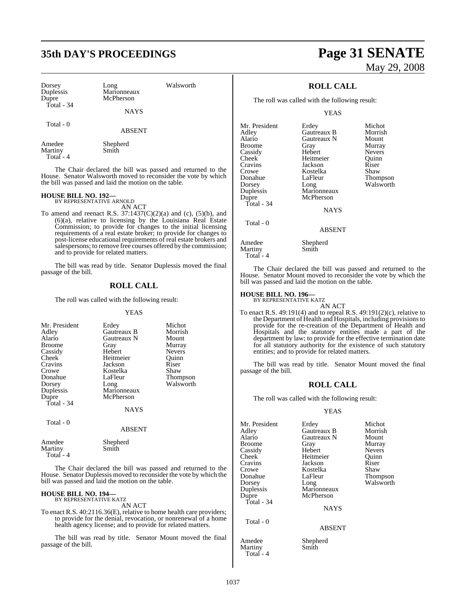# **35th DAY'S PROCEEDINGS Page 31 SENATE**

| Dorsey<br>Duplessis<br>Dupre<br>Total - 34 | Long<br>Marionneaux<br>McPherson<br><b>NAYS</b> | Walsworth |
|--------------------------------------------|-------------------------------------------------|-----------|
| Total - 0                                  | <b>ABSENT</b>                                   |           |
| Amedee<br>Martiny<br>$Total - 4$           | Shepherd<br>Smith                               |           |

The Chair declared the bill was passed and returned to the House. Senator Walsworth moved to reconsider the vote by which the bill was passed and laid the motion on the table.

# **HOUSE BILL NO. 192—** BY REPRESENTATIVE ARNOLD

AN ACT

To amend and reenact R.S.  $37:1437(C)(2)(a)$  and (c), (5)(b), and (6)(a), relative to licensing by the Louisiana Real Estate Commission; to provide for changes to the initial licensing requirements of a real estate broker; to provide for changes to post-license educational requirements of real estate brokers and salespersons; to remove free courses offered by the commission; and to provide for related matters.

The bill was read by title. Senator Duplessis moved the final passage of the bill.

## **ROLL CALL**

The roll was called with the following result:

#### YEAS

| Mr. President<br>Adley | Erdey<br>Gautreaux B | Michot<br>Morrish |
|------------------------|----------------------|-------------------|
| Alario                 | Gautreaux N          | Mount             |
| <b>Broome</b>          | Gray                 | Murray            |
| Cassidy                | Hebert               | <b>Nevers</b>     |
| Cheek                  | Heitmeier            | Ouinn             |
| Cravins                | Jackson              | Riser             |
| Crowe                  | Kostelka             | Shaw              |
| Donahue                | LaFleur              | <b>Thompson</b>   |
| Dorsey                 | Long                 | Walsworth         |
| Duplessis              | Marionneaux          |                   |
| Dupre                  | McPherson            |                   |
| Total $-34$            |                      |                   |
|                        | <b>NAYS</b>          |                   |
| Total - 0              |                      |                   |
|                        | <b>ABSENT</b>        |                   |

| Amedee<br>Martiny | Shepherd<br>Smith |  |
|-------------------|-------------------|--|
| $Total - 4$       |                   |  |

The Chair declared the bill was passed and returned to the House. Senator Duplessis moved to reconsider the vote by which the bill was passed and laid the motion on the table.

# **HOUSE BILL NO. 194—** BY REPRESENTATIVE KATZ

AN ACT

To enact R.S. 40:2116.36(E), relative to home health care providers; to provide for the denial, revocation, or nonrenewal of a home health agency license; and to provide for related matters.

The bill was read by title. Senator Mount moved the final passage of the bill.

# May 29, 2008

## **ROLL CALL**

The roll was called with the following result:

YEAS

| Mr. President | Erdey         | Michot        |
|---------------|---------------|---------------|
| Adley         | Gautreaux B   | Morrish       |
| Alario        | Gautreaux N   | Mount         |
| Broome        | Gray          | Murray        |
| Cassidy       | Hebert        | <b>Nevers</b> |
| Cheek         | Heitmeier     | Ouinn         |
| Cravins       | Jackson       | Riser         |
| Crowe         | Kostelka      | Shaw          |
| Donahue       | LaFleur       | Thompson      |
| Dorsey        | Long          | Walsworth     |
| Duplessis     | Marionneaux   |               |
| Dupre         | McPherson     |               |
| Total - 34    |               |               |
|               | <b>NAYS</b>   |               |
| Total - 0     | <b>ABSENT</b> |               |
|               |               |               |
|               |               |               |

| Amedee    | Shepherd |
|-----------|----------|
| Martiny   | Smith    |
| Total - 4 |          |

The Chair declared the bill was passed and returned to the House. Senator Mount moved to reconsider the vote by which the bill was passed and laid the motion on the table.

# **HOUSE BILL NO. 196—** BY REPRESENTATIVE KATZ

AN ACT To enact R.S.  $49:191(4)$  and to repeal R.S.  $49:191(2)(c)$ , relative to the Department of Health and Hospitals, including provisionsto provide for the re-creation of the Department of Health and Hospitals and the statutory entities made a part of the department by law; to provide for the effective termination date for all statutory authority for the existence of such statutory entities; and to provide for related matters.

The bill was read by title. Senator Mount moved the final passage of the bill.

#### **ROLL CALL**

The roll was called with the following result:

#### YEAS

| Mr. President | Erdey         | Michot          |
|---------------|---------------|-----------------|
| Adley         | Gautreaux B   | Morrish         |
| Alario        | Gautreaux N   | Mount           |
| Broome        | Gray          | Murray          |
| Cassidy       | Hebert        | <b>Nevers</b>   |
| Cheek         | Heitmeier     | Ouinn           |
| Cravins       | Jackson       | Riser           |
| Crowe         | Kostelka      | Shaw            |
| Donahue       | LaFleur       | <b>Thompson</b> |
| Dorsey        | Long          | Walsworth       |
| Duplessis     | Marionneaux   |                 |
| Dupre         | McPherson     |                 |
| Total - 34    |               |                 |
|               | <b>NAYS</b>   |                 |
| Total - 0     |               |                 |
|               | <b>ABSENT</b> |                 |
|               |               |                 |

Total - 4

Amedee Shepherd<br>Martiny Smith

Martiny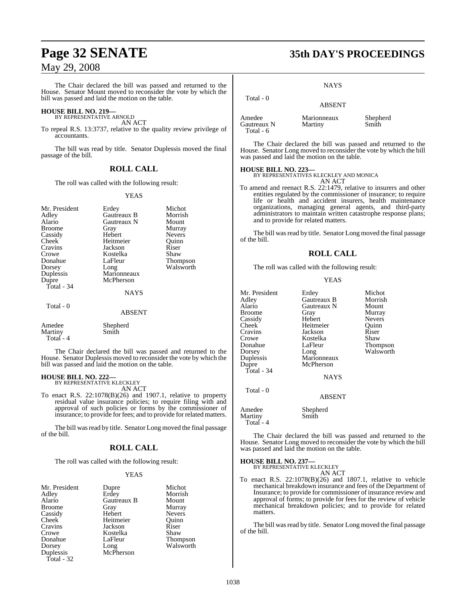The Chair declared the bill was passed and returned to the House. Senator Mount moved to reconsider the vote by which the bill was passed and laid the motion on the table.

# **HOUSE BILL NO. 219—** BY REPRESENTATIVE ARNOLD

AN ACT

To repeal R.S. 13:3737, relative to the quality review privilege of accountants.

The bill was read by title. Senator Duplessis moved the final passage of the bill.

#### **ROLL CALL**

The roll was called with the following result:

#### YEAS

| Mr. President<br>Adley<br>Alario<br><b>Broome</b><br>Cassidy<br>Cheek<br>Cravins<br>Crowe<br>Donahue<br>Dorsey<br>Duplessis<br>Dupre<br>Total - 34 | Erdey<br>Gautreaux B<br>Gautreaux N<br>Gray<br>Hebert<br>Heitmeier<br>Jackson<br>Kostelka<br>LaFleur<br>Long<br>Marionneaux<br>McPherson<br>NAYS | Michot<br>Morrish<br>Mount<br>Murray<br><b>Nevers</b><br>Quinn<br>Riser<br>Shaw<br><b>Thompson</b><br>Walsworth |
|----------------------------------------------------------------------------------------------------------------------------------------------------|--------------------------------------------------------------------------------------------------------------------------------------------------|-----------------------------------------------------------------------------------------------------------------|
| Total - 0                                                                                                                                          | <b>ABSENT</b>                                                                                                                                    |                                                                                                                 |
| Amedee<br><b>Martiny</b>                                                                                                                           | Shepherd<br>Smith                                                                                                                                |                                                                                                                 |

Total - 4

The Chair declared the bill was passed and returned to the House. Senator Duplessis moved to reconsider the vote by which the bill was passed and laid the motion on the table.

#### **HOUSE BILL NO. 222** BY REPRESENTATIVE KLECKLEY

AN ACT

To enact R.S. 22:1078(B)(26) and 1907.1, relative to property residual value insurance policies; to require filing with and approval of such policies or forms by the commissioner of insurance; to provide for fees; and to provide for related matters.

The bill was read by title. Senator Long moved the final passage of the bill.

## **ROLL CALL**

The roll was called with the following result:

#### YEAS

| Mr. President | Dupre       | Michot        |
|---------------|-------------|---------------|
| Adley         | Erdey       | Morrish       |
| Alario        | Gautreaux B | Mount         |
| <b>Broome</b> | Gray        | Murray        |
| Cassidy       | Hebert      | <b>Nevers</b> |
| <b>Cheek</b>  | Heitmeier   | Quinn         |
| Cravins       | Jackson     | Riser         |
| Crowe         | Kostelka    | Shaw          |
| Donahue       | LaFleur     | Thompson      |
| Dorsey        | Long        | Walsworth     |
| Duplessis     | McPherson   |               |
| $Total - 32$  |             |               |

# **Page 32 SENATE 35th DAY'S PROCEEDINGS**

**NAYS** 

| Total - 0                            | <b>ABSENT</b>          |                   |
|--------------------------------------|------------------------|-------------------|
| Amedee<br>Gautreaux N<br>$Total - 6$ | Marionneaux<br>Martiny | Shepherd<br>Smith |

The Chair declared the bill was passed and returned to the House. Senator Long moved to reconsider the vote by which the bill was passed and laid the motion on the table.

#### **HOUSE BILL NO. 223—**

BY REPRESENTATIVES KLECKLEY AND MONICA

- AN ACT
- To amend and reenact R.S. 22:1479, relative to insurers and other entities regulated by the commissioner of insurance; to require life or health and accident insurers, health maintenance organizations, managing general agents, and third-party administrators to maintain written catastrophe response plans; and to provide for related matters.

The bill was read by title. Senator Long moved the final passage of the bill.

#### **ROLL CALL**

The roll was called with the following result:

#### YEAS

| Mr. President | Erdey         | Michot        |
|---------------|---------------|---------------|
| Adlev         | Gautreaux B   | Morrish       |
| Alario        | Gautreaux N   | Mount         |
|               |               |               |
| Broome        | Gray          | Murray        |
| Cassidy       | Hebert        | <b>Nevers</b> |
| Cheek         | Heitmeier     | Ouinn         |
| Cravins       | Jackson       | Riser         |
| Crowe         | Kostelka      | Shaw          |
| Donahue       | LaFleur       | Thompson      |
| Dorsey        | Long          | Walsworth     |
| Duplessis     | Marionneaux   |               |
| Dupre         | McPherson     |               |
| Total - 34    |               |               |
|               | <b>NAYS</b>   |               |
| Total - 0     |               |               |
|               | <b>ABSENT</b> |               |
| Amedee        | Shepherd      |               |
| Martiny       | Smith         |               |
|               |               |               |

The Chair declared the bill was passed and returned to the House. Senator Long moved to reconsider the vote by which the bill was passed and laid the motion on the table.

#### **HOUSE BILL NO. 237—** BY REPRESENTATIVE KLECKLEY

Total - 4

AN ACT

To enact R.S. 22:1078(B)(26) and 1807.1, relative to vehicle mechanical breakdown insurance and fees of the Department of Insurance; to provide for commissioner of insurance review and approval of forms; to provide for fees for the review of vehicle mechanical breakdown policies; and to provide for related matters.

The bill was read by title. Senator Long moved the final passage of the bill.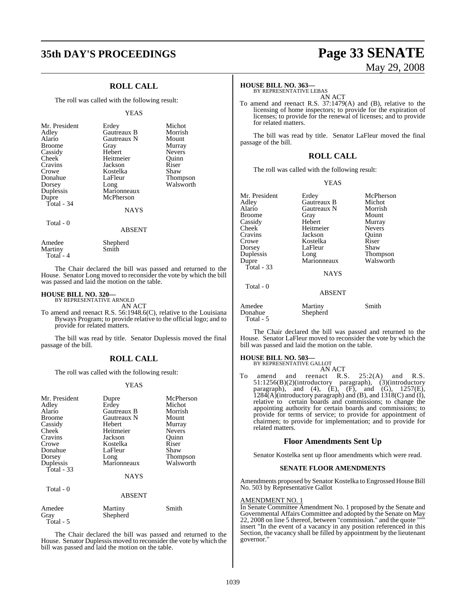# **35th DAY'S PROCEEDINGS Page 33 SENATE**

## **ROLL CALL**

The roll was called with the following result:

#### YEAS

| Mr. President<br>Adley<br>Alario<br>Broome<br>Cassidy<br><b>Cheek</b><br>Cravins<br>Crowe<br>Donahue<br>Dorsey<br>Duplessis<br>Dupre<br>Total - 34 | Erdey<br>Gautreaux B<br>Gautreaux N<br>Gray<br>Hebert<br>Heitmeier<br>Jackson<br>Kostelka<br>LaFleur<br>Long<br>Marionneaux<br>McPherson<br><b>NAYS</b> | Michot<br>Morrish<br>Mount<br>Murray<br><b>Nevers</b><br>Ouinn<br>Riser<br>Shaw<br><b>Thompson</b><br>Walsworth |
|----------------------------------------------------------------------------------------------------------------------------------------------------|---------------------------------------------------------------------------------------------------------------------------------------------------------|-----------------------------------------------------------------------------------------------------------------|
| Total - 0                                                                                                                                          | <b>ABSENT</b>                                                                                                                                           |                                                                                                                 |
| Amedee                                                                                                                                             | Shepherd                                                                                                                                                |                                                                                                                 |

Martiny Smith Total - 4

Total - 5

The Chair declared the bill was passed and returned to the House. Senator Long moved to reconsider the vote by which the bill was passed and laid the motion on the table.

#### **HOUSE BILL NO. 320—** BY REPRESENTATIVE ARNOLD

AN ACT

To amend and reenact R.S. 56:1948.6(C), relative to the Louisiana Byways Program; to provide relative to the official logo; and to provide for related matters.

The bill was read by title. Senator Duplessis moved the final passage of the bill.

#### **ROLL CALL**

The roll was called with the following result:

#### YEAS

| Mr. President<br>Adley<br>Alario<br><b>Broome</b><br>Cassidy<br><b>Cheek</b><br>Cravins<br>Crowe<br>Donahue<br>Dorsey<br>Duplessis<br>Total - 33<br>Total - 0 | Dupre<br>Erdey<br>Gautreaux B<br>Gautreaux N<br>Hebert<br>Heitmeier<br>Jackson<br>Kostelka<br>LaFleur<br>Long<br>Marionneaux<br><b>NAYS</b> | McPherson<br>Michot<br>Morrish<br>Mount<br>Murray<br><b>Nevers</b><br>Ouinn<br>Riser<br>Shaw<br>Thompson<br>Walsworth |
|---------------------------------------------------------------------------------------------------------------------------------------------------------------|---------------------------------------------------------------------------------------------------------------------------------------------|-----------------------------------------------------------------------------------------------------------------------|
|                                                                                                                                                               | <b>ABSENT</b>                                                                                                                               |                                                                                                                       |
| Amedee<br>Gray                                                                                                                                                | Martiny<br>Shepherd                                                                                                                         | Smith                                                                                                                 |

The Chair declared the bill was passed and returned to the House. Senator Duplessis moved to reconsider the vote by which the bill was passed and laid the motion on the table.

# May 29, 2008

#### **HOUSE BILL NO. 363—**

BY REPRESENTATIVE LEBAS AN ACT

To amend and reenact R.S. 37:1479(A) and (B), relative to the licensing of home inspectors; to provide for the expiration of licenses; to provide for the renewal of licenses; and to provide for related matters.

The bill was read by title. Senator LaFleur moved the final passage of the bill.

#### **ROLL CALL**

The roll was called with the following result:

#### YEAS

| Mr. President     | Erdey               | McPherson     |
|-------------------|---------------------|---------------|
| Adley             | Gautreaux B         | Michot        |
| Alario            | Gautreaux N         | Morrish       |
| <b>Broome</b>     | Gray                | Mount         |
| Cassidy           | Hebert              | Murray        |
| Cheek             | Heitmeier           | <b>Nevers</b> |
| Cravins           | Jackson             | Ouinn         |
| Crowe             | Kostelka            | Riser         |
| Dorsey            | LaFleur             | Shaw          |
| Duplessis         | Long                | Thompson      |
| Dupre             | Marionneaux         | Walsworth     |
| Total - 33        |                     |               |
|                   | <b>NAYS</b>         |               |
| Total - 0         |                     |               |
|                   | <b>ABSENT</b>       |               |
| Amedee<br>Donahue | Martiny<br>Shepherd | Smith         |

The Chair declared the bill was passed and returned to the House. Senator LaFleur moved to reconsider the vote by which the bill was passed and laid the motion on the table.

# **HOUSE BILL NO. 503—** BY REPRESENTATIVE GALLOT

Total - 5

AN ACT

To amend and reenact R.S. 25:2(A) and R.S. 51:1256(B)(2)(introductory paragraph), (3)(introductory paragraph), and (4),  $(E)$ ,  $(F)$ , and  $(G)$ , 1257 $(E)$ ,  $1284(A)$ (introductory paragraph) and (B), and  $1318(C)$  and (I), relative to certain boards and commissions; to change the appointing authority for certain boards and commissions; to provide for terms of service; to provide for appointment of chairmen; to provide for implementation; and to provide for related matters.

#### **Floor Amendments Sent Up**

Senator Kostelka sent up floor amendments which were read.

#### **SENATE FLOOR AMENDMENTS**

Amendments proposed by Senator Kostelka to Engrossed House Bill No. 503 by Representative Gallot

#### AMENDMENT NO. 1

In Senate Committee Amendment No. 1 proposed by the Senate and Governmental Affairs Committee and adopted by the Senate on May 22, 2008 on line 5 thereof, between "commission." and the quote """ insert "In the event of a vacancy in any position referenced in this Section, the vacancy shall be filled by appointment by the lieutenant governor."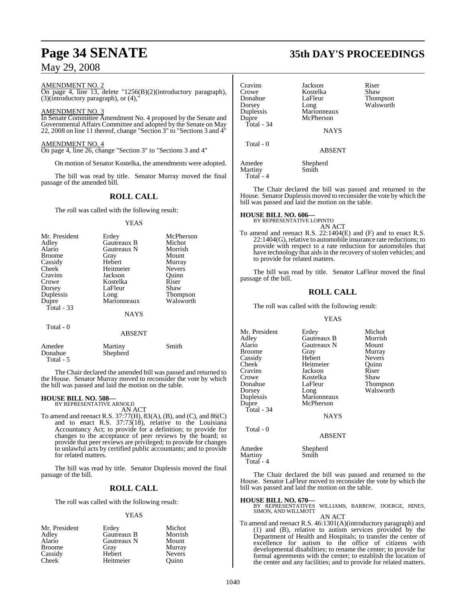AMENDMENT NO. 2

On page 4, line 13, delete "1256(B)(2)(introductory paragraph),  $(3)$ (introductory paragraph), or  $(4)$ ,

#### AMENDMENT NO. 3

In Senate Committee Amendment No. 4 proposed by the Senate and Governmental Affairs Committee and adopted by the Senate on May 22, 2008 on line 11 thereof, change "Section 3" to "Sections 3 and 4"

#### AMENDMENT NO. 4

On page 4, line 26, change "Section 3" to "Sections 3 and 4"

On motion of Senator Kostelka, the amendments were adopted.

The bill was read by title. Senator Murray moved the final passage of the amended bill.

## **ROLL CALL**

The roll was called with the following result:

#### YEAS

| Mr. President | Erdey         | McPherson     |
|---------------|---------------|---------------|
| Adley         | Gautreaux B   | Michot        |
| Alario        | Gautreaux N   | Morrish       |
| <b>Broome</b> | Gray          | Mount         |
| Cassidy       | Hebert        | Murray        |
| Cheek         | Heitmeier     | <b>Nevers</b> |
| Cravins       | Jackson       | Quinn         |
| Crowe         | Kostelka      | Riser         |
| Dorsey        | LaFleur       | Shaw          |
| Duplessis     | Long          | Thompson      |
| Dupre         | Marionneaux   | Walsworth     |
| Total $-33$   |               |               |
|               | <b>NAYS</b>   |               |
| Total - 0     |               |               |
|               | <b>ABSENT</b> |               |

| Amedee    | Martiny  | Smith |  |
|-----------|----------|-------|--|
| Donahue   | Shepherd |       |  |
| Total - 5 |          |       |  |

The Chair declared the amended bill was passed and returned to the House. Senator Murray moved to reconsider the vote by which the bill was passed and laid the motion on the table.

# **HOUSE BILL NO. 508—** BY REPRESENTATIVE ARNOLD

AN ACT

To amend and reenact R.S. 37:77(H), 83(A), (B), and (C), and 86(C) and to enact R.S. 37:73(18), relative to the Louisiana Accountancy Act; to provide for a definition; to provide for changes to the acceptance of peer reviews by the board; to provide that peer reviews are privileged; to provide for changes to unlawful acts by certified public accountants; and to provide for related matters.

The bill was read by title. Senator Duplessis moved the final passage of the bill.

## **ROLL CALL**

The roll was called with the following result:

#### YEAS

| Mr. President | Erdey       | Michot        |
|---------------|-------------|---------------|
| Adley         | Gautreaux B | Morrish       |
| Alario        | Gautreaux N | Mount         |
| <b>Broome</b> | Gray        | Murray        |
| Cassidy       | Hebert      | <b>Nevers</b> |
| Cheek         | Heitmeier   | Ouinn         |

# **Page 34 SENATE 35th DAY'S PROCEEDINGS**

| Cravins<br>Crowe<br>Donahue<br>Dorsey<br>Duplessis<br>Dupre<br>Total - 34 | Jackson<br>Kostelka<br>LaFleur<br>Long<br>Marionneaux<br>McPherson<br><b>NAYS</b> | Riser<br>Shaw<br><b>Thompson</b><br>Walsworth |
|---------------------------------------------------------------------------|-----------------------------------------------------------------------------------|-----------------------------------------------|
| Total - 0                                                                 | <b>ABSENT</b>                                                                     |                                               |
| Amedee<br>Martiny<br>Total - 4                                            | Shepherd<br>Smith                                                                 |                                               |

The Chair declared the bill was passed and returned to the House. Senator Duplessis moved to reconsider the vote by which the bill was passed and laid the motion on the table.

# **HOUSE BILL NO. 606—** BY REPRESENTATIVE LOPINTO

AN ACT To amend and reenact R.S. 22:1404(E) and (F) and to enact R.S.  $22:1404(G)$ , relative to automobile insurance rate reductions; to provide with respect to a rate reduction for automobiles that have technology that aids in the recovery of stolen vehicles; and to provide for related matters.

The bill was read by title. Senator LaFleur moved the final passage of the bill.

#### **ROLL CALL**

The roll was called with the following result:

#### YEAS

| Mr. President | Erdey         | Michot          |
|---------------|---------------|-----------------|
| Adley         | Gautreaux B   | Morrish         |
| Alario        | Gautreaux N   | Mount           |
| Broome        | Gray          | Murray          |
| Cassidy       | Hebert        | <b>Nevers</b>   |
| Cheek         | Heitmeier     | Ouinn           |
| Cravins       | Jackson       | Riser           |
| Crowe         | Kostelka      | Shaw            |
| Donahue       | LaFleur       | <b>Thompson</b> |
| Dorsey        | Long          | Walsworth       |
| Duplessis     | Marionneaux   |                 |
| Dupre         | McPherson     |                 |
| Total - 34    |               |                 |
|               | <b>NAYS</b>   |                 |
| Total - 0     | <b>ABSENT</b> |                 |
|               |               |                 |

Amedee Shepherd<br>Martiny Smith Martiny Total - 4

The Chair declared the bill was passed and returned to the House. Senator LaFleur moved to reconsider the vote by which the bill was passed and laid the motion on the table.

#### **HOUSE BILL NO. 670—**

WILLIAMS, BARROW, DOERGE, HINES, SIMON, AND WILLMOTT

AN ACT

To amend and reenact R.S. 46:1301(A)(introductory paragraph) and (1) and (B), relative to autism services provided by the Department of Health and Hospitals; to transfer the center of excellence for autism to the office of citizens with developmental disabilities; to rename the center; to provide for formal agreements with the center; to establish the location of the center and any facilities; and to provide for related matters.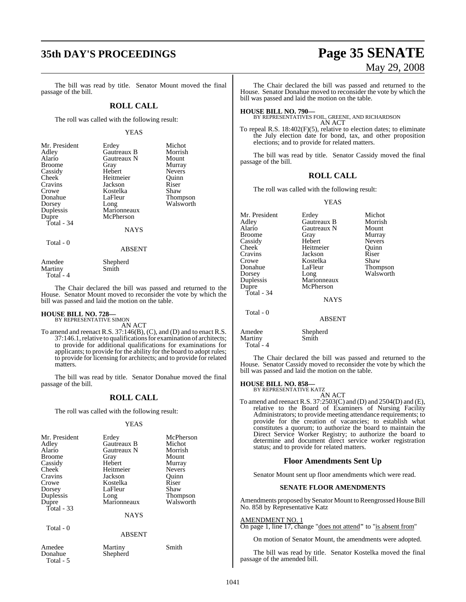# **35th DAY'S PROCEEDINGS Page 35 SENATE**

The bill was read by title. Senator Mount moved the final passage of the bill.

#### **ROLL CALL**

The roll was called with the following result:

#### YEAS

| Mr. President | Erdey       | Michot        |
|---------------|-------------|---------------|
| Adley         | Gautreaux B | Morrish       |
| Alario        | Gautreaux N | Mount         |
| <b>Broome</b> | Gray        | Murray        |
| Cassidy       | Hebert      | <b>Nevers</b> |
| Cheek         | Heitmeier   | Ouinn         |
| Cravins       | Jackson     | Riser         |
| Crowe         | Kostelka    | Shaw          |
| Donahue       | LaFleur     | Thompson      |
| Dorsey        | Long        | Walsworth     |
| Duplessis     | Marionneaux |               |
| Dupre         | McPherson   |               |
| Total - 34    |             |               |
|               | <b>NAYS</b> |               |
| Total - 0     |             |               |
|               | ABSENT      |               |

Amedee Shepherd<br>Martiny Smith Martiny Total - 4

Total - 5

The Chair declared the bill was passed and returned to the House. Senator Mount moved to reconsider the vote by which the bill was passed and laid the motion on the table.

# **HOUSE BILL NO. 728—** BY REPRESENTATIVE SIMON

AN ACT

To amend and reenact R.S.  $37:146(B)$ , (C), and (D) and to enact R.S. 37:146.1, relative to qualifications for examination of architects; to provide for additional qualifications for examinations for applicants; to provide for the ability for the board to adopt rules; to provide for licensing for architects; and to provide for related matters.

The bill was read by title. Senator Donahue moved the final passage of the bill.

## **ROLL CALL**

The roll was called with the following result:

#### YEAS

| Mr. President<br>Adley<br>Alario<br><b>Broome</b><br>Cassidy<br>Cheek<br>Cravins<br>Crowe | Erdey<br>Gautreaux B<br>Gautreaux N<br>Gray<br>Hebert<br>Heitmeier<br>Jackson<br>Kostelka | McPherson<br>Michot<br>Morrish<br>Mount<br>Murray<br><b>Nevers</b><br>Ouinn<br>Riser |
|-------------------------------------------------------------------------------------------|-------------------------------------------------------------------------------------------|--------------------------------------------------------------------------------------|
| Dorsey<br>Duplessis                                                                       | LaFleur<br>Long                                                                           | Shaw<br><b>Thompson</b>                                                              |
| Dupre<br>Total $-33$                                                                      | Marionneaux                                                                               | Walsworth                                                                            |
|                                                                                           | <b>NAYS</b>                                                                               |                                                                                      |
| Total - 0                                                                                 | <b>ABSENT</b>                                                                             |                                                                                      |
| Amedee<br>Donahue                                                                         | Martiny<br>Shepherd                                                                       | Smith                                                                                |

# May 29, 2008

The Chair declared the bill was passed and returned to the House. Senator Donahue moved to reconsider the vote by which the bill was passed and laid the motion on the table.

**HOUSE BILL NO. 790—** BY REPRESENTATIVES FOIL, GREENE, AND RICHARDSON AN ACT

To repeal R.S. 18:402(F)(5), relative to election dates; to eliminate the July election date for bond, tax, and other proposition elections; and to provide for related matters.

The bill was read by title. Senator Cassidy moved the final passage of the bill.

## **ROLL CALL**

The roll was called with the following result:

YEAS

| Mr. President<br>Adley<br>Alario<br><b>Broome</b><br>Cassidy<br>Cheek<br>Cravins<br>Crowe<br>Donahue<br>Dorsey<br>Duplessis | Erdey<br>Gautreaux B<br>Gautreaux N<br>Gray<br>Hebert<br>Heitmeier<br>Jackson<br>Kostelka<br>LaFleur<br>Long<br>Marionneaux | Michot<br>Morrish<br>Mount<br>Murray<br><b>Nevers</b><br>Ouinn<br>Riser<br>Shaw<br>Thompson<br>Walsworth |
|-----------------------------------------------------------------------------------------------------------------------------|-----------------------------------------------------------------------------------------------------------------------------|----------------------------------------------------------------------------------------------------------|
| Dupre<br>Total - 34<br>Total - 0                                                                                            | McPherson<br><b>NAYS</b><br><b>ABSENT</b>                                                                                   |                                                                                                          |
| Amedee<br>Martiny                                                                                                           | Shepherd<br>Smith                                                                                                           |                                                                                                          |

The Chair declared the bill was passed and returned to the House. Senator Cassidy moved to reconsider the vote by which the bill was passed and laid the motion on the table.

# **HOUSE BILL NO. 858—** BY REPRESENTATIVE KATZ

Total - 4

AN ACT

To amend and reenact R.S. 37:2503(C) and (D) and 2504(D) and (E), relative to the Board of Examiners of Nursing Facility Administrators; to provide meeting attendance requirements; to provide for the creation of vacancies; to establish what constitutes a quorum; to authorize the board to maintain the Direct Service Worker Registry; to authorize the board to determine and document direct service worker registration status; and to provide for related matters.

#### **Floor Amendments Sent Up**

Senator Mount sent up floor amendments which were read.

#### **SENATE FLOOR AMENDMENTS**

Amendments proposed by Senator Mount to Reengrossed House Bill No. 858 by Representative Katz

#### AMENDMENT NO. 1

On page 1, line 17, change "does not attend**"** to "is absent from"

On motion of Senator Mount, the amendments were adopted.

The bill was read by title. Senator Kostelka moved the final passage of the amended bill.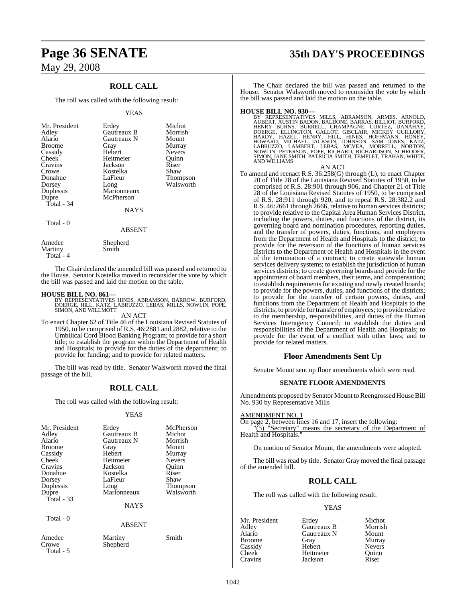## **ROLL CALL**

The roll was called with the following result:

#### YEAS

| Mr. President<br>Adley<br>Alario<br>Broome<br>Cassidy<br>Cheek<br>Cravins<br>Crowe<br>Donahue<br>Dorsey<br>Duplessis<br>Dupre<br>Total - 34 | Erdey<br>Gautreaux B<br>Gautreaux N<br>Gray<br>Hebert<br>Heitmeier<br>Jackson<br>Kostelka<br>LaFleur<br>Long<br>Marionneaux<br>McPherson<br><b>NAYS</b> | Michot<br>Morrish<br>Mount<br>Murray<br><b>Nevers</b><br>Ouinn<br>Riser<br>Shaw<br><b>Thompson</b><br>Walsworth |
|---------------------------------------------------------------------------------------------------------------------------------------------|---------------------------------------------------------------------------------------------------------------------------------------------------------|-----------------------------------------------------------------------------------------------------------------|
| Total - 0                                                                                                                                   | <b>ABSENT</b>                                                                                                                                           |                                                                                                                 |
| Amedee                                                                                                                                      | Shepherd                                                                                                                                                |                                                                                                                 |

The Chair declared the amended bill was passed and returned to the House. Senator Kostelka moved to reconsider the vote by which the bill was passed and laid the motion on the table.

Martiny Smith

Total - 4

**HOUSE BILL NO. 861—** BY REPRESENTATIVES HINES, ABRAMSON, BARROW, BURFORD, DOERGE, HILL, KATZ, LABRUZZO, LEBAS, MILLS, NOWLIN, POPE, SIMON, AND WILLMOTT

#### AN ACT

To enact Chapter 62 of Title 46 of the Louisiana Revised Statutes of 1950, to be comprised of R.S. 46:2881 and 2882, relative to the Umbilical Cord Blood Banking Program; to provide for a short title; to establish the program within the Department of Health and Hospitals; to provide for the duties of the department; to provide for funding; and to provide for related matters.

The bill was read by title. Senator Walsworth moved the final passage of the bill.

## **ROLL CALL**

The roll was called with the following result:

#### YEAS

| Mr. President   | Erdey               | McPherson     |
|-----------------|---------------------|---------------|
| Adley           | Gautreaux B         | Michot        |
| Alario          | Gautreaux N         | Morrish       |
| <b>Broome</b>   | Gray                | Mount         |
| Cassidy         | Hebert              | Murray        |
| Cheek           | Heitmeier           | <b>Nevers</b> |
| Cravins         | Jackson             | Quinn         |
| Donahue         | Kostelka            | Riser         |
| Dorsey          | LaFleur             | Shaw          |
| Duplessis       | Long                | Thompson      |
| Dupre           | Marionneaux         | Walsworth     |
| Total - 33      |                     |               |
|                 | <b>NAYS</b>         |               |
| Total - 0       |                     |               |
|                 | <b>ABSENT</b>       |               |
| Amedee<br>Crowe | Martiny<br>Shenherd | Smith         |

Shepherd

Total - 5

**Page 36 SENATE 35th DAY'S PROCEEDINGS**

The Chair declared the bill was passed and returned to the House. Senator Walsworth moved to reconsider the vote by which the bill was passed and laid the motion on the table.

#### **HOUSE BILL NO. 930—**

BY REPRESENTATIVES MILLS, ABRAMSON, ARMES, ARNOLD,<br>AUBERT, AUSTIN BADON, BALDONE, BARRAS, BILLIOT, BURFORD,<br>HENRY BURNS, BURRELL, CHAMPAGNE, CORTEZ, DANAHAY,<br>DOERGE, ELLINGTON, GALLOT, GISCLAIR, MICKEY GUILLORY,<br>HARDY, HAZ

#### AN ACT

To amend and reenact R.S. 36:258(G) through (L), to enact Chapter 20 of Title 28 of the Louisiana Revised Statutes of 1950, to be comprised of R.S. 28:901 through 906, and Chapter 21 of Title 28 of the Louisiana Revised Statutes of 1950, to be comprised of R.S. 28:911 through 920, and to repeal R.S. 28:382.2 and R.S. 46:2661 through 2666, relative to human services districts; to provide relative to the Capital Area Human Services District, including the powers, duties, and functions of the district, its governing board and nomination procedures, reporting duties, and the transfer of powers, duties, functions, and employees from the Department of Health and Hospitals to the district; to provide for the reversion of the functions of human services districts to the Department of Health and Hospitals in the event of the termination of a contract; to create statewide human services delivery systems; to establish the jurisdiction of human services districts; to create governing boards and provide for the appointment of board members, their terms, and compensation; to establish requirements for existing and newly created boards; to provide for the powers, duties, and functions of the districts; to provide for the transfer of certain powers, duties, and functions from the Department of Health and Hospitals to the districts; to provide for transfer of employees; to provide relative to the membership, responsibilities, and duties of the Human Services Interagency Council; to establish the duties and responsibilities of the Department of Health and Hospitals; to provide for the event of a conflict with other laws; and to provide for related matters.

#### **Floor Amendments Sent Up**

Senator Mount sent up floor amendments which were read.

#### **SENATE FLOOR AMENDMENTS**

Amendments proposed by Senator Mount to Reengrossed House Bill No. 930 by Representative Mills

#### AMENDMENT NO. 1

On page 2, between lines 16 and 17, insert the following: "(5) "Secretary" means the secretary of the Department of

Health and Hospitals."

On motion of Senator Mount, the amendments were adopted.

The bill was read by title. Senator Gray moved the final passage of the amended bill.

#### **ROLL CALL**

The roll was called with the following result:

#### YEAS

Mr. President Erdey Michot<br>Adley Gautreaux B Morrish Adley Gautreaux B Morrish Gautreaux N Mount<br>Gray Murray Broome Gray<br>Cassidy Hebert Cassidy Hebert Nevers<br>
Cheek Heitmeier Quinn Heitmeier Quinn<br>
Jackson Riser Cravins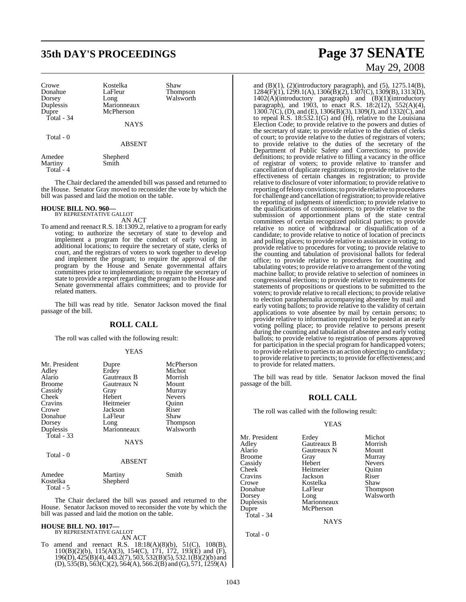# **35th DAY'S PROCEEDINGS Page 37 SENATE**

| Crowe<br>Donahue | Kostelka<br>LaFleur | Shaw                  |
|------------------|---------------------|-----------------------|
| Dorsey           | Long                | Thompson<br>Walsworth |
| Duplessis        | Marionneaux         |                       |
| Dupre            | McPherson           |                       |
| Total $-34$      |                     |                       |
|                  | <b>NAYS</b>         |                       |
| Total - 0        |                     |                       |
|                  | <b>ABSENT</b>       |                       |

Amedee Shepherd<br>Martiny Smith Martiny Total - 4

The Chair declared the amended bill was passed and returned to the House. Senator Gray moved to reconsider the vote by which the bill was passed and laid the motion on the table.

#### **HOUSE BILL NO. 960—**

BY REPRESENTATIVE GALLOT AN ACT

To amend and reenact R.S. 18:1309.2, relative to a program for early voting; to authorize the secretary of state to develop and implement a program for the conduct of early voting in additional locations; to require the secretary of state, clerks of court, and the registrars of voters to work together to develop and implement the program; to require the approval of the program by the House and Senate governmental affairs committees prior to implementation; to require the secretary of state to provide a report regarding the program to the House and Senate governmental affairs committees; and to provide for related matters.

The bill was read by title. Senator Jackson moved the final passage of the bill.

#### **ROLL CALL**

The roll was called with the following result:

#### YEAS

| Mr. President      | Dupre               | McPherson       |
|--------------------|---------------------|-----------------|
| Adley              | Erdey               | Michot          |
| Alario             | Gautreaux B         | Morrish         |
| <b>Broome</b>      | Gautreaux N         | Mount           |
| Cassidy            | Gray                | Murray          |
| Cheek              | Hebert              | <b>Nevers</b>   |
| Cravins            | Heitmeier           | Ouinn           |
| Crowe              | Jackson             | Riser           |
| Donahue            | LaFleur             | Shaw            |
| Dorsey             | Long                | <b>Thompson</b> |
| Duplessis          | Marionneaux         | Walsworth       |
| Total - 33         |                     |                 |
|                    | <b>NAYS</b>         |                 |
| Total - 0          |                     |                 |
|                    | <b>ABSENT</b>       |                 |
| Amedee<br>Kostelka | Martiny<br>Shepherd | Smith           |

Total - 5

The Chair declared the bill was passed and returned to the House. Senator Jackson moved to reconsider the vote by which the bill was passed and laid the motion on the table.

# **HOUSE BILL NO. 1017—** BY REPRESENTATIVE GALLOT

AN ACT

To amend and reenact R.S. 18:18(A)(8)(b), 51(C), 108(B), 110(B)(2)(b), 115(A)(3), 154(C), 171, 172, 193(E) and (F), 196(D), 425(B)(4), 443.2(7), 503, 532(B)(5), 532.1(B)(2)(b) and  $(D), 535(B), 563(C)(2), 564(A), 566.2(B)$  and  $(G), 571, 1259(A)$ 

# May 29, 2008

and  $(B)(1)$ ,  $(2)$ (introductory paragraph), and  $(5)$ ,  $1275.14(B)$ , 1284(F)(1), 1299.1(A), 1306(B)(2), 1307(C), 1309(B), 1313(D), 1402(A)(introductory paragraph) and (B)(1)(introductory paragraph), and 1903, to enact R.S. 18:2(12), 552(A)(4), 1300.7(C), (D), and (E), 1306(B)(3), 1309(J), and 1332(C), and to repeal R.S. 18:532.1(G) and (H), relative to the Louisiana Election Code; to provide relative to the powers and duties of the secretary of state; to provide relative to the duties of clerks of court; to provide relative to the duties of registrars of voters; to provide relative to the duties of the secretary of the Department of Public Safety and Corrections; to provide definitions; to provide relative to filling a vacancy in the office of registrar of voters; to provide relative to transfer and cancellation of duplicate registrations; to provide relative to the effectiveness of certain changes in registration; to provide relative to disclosure of voter information; to provide relative to reporting of felony convictions; to provide relative to procedures for challenge and cancellation ofregistration; to provide relative to reporting of judgments of interdiction; to provide relative to the qualifications of commissioners; to provide relative to the submission of apportionment plans of the state central committees of certain recognized political parties; to provide relative to notice of withdrawal or disqualification of a candidate; to provide relative to notice of location of precincts and polling places; to provide relative to assistance in voting; to provide relative to procedures for voting; to provide relative to the counting and tabulation of provisional ballots for federal office; to provide relative to procedures for counting and tabulating votes; to provide relative to arrangement of the voting machine ballot; to provide relative to selection of nominees in congressional elections; to provide relative to requirements for statements of propositions or questions to be submitted to the voters; to provide relative to recall elections; to provide relative to election paraphernalia accompanying absentee by mail and early voting ballots; to provide relative to the validity of certain applications to vote absentee by mail by certain persons; to provide relative to information required to be posted at an early voting polling place; to provide relative to persons present during the counting and tabulation of absentee and early voting ballots; to provide relative to registration of persons approved for participation in the special program for handicapped voters; to provide relative to parties to an action objecting to candidacy; to provide relative to precincts; to provide for effectiveness; and to provide for related matters.

The bill was read by title. Senator Jackson moved the final passage of the bill.

## **ROLL CALL**

The roll was called with the following result:

#### YEAS

Mr. President Erdey Michot<br>Adley Gautreaux B Morrish Adley Gautreaux B Morrish Broome Gray Murray<br>Cassidy Hebert Nevers Cassidy Hebert Nevers Cheek Heitmeier Quinn<br>Cravins Jackson Riser Jackson Crowe Kostelka Shaw Dorsey Long Walsworth<br>
Duplessis Marionneaux Duplessis Marionneaux Total - 34

Gautreaux N Mount<br>Gray Murray LaFleur Thompson<br>Long Walsworth **McPherson** 

**NAYS** 

Total - 0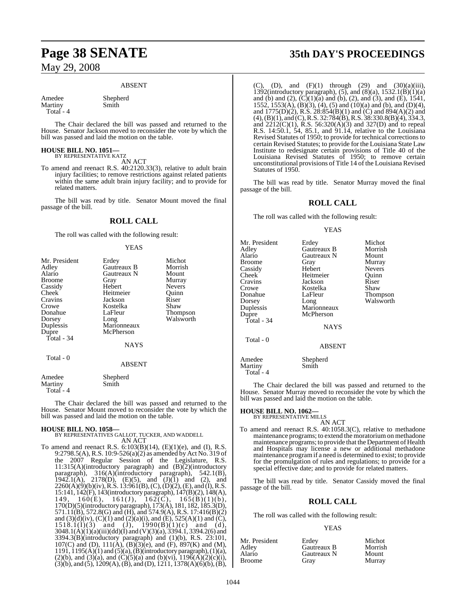#### ABSENT

Amedee Shepherd<br>Martiny Smith Martiny

Total - 4

The Chair declared the bill was passed and returned to the House. Senator Jackson moved to reconsider the vote by which the bill was passed and laid the motion on the table.

#### **HOUSE BILL NO. 1051—** BY REPRESENTATIVE KATZ

AN ACT

To amend and reenact R.S. 40:2120.33(3), relative to adult brain injury facilities; to remove restrictions against related patients within the same adult brain injury facility; and to provide for related matters.

The bill was read by title. Senator Mount moved the final passage of the bill.

## **ROLL CALL**

The roll was called with the following result:

#### YEAS

| Mr. President      | Erdey         | Michot        |
|--------------------|---------------|---------------|
| Adley              | Gautreaux B   | Morrish       |
| Alario             | Gautreaux N   | Mount         |
| Broome             | Gray          | Murray        |
| Cassidy            | Hebert        | <b>Nevers</b> |
| Cheek <sup>1</sup> | Heitmeier     | Ouinn         |
| Cravins            | Jackson       | Riser         |
| Crowe              | Kostelka      | Shaw          |
| Donahue            | LaFleur       | Thompson      |
| Dorsey             | Long          | Walsworth     |
| Duplessis          | Marionneaux   |               |
| Dupre              | McPherson     |               |
| Total - 34         |               |               |
|                    | <b>NAYS</b>   |               |
| Total - 0          |               |               |
|                    | <b>ABSENT</b> |               |
| Amedee             | Shepherd      |               |

| Amedee    | Shepherd |
|-----------|----------|
| Martinv   | Smith    |
| Total - 4 |          |

The Chair declared the bill was passed and returned to the House. Senator Mount moved to reconsider the vote by which the bill was passed and laid the motion on the table.

**HOUSE BILL NO. 1058—** BY REPRESENTATIVES GALLOT, TUCKER, AND WADDELL AN ACT

To amend and reenact R.S.  $6:103(B)(14)$ ,  $(E)(1)(e)$ , and  $(I)$ , R.S. 9:2798.5(A), R.S. 10:9-526(a)(2) as amended by Act No. 319 of the 2007 Regular Session of the Legislature, R.S. 11:315(A)(introductory paragraph) and (B)(2)(introductory paragraph), 316(A)(introductory paragraph), 542.1(B), 1942.1(A), 2178(D), (E)(5), and  $(J)(1)$  and (2), and  $2260(A)(9)(b)(iv)$ , R.S. 13:961(B), (C), (D)(2), (E), and (I), R.S. 15:141, 142(F), 143(introductory paragraph), 147(B)(2), 148(A), 149, 160 $(E)$ , 161(J), 162 $(\overrightarrow{C})$ , 165 $(\overrightarrow{B})(1)(\overrightarrow{b})$ , 170(D)(5)(introductory paragraph), 173(A), 181, 182, 185.3(D), 571.11(B), 572.8(G) and (H), and 574.9(A), R.S. 17:416(B)(2) and  $(3)(d)(iv)$ ,  $(C)(1)$  and  $(2)(a)(i)$ , and  $(E)$ ,  $525(A)(1)$  and  $(C)$ ,  $1518.1(1)(3)$  and  $(J)$ ,  $1990(B)(1)(c)$  and  $(d)$ , 3048.1(A)(1)(a)(iii)(dd)(I) and (V)(3)(a), 3394.1, 3394.2(6) and 3394.3(B)(introductory paragraph) and (1)(b), R.S. 23:101, 107(C) and (D),  $111(A)$ ,  $(B)$  $(3)$  $(e)$ , and  $(F)$ ,  $897(K)$  and  $(M)$ , 1191,  $1195(A)(1)$  and  $(5)(a)$ ,  $(B)$ (introductory paragraph),  $(1)(a)$ , (2)(b), and (3)(a), and (C)(5)(a) and (b)(vi),  $119\bar{6}(\bar{A})(2)(c)(i)$ ,  $(3)(b)$ , and  $(5)$ , 1209(A), (B), and (D), 1211, 1378(A)(6)(b), (B),

# **Page 38 SENATE 35th DAY'S PROCEEDINGS**

(C), (D), and  $(F)(1)$  through (29) and  $(30)(a)(iii)$ , 1392(introductory paragraph),  $(5)$ , and  $(8)(a)$ , 1532.1 $(B)(1)(a)$ and (b) and (2),  $(C)(1)(a)$  and (b), (2), and (3), and (E), 1541, 1552, 1553(A), (B)(3), (4), (5) and (10)(a) and (b), and (D)(4), and 1775(D)(2), R.S. 28:854(B)(1) and (C) and 894(A)(2) and (4), (B)(1), and (C), R.S. 32:784(B), R.S. 38:330.8(B)(4), 334.3, and  $2212(C)(1)$ , R.S. 56:320(A)(3) and 327(D) and to repeal R.S. 14:50.1, 54, 85.1, and 91.14, relative to the Louisiana Revised Statutes of 1950; to provide for technical correctionsto certain Revised Statutes; to provide for the Louisiana State Law Institute to redesignate certain provisions of Title 40 of the Louisiana Revised Statutes of 1950; to remove certain unconstitutional provisions of Title 14 of the Louisiana Revised Statutes of 1950.

The bill was read by title. Senator Murray moved the final passage of the bill.

## **ROLL CALL**

The roll was called with the following result:

#### YEAS

| Mr. President<br>Adley<br>Alario<br>Broome<br>Cassidy<br>Cheek <sup>-</sup><br>Cravins<br>Crowe<br>Donahue<br>Dorsey<br>Duplessis<br>Dupre<br>Total - 34<br>Total - 0 | Erdey<br>Gautreaux B<br>Gautreaux N<br>Gray<br>Hebert<br>Heitmeier<br>Jackson<br>Kostelka<br>LaFleur<br>Long<br>Marionneaux<br>McPherson<br><b>NAYS</b> | Michot<br>Morrish<br>Mount<br>Murray<br><b>Nevers</b><br>Ouinn<br>Riser<br>Shaw<br>Thompson<br>Walsworth |
|-----------------------------------------------------------------------------------------------------------------------------------------------------------------------|---------------------------------------------------------------------------------------------------------------------------------------------------------|----------------------------------------------------------------------------------------------------------|
|                                                                                                                                                                       | <b>ABSENT</b>                                                                                                                                           |                                                                                                          |
| Amedee<br>Martiny<br>Total - 4                                                                                                                                        | Shepherd<br>Smith                                                                                                                                       |                                                                                                          |

The Chair declared the bill was passed and returned to the House. Senator Murray moved to reconsider the vote by which the bill was passed and laid the motion on the table.

#### **HOUSE BILL NO. 1062—** BY REPRESENTATIVE MILLS

AN ACT

To amend and reenact R.S. 40:1058.3(C), relative to methadone maintenance programs; to extend the moratoriumon methadone maintenance programs; to provide that the Department of Health and Hospitals may license a new or additional methadone maintenance programif a need is determined to exist; to provide for the promulgation of rules and regulations; to provide for a special effective date; and to provide for related matters.

The bill was read by title. Senator Cassidy moved the final passage of the bill.

## **ROLL CALL**

The roll was called with the following result:

#### **YEAS**

| Erdev       | Michot  |
|-------------|---------|
| Gautreaux B | Morrish |
| Gautreaux N | Mount   |
| Grav        | Murray  |
|             |         |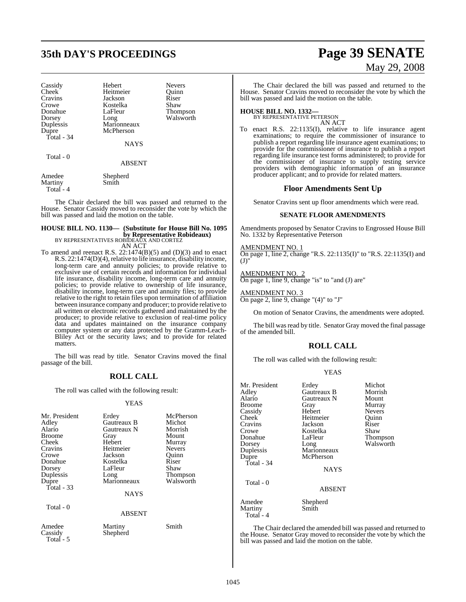# **35th DAY'S PROCEEDINGS Page 39 SENATE**

| Cassidy            | Hebert      | Neve <sub>1</sub> |
|--------------------|-------------|-------------------|
| Cheek <sup>1</sup> | Heitmeier   | Quini             |
| Cravins            | Jackson     | Riser             |
| Crowe              | Kostelka    | Shaw              |
| Donahue            | LaFleur     | Thom              |
| Dorsey             | Long        | Walsy             |
| Duplessis          | Marionneaux |                   |
| Dupre              | McPherson   |                   |
| Total - $34$       |             |                   |
|                    | <b>NAYS</b> |                   |
|                    |             |                   |

bert Nevers<br>
itmeier Quinn ek Heitmeier Quinn<br>Ekson Riser Fleur Thompson ng Walsworth arionneaux **Pherson** 

Total - 0

Total - 5

ABSENT

| Amedee    | Shepherd |
|-----------|----------|
| Martinv   | Smith    |
| Total - 4 |          |

The Chair declared the bill was passed and returned to the House. Senator Cassidy moved to reconsider the vote by which the bill was passed and laid the motion on the table.

## **HOUSE BILL NO. 1130— (Substitute for House Bill No. 1095 by Representative Robideaux)** BY REPRESENTATIVES ROBIDEAUX AND CORTEZ

AN ACT

To amend and reenact R.S.  $22:1474(B)(5)$  and  $(D)(3)$  and to enact R.S. 22:1474(D)(4), relative to life insurance, disability income, long-term care and annuity policies; to provide relative to exclusive use of certain records and information for individual life insurance, disability income, long-term care and annuity policies; to provide relative to ownership of life insurance, disability income, long-term care and annuity files; to provide relative to the right to retain files upon termination of affiliation between insurance company and producer; to provide relative to all written or electronic records gathered and maintained by the producer; to provide relative to exclusion of real-time policy data and updates maintained on the insurance company computer system or any data protected by the Gramm-Leach-Bliley Act or the security laws; and to provide for related matters.

The bill was read by title. Senator Cravins moved the final passage of the bill.

## **ROLL CALL**

The roll was called with the following result:

#### YEAS

| Mr. President | Erdey         | McPherson     |
|---------------|---------------|---------------|
| Adley         | Gautreaux B   | Michot        |
| Alario        | Gautreaux N   | Morrish       |
| <b>Broome</b> | Gray          | Mount         |
| Cheek         | Hebert        | Murray        |
| Cravins       | Heitmeier     | <b>Nevers</b> |
| Crowe         | Jackson       | Ouinn         |
| Donahue       | Kostelka      | Riser         |
| Dorsey        | LaFleur       | Shaw          |
| Duplessis     | Long          | Thompson      |
| Dupre         | Marionneaux   | Walsworth     |
| Total $-33$   |               |               |
|               | <b>NAYS</b>   |               |
| Total - 0     |               |               |
|               | <b>ABSENT</b> |               |
| Amedee        | Martiny       | Smith         |
| Cassidy       | Shepherd      |               |

May 29, 2008

The Chair declared the bill was passed and returned to the House. Senator Cravins moved to reconsider the vote by which the bill was passed and laid the motion on the table.

**HOUSE BILL NO. 1332—** BY REPRESENTATIVE PETERSON AN ACT

To enact R.S. 22:1135(I), relative to life insurance agent examinations; to require the commissioner of insurance to publish a report regarding life insurance agent examinations; to provide for the commissioner of insurance to publish a report regarding life insurance test forms administered; to provide for the commissioner of insurance to supply testing service providers with demographic information of an insurance producer applicant; and to provide for related matters.

#### **Floor Amendments Sent Up**

Senator Cravins sent up floor amendments which were read.

#### **SENATE FLOOR AMENDMENTS**

Amendments proposed by Senator Cravins to Engrossed House Bill No. 1332 by Representative Peterson

#### MENDMENT NO. 1

On page 1, line 2, change "R.S. 22:1135(I)" to "R.S. 22:1135(I) and  $($  $)$ 

## AMENDMENT NO. 2

On page 1, line 9, change "is" to "and (J) are"

#### AMENDMENT NO. 3 On page 2, line 9, change "(4)" to "J"

On motion of Senator Cravins, the amendments were adopted.

The bill was read by title. Senator Gray moved the final passage of the amended bill.

## **ROLL CALL**

The roll was called with the following result:

#### YEAS

| Mr. President<br>Adley<br>Alario<br><b>Broome</b><br>Cassidy<br>Cheek<br>Cravins<br>Crowe<br>Donahue<br>Dorsey<br>Duplessis<br>Dupre<br>Total - 34<br>Total $-0$ | Erdey<br>Gautreaux B<br>Gautreaux N<br>Gray<br>Hebert<br>Heitmeier<br>Jackson<br>Kostelka<br>LaFleur<br>Long<br>Marionneaux<br>McPherson<br><b>NAYS</b> | Michot<br>Morrish<br>Mount<br>Murray<br><b>Nevers</b><br>Ouinn<br>Riser<br>Shaw<br>Thompson<br>Walsworth |
|------------------------------------------------------------------------------------------------------------------------------------------------------------------|---------------------------------------------------------------------------------------------------------------------------------------------------------|----------------------------------------------------------------------------------------------------------|
| Amedee<br>Martiny                                                                                                                                                | <b>ABSENT</b><br>Shepherd<br>Smith                                                                                                                      |                                                                                                          |
| Total - 4                                                                                                                                                        |                                                                                                                                                         |                                                                                                          |

The Chair declared the amended bill was passed and returned to the House. Senator Gray moved to reconsider the vote by which the bill was passed and laid the motion on the table.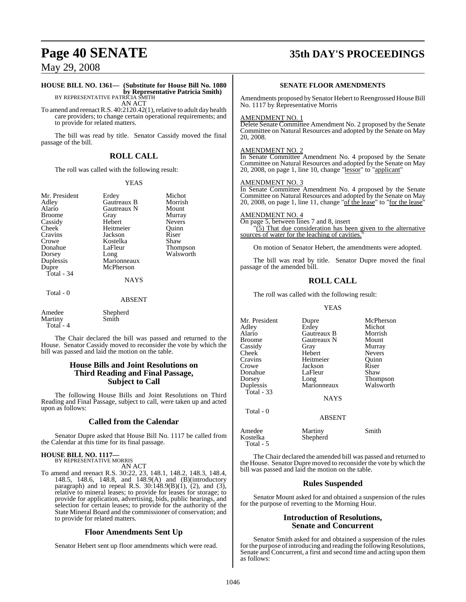# **Page 40 SENATE 35th DAY'S PROCEEDINGS**

## May 29, 2008

## **HOUSE BILL NO. 1361— (Substitute for House Bill No. 1080 by Representative Patricia Smith)**<br>BY REPRESENTATIVE PATRICIA SMITH

AN ACT

To amend and reenact R.S. 40:2120.42(1), relative to adult day health care providers; to change certain operational requirements; and to provide for related matters.

The bill was read by title. Senator Cassidy moved the final passage of the bill.

## **ROLL CALL**

The roll was called with the following result:

#### YEAS

| Mr. President |
|---------------|
| Adley         |
| Alario        |
| Broome        |
| Cassidy       |
| Cheek         |
| Cravins       |
| Crowe         |
| Donahue       |
| Dorsey        |
| Duplessis     |
| Dupre         |
| Total - 34    |
|               |
|               |
|               |

Erdey Michot<br>Gautreaux B Morrish Gautreaux B Morrish<br>Gautreaux N Mount Gautreaux N Gray Murray Hebert Nevers<br>
Heitmeier Quinn Heitmeier Quinn<br>Jackson Riser Jackson Riser<br>Kostelka Shaw Kostelka<br>LaFleur LaFleur Thompson<br>Long Walsworth Marionneaux

Walsworth

Total - 0

# NAYS

ABSENT

**McPherson** 

Amedee Shepherd<br>Martiny Smith Martiny Total  $-4$ 

The Chair declared the bill was passed and returned to the House. Senator Cassidy moved to reconsider the vote by which the bill was passed and laid the motion on the table.

#### **House Bills and Joint Resolutions on Third Reading and Final Passage, Subject to Call**

The following House Bills and Joint Resolutions on Third Reading and Final Passage, subject to call, were taken up and acted upon as follows:

## **Called from the Calendar**

Senator Dupre asked that House Bill No. 1117 be called from the Calendar at this time for its final passage.

#### **HOUSE BILL NO. 1117—**

BY REPRESENTATIVE MORRIS AN ACT

To amend and reenact R.S. 30:22, 23, 148.1, 148.2, 148.3, 148.4, 148.5, 148.6, 148.8, and 148.9(A) and (B)(introductory paragraph) and to repeal R.S.  $30:148.9(B)(1)$ , (2), and (3), relative to mineral leases; to provide for leases for storage; to provide for application, advertising, bids, public hearings, and selection for certain leases; to provide for the authority of the State Mineral Board and the commissioner of conservation; and to provide for related matters.

## **Floor Amendments Sent Up**

Senator Hebert sent up floor amendments which were read.

#### **SENATE FLOOR AMENDMENTS**

Amendments proposed by Senator Hebert to Reengrossed House Bill No. 1117 by Representative Morris

#### AMENDMENT NO. 1

Delete Senate Committee Amendment No. 2 proposed by the Senate Committee on Natural Resources and adopted by the Senate on May 20, 2008.

#### AMENDMENT NO. 2

In Senate Committee Amendment No. 4 proposed by the Senate Committee on Natural Resources and adopted by the Senate on May 20, 2008, on page 1, line 10, change "lessor" to "applicant"

#### AMENDMENT NO. 3

In Senate Committee Amendment No. 4 proposed by the Senate Committee on Natural Resources and adopted by the Senate on May 20, 2008, on page 1, line 11, change "of the lease" to "for the lease"

AMENDMENT NO. 4 On page 5, between lines 7 and 8, insert "(5) That due consideration has been given to the alternative sources of water for the leaching of cavities.

On motion of Senator Hebert, the amendments were adopted.

The bill was read by title. Senator Dupre moved the final passage of the amended bill.

## **ROLL CALL**

The roll was called with the following result:

#### YEAS

Mr. President Dupre McPherson<br>Adley Erdey Michot Adley Erdey Michot Gautreaux B Broome Gautreaux N Mount Cassidy Gray Murray Cheek Hebert Nevers<br>Cravins Heitmeier Ouinn Heitmeier Quinn<br>
Jackson Riser Crowe Jackson Riser<br>
Donahue LaFleur Shaw Donahue LaFle<br>Dorsey Long Dorsey Long Thompson<br>
Duplessis Marionneaux Walsworth Marionneaux Total - 33 NAYS Total - 0 ABSENT

Shepherd

Amedee Martiny Smith<br>Kostelka Shepherd Total - 5

The Chair declared the amended bill was passed and returned to the House. Senator Dupre moved to reconsider the vote by which the bill was passed and laid the motion on the table.

#### **Rules Suspended**

Senator Mount asked for and obtained a suspension of the rules for the purpose of reverting to the Morning Hour.

#### **Introduction of Resolutions, Senate and Concurrent**

Senator Smith asked for and obtained a suspension of the rules for the purpose of introducing and reading the following Resolutions, Senate and Concurrent, a first and second time and acting upon them as follows: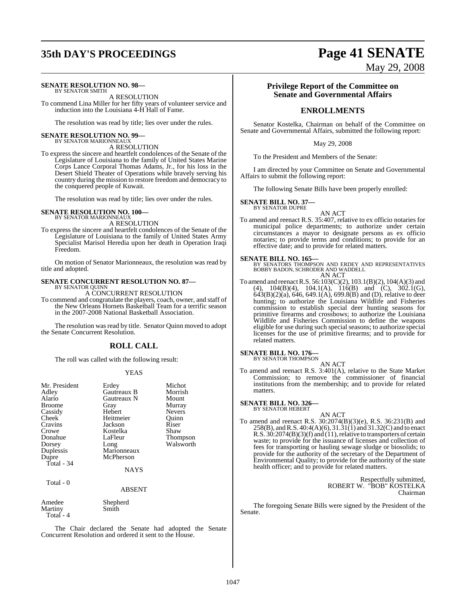# **35th DAY'S PROCEEDINGS Page 41 SENATE**

#### **SENATE RESOLUTION NO. 98—** BY SENATOR SMITH

A RESOLUTION To commend Lina Miller for her fifty years of volunteer service and induction into the Louisiana 4-H Hall of Fame.

The resolution was read by title; lies over under the rules.

#### **SENATE RESOLUTION NO. 99—** BY SENATOR MARIONNEAUX

A RESOLUTION

To express the sincere and heartfelt condolences of the Senate of the Legislature of Louisiana to the family of United States Marine Corps Lance Corporal Thomas Adams, Jr., for his loss in the Desert Shield Theater of Operations while bravely serving his country during the mission to restore freedom and democracy to the conquered people of Kuwait.

The resolution was read by title; lies over under the rules.

#### **SENATE RESOLUTION NO. 100—** BY SENATOR MARIONNEAUX

A RESOLUTION

To express the sincere and heartfelt condolences of the Senate of the Legislature of Louisiana to the family of United States Army Specialist Marisol Heredia upon her death in Operation Iraqi Freedom.

On motion of Senator Marionneaux, the resolution was read by title and adopted.

# **SENATE CONCURRENT RESOLUTION NO. 87—** BY SENATOR QUINN

A CONCURRENT RESOLUTION

To commend and congratulate the players, coach, owner, and staff of the New Orleans Hornets Basketball Team for a terrific season in the 2007-2008 National Basketball Association.

The resolution was read by title. Senator Quinn moved to adopt the Senate Concurrent Resolution.

## **ROLL CALL**

The roll was called with the following result:

#### YEAS

| Mr. President<br>Adley<br>Alario<br><b>Broome</b><br>Cassidy<br>Cheek<br>Cravins<br>Crowe<br>Donahue<br>Dorsey<br>Duplessis<br>Dupre<br>Total - $34$ | Erdey<br>Gautreaux B<br>Gautreaux N<br>Gray<br>Hebert<br>Heitmeier<br>Jackson<br>Kostelka<br>LaFleur<br>Long<br>Marionneaux<br>McPherson | Michot<br>Morrish<br>Mount<br>Murray<br><b>Nevers</b><br>Quinn<br>Riser<br>Shaw<br>Thompson<br>Walsworth |
|------------------------------------------------------------------------------------------------------------------------------------------------------|------------------------------------------------------------------------------------------------------------------------------------------|----------------------------------------------------------------------------------------------------------|
|                                                                                                                                                      | <b>NAYS</b>                                                                                                                              |                                                                                                          |
| Total - 0                                                                                                                                            | <b>ABSENT</b>                                                                                                                            |                                                                                                          |
| Amedee<br>Martiny<br>Total - 4                                                                                                                       | Shepherd<br>Smith                                                                                                                        |                                                                                                          |

The Chair declared the Senate had adopted the Senate Concurrent Resolution and ordered it sent to the House.

May 29, 2008

## **Privilege Report of the Committee on Senate and Governmental Affairs**

## **ENROLLMENTS**

Senator Kostelka, Chairman on behalf of the Committee on Senate and Governmental Affairs, submitted the following report:

May 29, 2008

To the President and Members of the Senate:

I am directed by your Committee on Senate and Governmental Affairs to submit the following report:

The following Senate Bills have been properly enrolled:

#### **SENATE BILL NO. 37—** BY SENATOR DUPRE

AN ACT

To amend and reenact R.S. 35:407, relative to ex officio notaries for municipal police departments; to authorize under certain circumstances a mayor to designate persons as ex officio notaries; to provide terms and conditions; to provide for an effective date; and to provide for related matters.

**SENATE BILL NO. 165—**<br>BY SENATORS THOMPSON AND ERDEY AND REPRESENTATIVES<br>BOBBY BADON, SCHRODER AND WADDELL AN ACT

To amend and reenact R.S. 56:103(C)(2), 103.1(B)(2), 104(A)(3) and (4), 104(B)(4), 104.1(A), 116(B) and (C), 302.1(G), 643(B)(2)(a), 646, 649.1(A), 699.8(B) and (D), relative to deer hunting; to authorize the Louisiana Wildlife and Fisheries commission to establish special deer hunting seasons for primitive firearms and crossbows; to authorize the Louisiana Wildlife and Fisheries Commission to define the weapons eligible for use during such special seasons; to authorize special licenses for the use of primitive firearms; and to provide for related matters.

#### **SENATE BILL NO. 176—** BY SENATOR THOMPSON

AN ACT

To amend and reenact R.S. 3:401(A), relative to the State Market Commission; to remove the commissioner of financial institutions from the membership; and to provide for related matters.

#### **SENATE BILL NO. 326—** BY SENATOR HEBERT

AN ACT

To amend and reenact R.S. 30:2074(B)(3)(e), R.S. 36:231(B) and 258(B), andR.S. 40:4(A)(6), 31.31(1) and 31.32(C) and to enact R.S.  $30:2074(B)(3)(f)$  and  $(11)$ , relative to transporters of certain waste; to provide for the issuance of licenses and collection of fees for transporting or hauling sewage sludge or biosolids; to provide for the authority of the secretary of the Department of Environmental Quality; to provide for the authority of the state health officer; and to provide for related matters.

> Respectfully submitted, ROBERT W. "BOB" KOSTELKA Chairman

The foregoing Senate Bills were signed by the President of the Senate.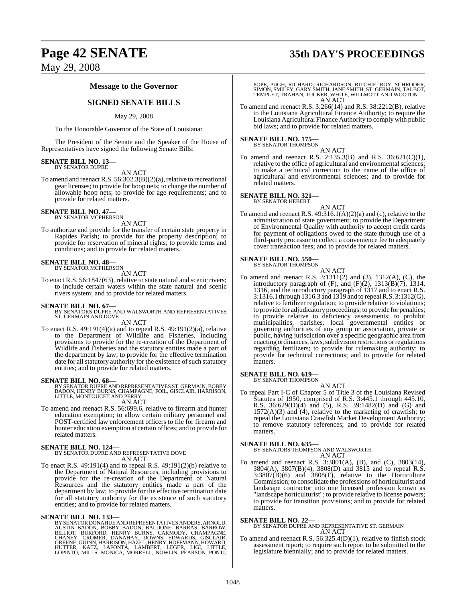#### **Message to the Governor**

## **SIGNED SENATE BILLS**

#### May 29, 2008

To the Honorable Governor of the State of Louisiana:

The President of the Senate and the Speaker of the House of Representatives have signed the following Senate Bills:

# **SENATE BILL NO. 13—** BY SENATOR DUPRE

AN ACT

To amend and reenact R.S.  $56:302.3(B)(2)(a)$ , relative to recreational gear licenses; to provide for hoop nets; to change the number of allowable hoop nets; to provide for age requirements; and to provide for related matters.

#### **SENATE BILL NO. 47—** BY SENATOR MCPHERSON

AN ACT

To authorize and provide for the transfer of certain state property in Rapides Parish; to provide for the property description; to provide for reservation of mineral rights; to provide terms and conditions; and to provide for related matters.

#### **SENATE BILL NO. 48—** BY SENATOR MCPHERSON

AN ACT

To enact R.S. 56:1847(63), relative to state natural and scenic rivers; to include certain waters within the state natural and scenic rivers system; and to provide for related matters.

#### **SENATE BILL NO. 67—**

BY SENATORS DUPRE AND WALSWORTH AND REPRESENTATIVES ST. GERMAIN AND DOVE

#### AN ACT

To enact R.S. 49:191(4)(a) and to repeal R.S. 49:191(2)(a), relative to the Department of Wildlife and Fisheries, including provisions to provide for the re-creation of the Department of Wildlife and Fisheries and the statutory entities made a part of the department by law; to provide for the effective termination date for all statutory authority for the existence of such statutory entities; and to provide for related matters.

**SENATE BILL NO. 68—** BY SENATOR DUPRE AND REPRESENTATIVES ST. GERMAIN, BOBBY BADON, HENRY BURNS, CHAMPAGNE, FOIL, GISCLAIR, HARRISON, LITTLE, MONTOUCET AND PERRY

#### AN ACT

To amend and reenact R.S. 56:699.6, relative to firearm and hunter education exemption; to allow certain military personnel and POST-certified law enforcement officers to file for firearm and hunter education exemption at certain offices; and to provide for related matters.

## **SENATE BILL NO. 124—**

#### BY SENATOR DUPRE AND REPRESENTATIVE DOVE AN ACT

To enact R.S. 49:191(4) and to repeal R.S. 49:191(2)(b) relative to the Department of Natural Resources, including provisions to provide for the re-creation of the Department of Natural Resources and the statutory entities made a part of the department by law; to provide for the effective termination date for all statutory authority for the existence of such statutory entities; and to provide for related matters.

#### **SENATE BILL NO. 133—**

BY SENATOR DONAHUE AND REPRESENTATIVES ANDERS, ARNOLD,<br>AUSTIN BADON, BOBBY BADON, BALDONE, BARRAS, BARROW,<br>BILLIOT, BURFORD, HENRY BURNS, CARMODY, CHAMPAGNE,<br>CHANEY, CROMER, DANAHAY, DOWNS, EDWARDS, GISCLAIR,<br>GREENE, GUINN

# **Page 42 SENATE 35th DAY'S PROCEEDINGS**

POPE, PUGH, RICHARD, RICHARDSON, RITCHIE, ROY, SCHRODER,<br>SIMON, SMILEY, GARY SMITH, JANE SMITH, ST. GERMAIN, TALBOT,<br>TEMPLET, TRAHAN, TUCKER, WHITE, WILLMOTT AND WOOTON AN ACT

To amend and reenact R.S. 3:266(14) and R.S. 38:2212(B), relative to the Louisiana Agricultural Finance Authority; to require the Louisiana Agricultural Finance Authority to comply with public bid laws; and to provide for related matters.

# **SENATE BILL NO. 175—**<br>BY SENATOR THOMPSON

AN ACT

To amend and reenact R.S. 2:135.3(B) and R.S. 36:621(C)(1), relative to the office of agricultural and environmental sciences; to make a technical correction to the name of the office of agricultural and environmental sciences; and to provide for related matters.

#### **SENATE BILL NO. 321—**

BY SENATOR HEBERT AN ACT

To amend and reenact R.S. 49:316.1(A)(2)(a) and (c), relative to the administration of state government; to provide the Department of Environmental Quality with authority to accept credit cards for payment of obligations owed to the state through use of a third-party processor to collect a convenience fee to adequately cover transaction fees; and to provide for related matters.

#### **SENATE BILL NO. 550—** BY SENATOR THOMPSON

AN ACT

To amend and reenact R.S. 3:1311(2) and (3), 1312(A), (C), the introductory paragraph of (F), and (F)(2), 1313(B)(7), 1314, 1316, and the introductory paragraph of 1317 and to enact R.S. 3:1316.1 through 1316.3 and 1319 and to repeal R.S. 3:1312(G), relative to fertilizer regulation; to provide relative to violations; to provide for adjudicatory proceedings; to provide for penalties; to provide relative to deficiency assessments; to prohibit municipalities, parishes, local governmental entities or governing authorities of any group or association, private or public, having jurisdiction over a specific geographic area from enacting ordinances, laws, subdivision restrictions or regulations regarding fertilizers; to provide for rulemaking authority; to provide for technical corrections; and to provide for related matters.

# **SENATE BILL NO. 619—**<br>BY SENATOR THOMPSON

AN ACT

To repeal Part I-C of Chapter 5 of Title 3 of the Louisiana Revised Statutes of 1950, comprised of R.S. 3:445.1 through 445.10, R.S. 36:629(D)(4) and (5), R.S. 39:1482(D) and (G) and  $1572(A)(3)$  and  $(4)$ , relative to the marketing of crawfish; to repeal the Louisiana Crawfish Market Development Authority; to remove statutory references; and to provide for related matters.

#### **SENATE BILL NO. 635—**

BY SENATORS THOMPSON AND WALSWORTH AN ACT

To amend and reenact R.S. 3:3801(A), (B), and (C), 3803(14), 3804(A), 3807(B)(4), 3808(D) and 3815 and to repeal R.S. 3:3807(B)(6) and 3808(F), relative to the Horticulture Commission; to consolidate the professions of horticulturist and landscape contractor into one licensed profession known as "landscape horticulturist"; to provide relative to license powers; to provide for transition provisions; and to provide for related matters.

**SENATE BILL NO. 22—** BY SENATOR DUPRE AND REPRESENTATIVE ST. GERMAIN AN ACT

To amend and reenact R.S. 56:325.4(D)(1), relative to finfish stock assessment report; to require such report to be submitted to the legislature biennially; and to provide for related matters.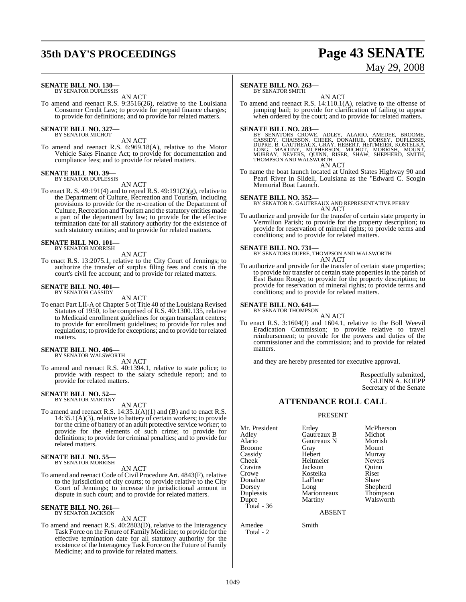# **35th DAY'S PROCEEDINGS Page 43 SENATE**

# May 29, 2008

#### **SENATE BILL NO. 130—** BY SENATOR DUPLESSIS

AN ACT

To amend and reenact R.S. 9:3516(26), relative to the Louisiana Consumer Credit Law; to provide for prepaid finance charges; to provide for definitions; and to provide for related matters.

# **SENATE BILL NO. 327—** BY SENATOR MICHOT

AN ACT

To amend and reenact R.S. 6:969.18(A), relative to the Motor Vehicle Sales Finance Act; to provide for documentation and compliance fees; and to provide for related matters.

#### **SENATE BILL NO. 39—**

BY SENATOR DUPLESSIS AN ACT

To enact R. S. 49:191(4) and to repeal R.S. 49:191(2)(g), relative to the Department of Culture, Recreation and Tourism, including provisions to provide for the re-creation of the Department of Culture, Recreation and Tourism and the statutory entities made a part of the department by law; to provide for the effective termination date for all statutory authority for the existence of such statutory entities; and to provide for related matters.

# **SENATE BILL NO. 101—** BY SENATOR MORRISH

AN ACT

To enact R.S. 13:2075.1, relative to the City Court of Jennings; to authorize the transfer of surplus filing fees and costs in the court's civil fee account; and to provide for related matters.

#### **SENATE BILL NO. 401—** BY SENATOR CASSIDY

AN ACT

To enact Part LII-A of Chapter 5 of Title 40 of the Louisiana Revised Statutes of 1950, to be comprised of R.S. 40:1300.135, relative to Medicaid enrollment guidelines for organ transplant centers; to provide for enrollment guidelines; to provide for rules and regulations; to provide for exceptions; and to provide for related matters.

# **SENATE BILL NO. 406—** BY SENATOR WALSWORTH

AN ACT

To amend and reenact R.S. 40:1394.1, relative to state police; to provide with respect to the salary schedule report; and to provide for related matters.

# **SENATE BILL NO. 52—** BY SENATOR MARTINY

AN ACT

To amend and reenact R.S. 14:35.1(A)(1) and (B) and to enact R.S. 14:35.1(A)(3), relative to battery of certain workers; to provide for the crime of battery of an adult protective service worker; to provide for the elements of such crime; to provide for definitions; to provide for criminal penalties; and to provide for related matters.

#### **SENATE BILL NO. 55—** BY SENATOR MORRISH

AN ACT

To amend and reenact Code of Civil Procedure Art. 4843(F), relative to the jurisdiction of city courts; to provide relative to the City Court of Jennings; to increase the jurisdictional amount in dispute in such court; and to provide for related matters.

#### **SENATE BILL NO. 261—** BY SENATOR JACKSON

AN ACT

To amend and reenact R.S. 40:2803(D), relative to the Interagency Task Force on the Future of Family Medicine; to provide for the effective termination date for all statutory authority for the existence of the Interagency Task Force on the Future of Family Medicine; and to provide for related matters.

#### **SENATE BILL NO. 263—**

BY SENATOR SMITH

AN ACT To amend and reenact R.S. 14:110.1(A), relative to the offense of jumping bail; to provide for clarification of failing to appear when ordered by the court; and to provide for related matters.

SENATE BILL NO. 283—<br>BY SENATORS CROWE, ADLEY, ALARIO, AMEDEE, BROOME, CASSIDY, CHAISSON, CHEEK, DONAHUE, DORSEY, DUPLESSIS, DUPRE, B. GAUTREAUX, GRAY, HEBERT, HEITMEIER, KOSTELKA, LONG, MARTINY, MCPHERSON, MICHOT, MORRISH

AN ACT To name the boat launch located at United States Highway 90 and Pearl River in Slidell, Louisiana as the "Edward C. Scogin Memorial Boat Launch.

**SENATE BILL NO. 352—** BY SENATOR N. GAUTREAUX AND REPRESENTATIVE PERRY AN ACT

To authorize and provide for the transfer of certain state property in Vermilion Parish; to provide for the property description; to provide for reservation of mineral rights; to provide terms and conditions; and to provide for related matters.

**SENATE BILL NO. 731—** BY SENATORS DUPRE, THOMPSON AND WALSWORTH AN ACT

To authorize and provide for the transfer of certain state properties; to provide for transfer of certain state properties in the parish of East Baton Rouge; to provide for the property description; to provide for reservation of mineral rights; to provide terms and conditions; and to provide for related matters.

#### **SENATE BILL NO. 641—** BY SENATOR THOMPSON

AN ACT

To enact R.S. 3:1604(J) and 1604.1, relative to the Boll Weevil Eradication Commission; to provide relative to travel reimbursement; to provide for the powers and duties of the commissioner and the commission; and to provide for related matters.

and they are hereby presented for executive approval.

Respectfully submitted, GLENN A. KOEPP Secretary of the Senate

#### **ATTENDANCE ROLL CALL**

#### PRESENT

Mr. President Erdey McPherson<br>Adley Gautreaux B Michot Adley **Gautreaux B** Michot<br>Alario Gautreaux N Morrish Broome Gray Cassidy Hebert Murray Cheek Heitmeier Nevers<br>Cravins Jackson Quinn Cravins Jackson Quinn Donahue LaFle<br>Dorsey Long Dorsey Long Shepherd<br>
Duplessis Marionneaux Thompson Duplessis Marionneaux<br>
Dupre Martiny Total - 36

Gautreaux N Morris<br>
Gray Mount Kostelka Riser<br>LaFleur Shaw

Walsworth

ABSENT

Amedee Smith Total - 2